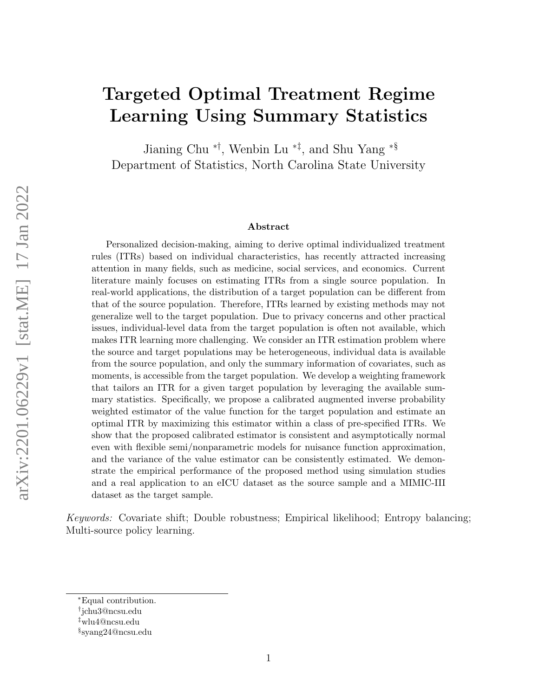# Targeted Optimal Treatment Regime Learning Using Summary Statistics

Jianing Chu ∗†, Wenbin Lu <sup>∗</sup>‡ , and Shu Yang <sup>∗</sup>§ Department of Statistics, North Carolina State University

#### Abstract

Personalized decision-making, aiming to derive optimal individualized treatment rules (ITRs) based on individual characteristics, has recently attracted increasing attention in many fields, such as medicine, social services, and economics. Current literature mainly focuses on estimating ITRs from a single source population. In real-world applications, the distribution of a target population can be different from that of the source population. Therefore, ITRs learned by existing methods may not generalize well to the target population. Due to privacy concerns and other practical issues, individual-level data from the target population is often not available, which makes ITR learning more challenging. We consider an ITR estimation problem where the source and target populations may be heterogeneous, individual data is available from the source population, and only the summary information of covariates, such as moments, is accessible from the target population. We develop a weighting framework that tailors an ITR for a given target population by leveraging the available summary statistics. Specifically, we propose a calibrated augmented inverse probability weighted estimator of the value function for the target population and estimate an optimal ITR by maximizing this estimator within a class of pre-specified ITRs. We show that the proposed calibrated estimator is consistent and asymptotically normal even with flexible semi/nonparametric models for nuisance function approximation, and the variance of the value estimator can be consistently estimated. We demonstrate the empirical performance of the proposed method using simulation studies and a real application to an eICU dataset as the source sample and a MIMIC-III dataset as the target sample.

Keywords: Covariate shift; Double robustness; Empirical likelihood; Entropy balancing; Multi-source policy learning.

<sup>∗</sup>Equal contribution.

<sup>†</sup> jchu3@ncsu.edu

<sup>‡</sup>wlu4@ncsu.edu

<sup>§</sup> syang24@ncsu.edu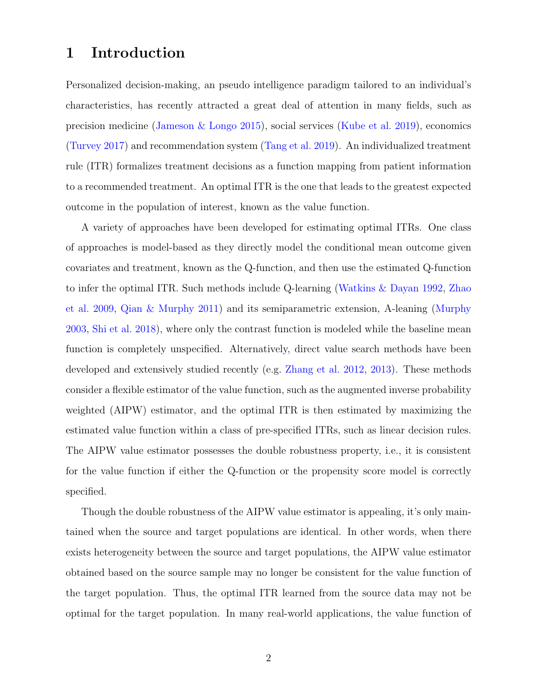## 1 Introduction

Personalized decision-making, an pseudo intelligence paradigm tailored to an individual's characteristics, has recently attracted a great deal of attention in many fields, such as precision medicine (Jameson & Longo 2015), social services (Kube et al. 2019), economics (Turvey 2017) and recommendation system (Tang et al. 2019). An individualized treatment rule (ITR) formalizes treatment decisions as a function mapping from patient information to a recommended treatment. An optimal ITR is the one that leads to the greatest expected outcome in the population of interest, known as the value function.

A variety of approaches have been developed for estimating optimal ITRs. One class of approaches is model-based as they directly model the conditional mean outcome given covariates and treatment, known as the Q-function, and then use the estimated Q-function to infer the optimal ITR. Such methods include Q-learning (Watkins & Dayan 1992, Zhao et al. 2009, Qian & Murphy 2011) and its semiparametric extension, A-leaning (Murphy 2003, Shi et al. 2018), where only the contrast function is modeled while the baseline mean function is completely unspecified. Alternatively, direct value search methods have been developed and extensively studied recently (e.g. Zhang et al. 2012, 2013). These methods consider a flexible estimator of the value function, such as the augmented inverse probability weighted (AIPW) estimator, and the optimal ITR is then estimated by maximizing the estimated value function within a class of pre-specified ITRs, such as linear decision rules. The AIPW value estimator possesses the double robustness property, i.e., it is consistent for the value function if either the Q-function or the propensity score model is correctly specified.

Though the double robustness of the AIPW value estimator is appealing, it's only maintained when the source and target populations are identical. In other words, when there exists heterogeneity between the source and target populations, the AIPW value estimator obtained based on the source sample may no longer be consistent for the value function of the target population. Thus, the optimal ITR learned from the source data may not be optimal for the target population. In many real-world applications, the value function of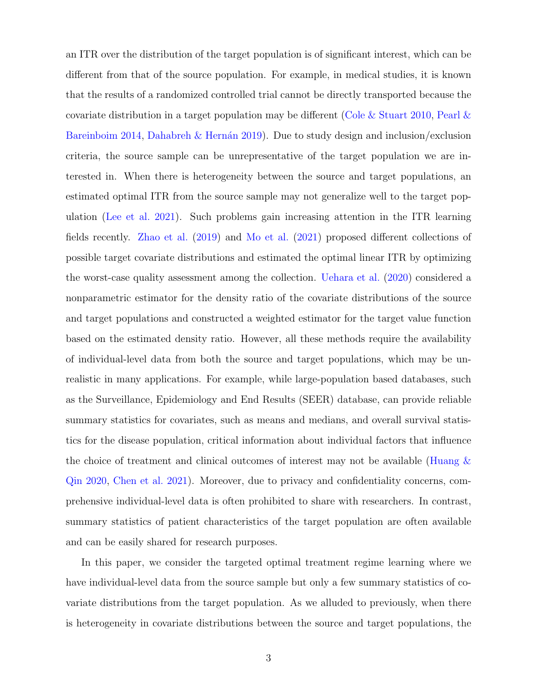an ITR over the distribution of the target population is of significant interest, which can be different from that of the source population. For example, in medical studies, it is known that the results of a randomized controlled trial cannot be directly transported because the covariate distribution in a target population may be different (Cole & Stuart 2010, Pearl & Bareinboim 2014, Dahabreh & Hernán 2019). Due to study design and inclusion/exclusion criteria, the source sample can be unrepresentative of the target population we are interested in. When there is heterogeneity between the source and target populations, an estimated optimal ITR from the source sample may not generalize well to the target population (Lee et al. 2021). Such problems gain increasing attention in the ITR learning fields recently. Zhao et al. (2019) and Mo et al. (2021) proposed different collections of possible target covariate distributions and estimated the optimal linear ITR by optimizing the worst-case quality assessment among the collection. Uehara et al. (2020) considered a nonparametric estimator for the density ratio of the covariate distributions of the source and target populations and constructed a weighted estimator for the target value function based on the estimated density ratio. However, all these methods require the availability of individual-level data from both the source and target populations, which may be unrealistic in many applications. For example, while large-population based databases, such as the Surveillance, Epidemiology and End Results (SEER) database, can provide reliable summary statistics for covariates, such as means and medians, and overall survival statistics for the disease population, critical information about individual factors that influence the choice of treatment and clinical outcomes of interest may not be available (Huang  $\&$ Qin 2020, Chen et al. 2021). Moreover, due to privacy and confidentiality concerns, comprehensive individual-level data is often prohibited to share with researchers. In contrast, summary statistics of patient characteristics of the target population are often available and can be easily shared for research purposes.

In this paper, we consider the targeted optimal treatment regime learning where we have individual-level data from the source sample but only a few summary statistics of covariate distributions from the target population. As we alluded to previously, when there is heterogeneity in covariate distributions between the source and target populations, the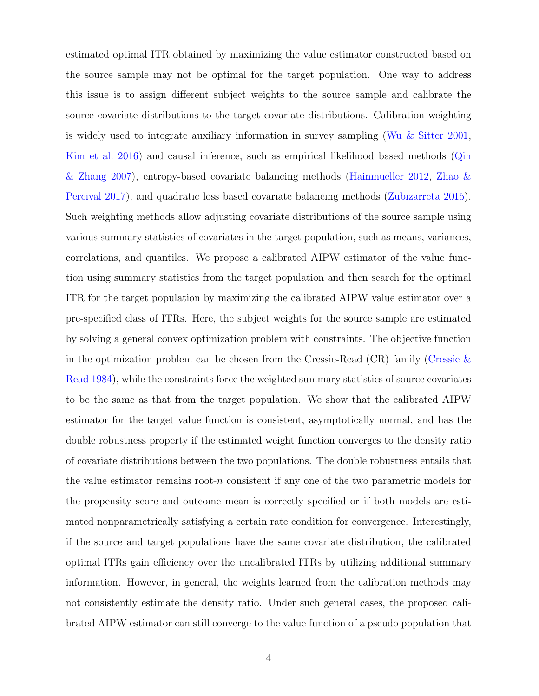estimated optimal ITR obtained by maximizing the value estimator constructed based on the source sample may not be optimal for the target population. One way to address this issue is to assign different subject weights to the source sample and calibrate the source covariate distributions to the target covariate distributions. Calibration weighting is widely used to integrate auxiliary information in survey sampling (Wu & Sitter 2001, Kim et al. 2016) and causal inference, such as empirical likelihood based methods (Qin & Zhang 2007), entropy-based covariate balancing methods (Hainmueller 2012, Zhao & Percival 2017), and quadratic loss based covariate balancing methods (Zubizarreta 2015). Such weighting methods allow adjusting covariate distributions of the source sample using various summary statistics of covariates in the target population, such as means, variances, correlations, and quantiles. We propose a calibrated AIPW estimator of the value function using summary statistics from the target population and then search for the optimal ITR for the target population by maximizing the calibrated AIPW value estimator over a pre-specified class of ITRs. Here, the subject weights for the source sample are estimated by solving a general convex optimization problem with constraints. The objective function in the optimization problem can be chosen from the Cressie-Read  $(CR)$  family (Cressie  $\&$ Read 1984), while the constraints force the weighted summary statistics of source covariates to be the same as that from the target population. We show that the calibrated AIPW estimator for the target value function is consistent, asymptotically normal, and has the double robustness property if the estimated weight function converges to the density ratio of covariate distributions between the two populations. The double robustness entails that the value estimator remains root- $n$  consistent if any one of the two parametric models for the propensity score and outcome mean is correctly specified or if both models are estimated nonparametrically satisfying a certain rate condition for convergence. Interestingly, if the source and target populations have the same covariate distribution, the calibrated optimal ITRs gain efficiency over the uncalibrated ITRs by utilizing additional summary information. However, in general, the weights learned from the calibration methods may not consistently estimate the density ratio. Under such general cases, the proposed calibrated AIPW estimator can still converge to the value function of a pseudo population that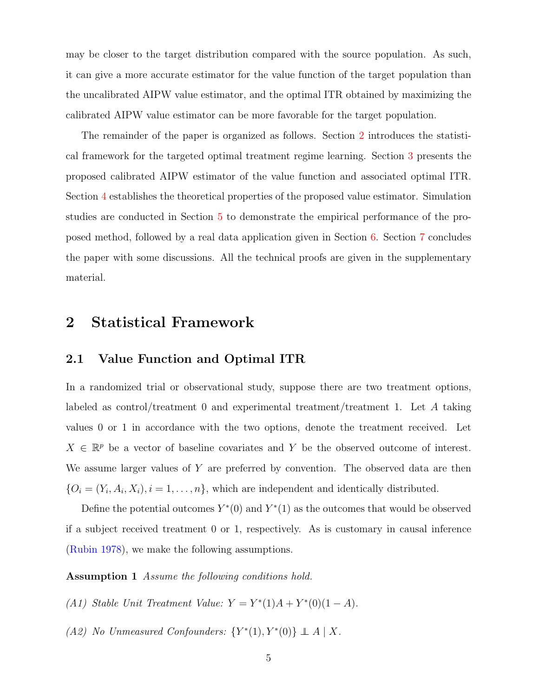may be closer to the target distribution compared with the source population. As such, it can give a more accurate estimator for the value function of the target population than the uncalibrated AIPW value estimator, and the optimal ITR obtained by maximizing the calibrated AIPW value estimator can be more favorable for the target population.

The remainder of the paper is organized as follows. Section 2 introduces the statistical framework for the targeted optimal treatment regime learning. Section 3 presents the proposed calibrated AIPW estimator of the value function and associated optimal ITR. Section 4 establishes the theoretical properties of the proposed value estimator. Simulation studies are conducted in Section 5 to demonstrate the empirical performance of the proposed method, followed by a real data application given in Section 6. Section 7 concludes the paper with some discussions. All the technical proofs are given in the supplementary material.

# 2 Statistical Framework

#### 2.1 Value Function and Optimal ITR

In a randomized trial or observational study, suppose there are two treatment options, labeled as control/treatment 0 and experimental treatment/treatment 1. Let A taking values 0 or 1 in accordance with the two options, denote the treatment received. Let  $X \in \mathbb{R}^p$  be a vector of baseline covariates and Y be the observed outcome of interest. We assume larger values of Y are preferred by convention. The observed data are then  ${O_i = (Y_i, A_i, X_i), i = 1, \dots, n}$ , which are independent and identically distributed.

Define the potential outcomes  $Y^*(0)$  and  $Y^*(1)$  as the outcomes that would be observed if a subject received treatment 0 or 1, respectively. As is customary in causal inference (Rubin 1978), we make the following assumptions.

#### Assumption 1 Assume the following conditions hold.

(A1) Stable Unit Treatment Value:  $Y = Y^*(1)A + Y^*(0)(1 - A)$ .

(A2) No Unmeasured Confounders:  $\{Y^*(1), Y^*(0)\} \perp A \mid X$ .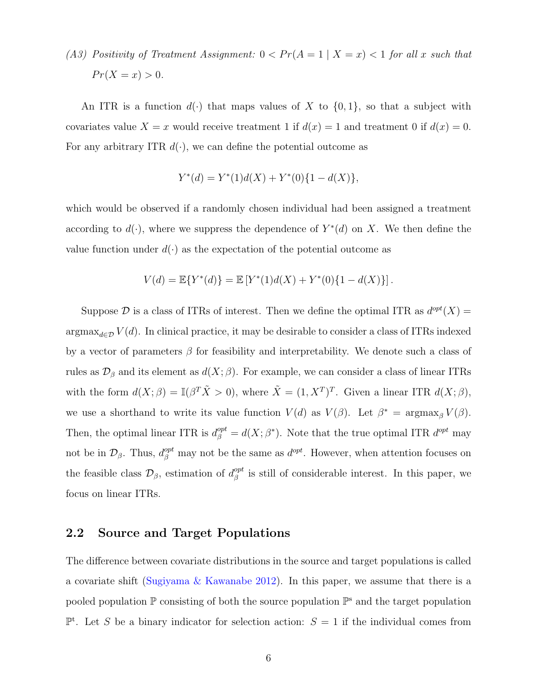(A3) Positivity of Treatment Assignment:  $0 < Pr(A = 1 | X = x) < 1$  for all x such that  $Pr(X = x) > 0.$ 

An ITR is a function  $d(\cdot)$  that maps values of X to  $\{0,1\}$ , so that a subject with covariates value  $X = x$  would receive treatment 1 if  $d(x) = 1$  and treatment 0 if  $d(x) = 0$ . For any arbitrary ITR  $d(\cdot)$ , we can define the potential outcome as

$$
Y^*(d) = Y^*(1)d(X) + Y^*(0)\{1 - d(X)\},
$$

which would be observed if a randomly chosen individual had been assigned a treatment according to  $d(\cdot)$ , where we suppress the dependence of  $Y^*(d)$  on X. We then define the value function under  $d(\cdot)$  as the expectation of the potential outcome as

$$
V(d) = \mathbb{E}\{Y^*(d)\} = \mathbb{E}\left[Y^*(1)d(X) + Y^*(0)\{1 - d(X)\}\right].
$$

Suppose  $\mathcal D$  is a class of ITRs of interest. Then we define the optimal ITR as  $d^{opt}(X) =$  $\operatorname{argmax}_{d \in \mathcal{D}} V(d)$ . In clinical practice, it may be desirable to consider a class of ITRs indexed by a vector of parameters  $\beta$  for feasibility and interpretability. We denote such a class of rules as  $\mathcal{D}_{\beta}$  and its element as  $d(X;\beta)$ . For example, we can consider a class of linear ITRs with the form  $d(X; \beta) = \mathbb{I}(\beta^T \tilde{X} > 0)$ , where  $\tilde{X} = (1, X^T)^T$ . Given a linear ITR  $d(X; \beta)$ , we use a shorthand to write its value function  $V(d)$  as  $V(\beta)$ . Let  $\beta^* = \operatorname{argmax}_{\beta} V(\beta)$ . Then, the optimal linear ITR is  $d_{\beta}^{opt} = d(X; \beta^*)$ . Note that the true optimal ITR  $d^{opt}$  may not be in  $\mathcal{D}_{\beta}$ . Thus,  $d_{\beta}^{opt}$  may not be the same as  $d^{opt}$ . However, when attention focuses on the feasible class  $\mathcal{D}_{\beta}$ , estimation of  $d_{\beta}^{opt}$  $_{\beta}^{opt}$  is still of considerable interest. In this paper, we focus on linear ITRs.

#### 2.2 Source and Target Populations

The difference between covariate distributions in the source and target populations is called a covariate shift (Sugiyama & Kawanabe 2012). In this paper, we assume that there is a pooled population  $\mathbb P$  consisting of both the source population  $\mathbb P^s$  and the target population  $\mathbb{P}^t$ . Let S be a binary indicator for selection action:  $S = 1$  if the individual comes from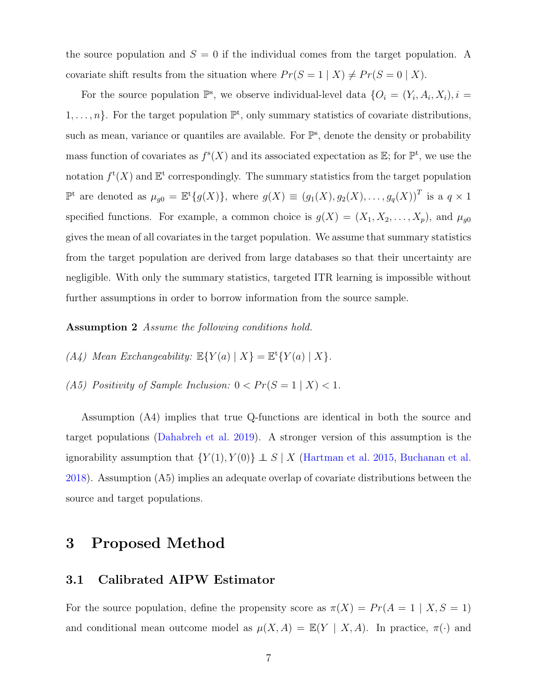the source population and  $S = 0$  if the individual comes from the target population. A covariate shift results from the situation where  $Pr(S = 1 | X) \neq Pr(S = 0 | X)$ .

For the source population  $\mathbb{P}^s$ , we observe individual-level data  $\{O_i = (Y_i, A_i, X_i), i =$  $1, \ldots, n$ . For the target population  $\mathbb{P}^t$ , only summary statistics of covariate distributions, such as mean, variance or quantiles are available. For  $\mathbb{P}^s$ , denote the density or probability mass function of covariates as  $f^{s}(X)$  and its associated expectation as  $\mathbb{E}$ ; for  $\mathbb{P}^{t}$ , we use the notation  $f^{\mathsf{t}}(X)$  and  $\mathbb{E}^{\mathsf{t}}$  correspondingly. The summary statistics from the target population  $\mathbb{P}^t$  are denoted as  $\mu_{g0} = \mathbb{E}^t\{g(X)\}\$ , where  $g(X) \equiv (g_1(X), g_2(X), \ldots, g_q(X))^T$  is a  $q \times 1$ specified functions. For example, a common choice is  $g(X) = (X_1, X_2, \ldots, X_p)$ , and  $\mu_{g0}$ gives the mean of all covariates in the target population. We assume that summary statistics from the target population are derived from large databases so that their uncertainty are negligible. With only the summary statistics, targeted ITR learning is impossible without further assumptions in order to borrow information from the source sample.

#### Assumption 2 Assume the following conditions hold.

- (A4) Mean Exchangeability:  $\mathbb{E}\{Y(a) | X\} = \mathbb{E}^{\mathsf{t}}\{Y(a) | X\}.$
- (A5) Positivity of Sample Inclusion:  $0 < Pr(S = 1 | X) < 1$ .

Assumption (A4) implies that true Q-functions are identical in both the source and target populations (Dahabreh et al. 2019). A stronger version of this assumption is the ignorability assumption that  $\{Y(1), Y(0)\} \perp S \mid X$  (Hartman et al. 2015, Buchanan et al. 2018). Assumption (A5) implies an adequate overlap of covariate distributions between the source and target populations.

# 3 Proposed Method

### 3.1 Calibrated AIPW Estimator

For the source population, define the propensity score as  $\pi(X) = Pr(A = 1 | X, S = 1)$ and conditional mean outcome model as  $\mu(X, A) = \mathbb{E}(Y | X, A)$ . In practice,  $\pi(\cdot)$  and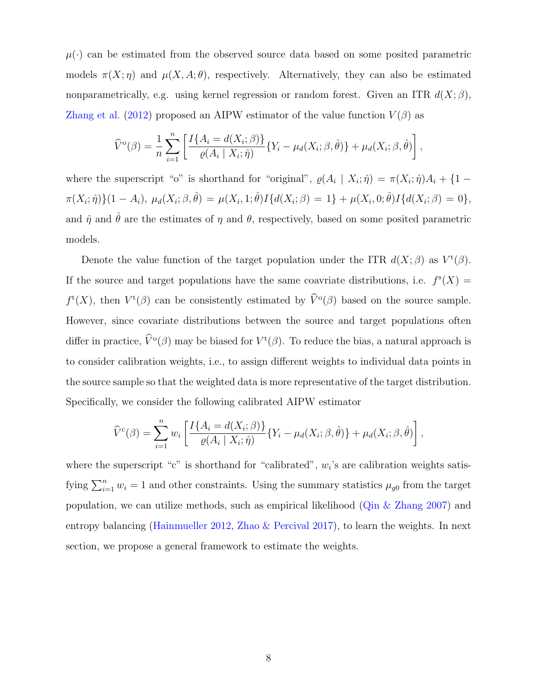$\mu(\cdot)$  can be estimated from the observed source data based on some posited parametric models  $\pi(X; \eta)$  and  $\mu(X, A; \theta)$ , respectively. Alternatively, they can also be estimated nonparametrically, e.g. using kernel regression or random forest. Given an ITR  $d(X;\beta)$ , Zhang et al. (2012) proposed an AIPW estimator of the value function  $V(\beta)$  as

$$
\widehat{V}^{\mathrm{o}}(\beta) = \frac{1}{n} \sum_{i=1}^{n} \left[ \frac{I\{A_i = d(X_i; \beta)\}}{\varrho(A_i \mid X_i; \hat{\eta})} \{Y_i - \mu_d(X_i; \beta, \hat{\theta})\} + \mu_d(X_i; \beta, \hat{\theta}) \right],
$$

where the superscript "o" is shorthand for "original",  $\varrho(A_i \mid X_i; \hat{\eta}) = \pi(X_i; \hat{\eta})A_i + \{1 - \eta\}$  $\pi(X_i; \hat{\eta})\{(1 - A_i), \mu_d(X_i; \beta, \hat{\theta}) = \mu(X_i, 1; \hat{\theta})I\{d(X_i; \beta) = 1\} + \mu(X_i, 0; \hat{\theta})I\{d(X_i; \beta) = 0\},$ and  $\hat{\eta}$  and  $\hat{\theta}$  are the estimates of  $\eta$  and  $\theta$ , respectively, based on some posited parametric models.

Denote the value function of the target population under the ITR  $d(X;\beta)$  as  $V^{\mathfrak{t}}(\beta)$ . If the source and target populations have the same coavriate distributions, i.e.  $f^{s}(X) =$  $f^{\mathsf{t}}(X)$ , then  $V^{\mathsf{t}}(\beta)$  can be consistently estimated by  $\hat{V}^{\mathsf{o}}(\beta)$  based on the source sample. However, since covariate distributions between the source and target populations often differ in practice,  $\hat{V}^{\text{o}}(\beta)$  may be biased for  $V^{\text{t}}(\beta)$ . To reduce the bias, a natural approach is to consider calibration weights, i.e., to assign different weights to individual data points in the source sample so that the weighted data is more representative of the target distribution. Specifically, we consider the following calibrated AIPW estimator

$$
\widehat{V}^c(\beta) = \sum_{i=1}^n w_i \left[ \frac{I\{A_i = d(X_i; \beta)\}}{\varrho(A_i \mid X_i; \hat{\eta})} \{Y_i - \mu_d(X_i; \beta, \hat{\theta})\} + \mu_d(X_i; \beta, \hat{\theta}) \right],
$$

where the superscript "c" is shorthand for "calibrated",  $w_i$ 's are calibration weights satisfying  $\sum_{i=1}^{n} w_i = 1$  and other constraints. Using the summary statistics  $\mu_{g0}$  from the target population, we can utilize methods, such as empirical likelihood (Qin & Zhang 2007) and entropy balancing (Hainmueller 2012, Zhao & Percival 2017), to learn the weights. In next section, we propose a general framework to estimate the weights.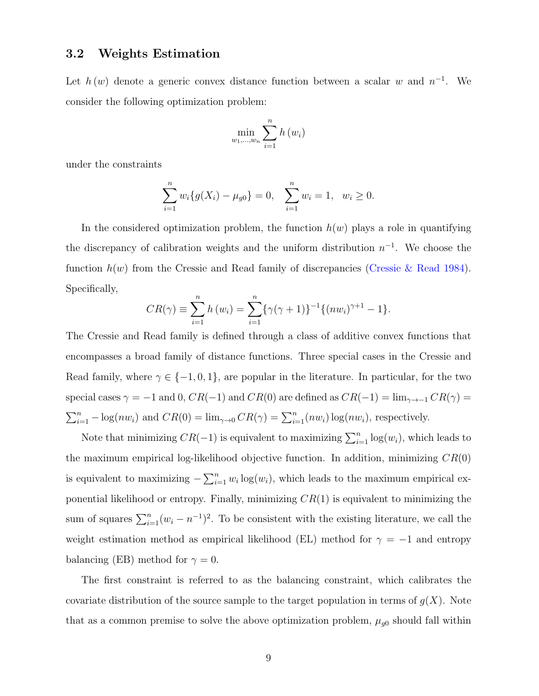### 3.2 Weights Estimation

Let  $h(w)$  denote a generic convex distance function between a scalar w and  $n^{-1}$ . We consider the following optimization problem:

$$
\min_{w_1,\ldots,w_n}\sum_{i=1}^n h(w_i)
$$

under the constraints

$$
\sum_{i=1}^{n} w_i \{ g(X_i) - \mu_{g0} \} = 0, \quad \sum_{i=1}^{n} w_i = 1, \quad w_i \ge 0.
$$

In the considered optimization problem, the function  $h(w)$  plays a role in quantifying the discrepancy of calibration weights and the uniform distribution  $n^{-1}$ . We choose the function  $h(w)$  from the Cressie and Read family of discrepancies (Cressie & Read 1984). Specifically,

$$
CR(\gamma) \equiv \sum_{i=1}^{n} h(w_i) = \sum_{i=1}^{n} \{ \gamma(\gamma + 1) \}^{-1} \{ (nw_i)^{\gamma + 1} - 1 \}.
$$

The Cressie and Read family is defined through a class of additive convex functions that encompasses a broad family of distance functions. Three special cases in the Cressie and Read family, where  $\gamma \in \{-1, 0, 1\}$ , are popular in the literature. In particular, for the two special cases  $\gamma = -1$  and 0,  $CR(-1)$  and  $CR(0)$  are defined as  $CR(-1) = \lim_{\gamma \to -1} CR(\gamma)$  $\sum_{i=1}^{n} -\log(nw_i)$  and  $CR(0) = \lim_{\gamma \to 0} CR(\gamma) = \sum_{i=1}^{n} (nw_i) \log(nw_i)$ , respectively.

Note that minimizing  $CR(-1)$  is equivalent to maximizing  $\sum_{i=1}^{n} \log(w_i)$ , which leads to the maximum empirical log-likelihood objective function. In addition, minimizing  $CR(0)$ is equivalent to maximizing  $-\sum_{i=1}^{n} w_i \log(w_i)$ , which leads to the maximum empirical exponential likelihood or entropy. Finally, minimizing  $CR(1)$  is equivalent to minimizing the sum of squares  $\sum_{i=1}^{n} (w_i - n^{-1})^2$ . To be consistent with the existing literature, we call the weight estimation method as empirical likelihood (EL) method for  $\gamma = -1$  and entropy balancing (EB) method for  $\gamma = 0$ .

The first constraint is referred to as the balancing constraint, which calibrates the covariate distribution of the source sample to the target population in terms of  $g(X)$ . Note that as a common premise to solve the above optimization problem,  $\mu_{g0}$  should fall within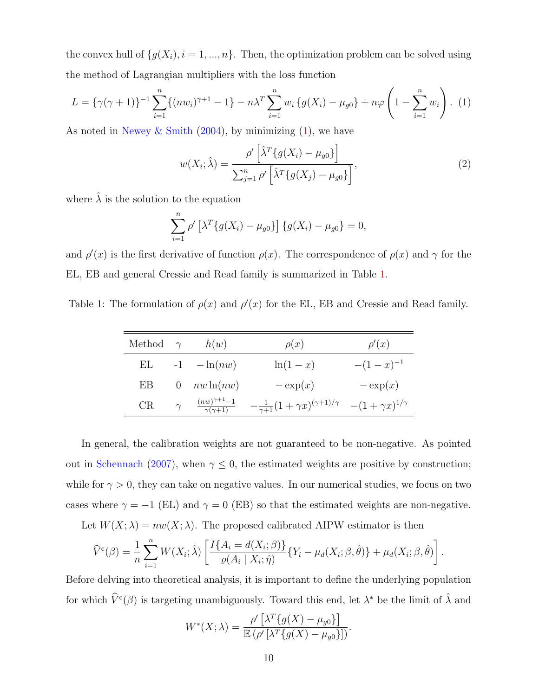the convex hull of  $\{g(X_i), i = 1, ..., n\}$ . Then, the optimization problem can be solved using the method of Lagrangian multipliers with the loss function

$$
L = \{\gamma(\gamma + 1)\}^{-1} \sum_{i=1}^{n} \{(nw_i)^{\gamma + 1} - 1\} - n\lambda^T \sum_{i=1}^{n} w_i \{g(X_i) - \mu_{g0}\} + n\varphi \left(1 - \sum_{i=1}^{n} w_i\right). (1)
$$

As noted in Newey & Smith  $(2004)$ , by minimizing  $(1)$ , we have

$$
w(X_i; \hat{\lambda}) = \frac{\rho' \left[ \hat{\lambda}^T \{ g(X_i) - \mu_{g0} \} \right]}{\sum_{j=1}^n \rho' \left[ \hat{\lambda}^T \{ g(X_j) - \mu_{g0} \} \right]},
$$
\n(2)

where  $\hat{\lambda}$  is the solution to the equation

$$
\sum_{i=1}^{n} \rho' \left[ \lambda^T \{ g(X_i) - \mu_{g0} \} \right] \{ g(X_i) - \mu_{g0} \} = 0,
$$

and  $\rho'(x)$  is the first derivative of function  $\rho(x)$ . The correspondence of  $\rho(x)$  and  $\gamma$  for the EL, EB and general Cressie and Read family is summarized in Table 1.

Table 1: The formulation of  $\rho(x)$  and  $\rho'(x)$  for the EL, EB and Cressie and Read family.

| Method $\gamma$ |          | h(w)                                         | $\rho(x)$                                             | $\rho'(x)$                 |
|-----------------|----------|----------------------------------------------|-------------------------------------------------------|----------------------------|
| EL              |          | $-1$ $-\ln(nw)$                              | $\ln(1-x)$                                            | $-(1-x)^{-1}$              |
| EB              | $\theta$ | $nw\ln(nw)$                                  | $-\exp(x)$                                            | $-\exp(x)$                 |
| CR.             | $\gamma$ | $\frac{(nw)^{\gamma+1}-1}{\gamma(\gamma+1)}$ | $-\frac{1}{\gamma+1}(1+\gamma x)^{(\gamma+1)/\gamma}$ | $-(1+\gamma x)^{1/\gamma}$ |

In general, the calibration weights are not guaranteed to be non-negative. As pointed out in Schennach (2007), when  $\gamma \leq 0$ , the estimated weights are positive by construction; while for  $\gamma > 0$ , they can take on negative values. In our numerical studies, we focus on two cases where  $\gamma = -1$  (EL) and  $\gamma = 0$  (EB) so that the estimated weights are non-negative.

Let  $W(X; \lambda) = nw(X; \lambda)$ . The proposed calibrated AIPW estimator is then

$$
\widehat{V}^{c}(\beta) = \frac{1}{n} \sum_{i=1}^{n} W(X_i; \widehat{\lambda}) \left[ \frac{I\{A_i = d(X_i; \beta)\}}{\varrho(A_i \mid X_i; \widehat{\eta})} \{Y_i - \mu_d(X_i; \beta, \widehat{\theta})\} + \mu_d(X_i; \beta, \widehat{\theta}) \right].
$$

Before delving into theoretical analysis, it is important to define the underlying population for which  $\hat{V}^c(\beta)$  is targeting unambiguously. Toward this end, let  $\lambda^*$  be the limit of  $\hat{\lambda}$  and

$$
W^*(X; \lambda) = \frac{\rho' \left[ \lambda^T \{ g(X) - \mu_{g0} \} \right]}{\mathbb{E} \left( \rho' \left[ \lambda^T \{ g(X) - \mu_{g0} \} \right] \right)}.
$$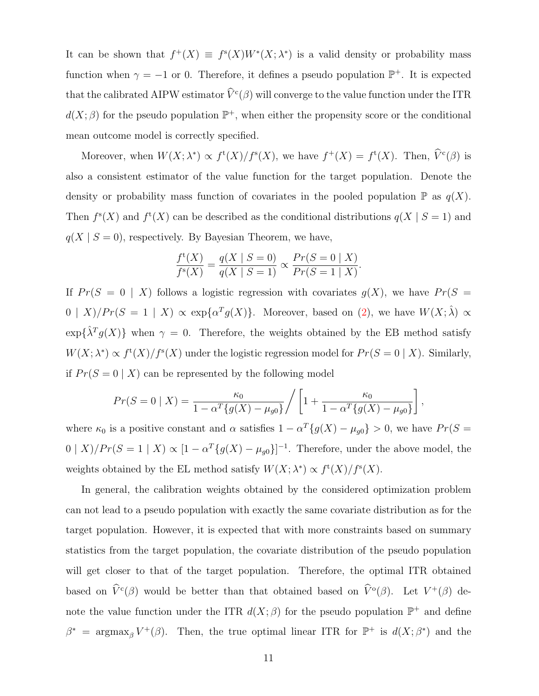It can be shown that  $f^+(X) \equiv f^s(X)W^*(X; \lambda^*)$  is a valid density or probability mass function when  $\gamma = -1$  or 0. Therefore, it defines a pseudo population  $\mathbb{P}^+$ . It is expected that the calibrated AIPW estimator  $\hat{V}^c(\beta)$  will converge to the value function under the ITR  $d(X;\beta)$  for the pseudo population  $\mathbb{P}^+$ , when either the propensity score or the conditional mean outcome model is correctly specified.

Moreover, when  $W(X; \lambda^*) \propto f^{\mathsf{t}}(X)/f^{\mathsf{s}}(X)$ , we have  $f^+(X) = f^{\mathsf{t}}(X)$ . Then,  $\hat{V}^{\mathsf{c}}(\beta)$  is also a consistent estimator of the value function for the target population. Denote the density or probability mass function of covariates in the pooled population  $\mathbb P$  as  $q(X)$ . Then  $f^s(X)$  and  $f^t(X)$  can be described as the conditional distributions  $q(X \mid S = 1)$  and  $q(X \mid S = 0)$ , respectively. By Bayesian Theorem, we have,

$$
\frac{f^{t}(X)}{f^{s}(X)} = \frac{q(X \mid S = 0)}{q(X \mid S = 1)} \propto \frac{Pr(S = 0 \mid X)}{Pr(S = 1 \mid X)}.
$$

If  $Pr(S = 0 | X)$  follows a logistic regression with covariates  $g(X)$ , we have  $Pr(S = 1)$  $0 | X \rangle / Pr(S = 1 | X) \propto \exp\{\alpha^T g(X)\}.$  Moreover, based on (2), we have  $W(X; \hat{\lambda}) \propto$  $\exp{\{\hat{\lambda}^T g(X)}\}$  when  $\gamma = 0$ . Therefore, the weights obtained by the EB method satisfy  $W(X; \lambda^*) \propto f^{\text{t}}(X) / f^{\text{s}}(X)$  under the logistic regression model for  $Pr(S = 0 | X)$ . Similarly, if  $Pr(S = 0 | X)$  can be represented by the following model

$$
Pr(S = 0 | X) = \frac{\kappa_0}{1 - \alpha^T \{g(X) - \mu_{g0}\}} / \left[1 + \frac{\kappa_0}{1 - \alpha^T \{g(X) - \mu_{g0}\}}\right],
$$

where  $\kappa_0$  is a positive constant and  $\alpha$  satisfies  $1 - \alpha^T \{g(X) - \mu_{g0}\} > 0$ , we have  $Pr(S =$  $0 | X | / Pr(S = 1 | X) \propto [1 - \alpha^T \{g(X) - \mu_{g0}\}]^{-1}$ . Therefore, under the above model, the weights obtained by the EL method satisfy  $W(X; \lambda^*) \propto f^{\text{t}}(X) / f^{\text{s}}(X)$ .

In general, the calibration weights obtained by the considered optimization problem can not lead to a pseudo population with exactly the same covariate distribution as for the target population. However, it is expected that with more constraints based on summary statistics from the target population, the covariate distribution of the pseudo population will get closer to that of the target population. Therefore, the optimal ITR obtained based on  $\hat{V}^c(\beta)$  would be better than that obtained based on  $\hat{V}^o(\beta)$ . Let  $V^+(\beta)$  denote the value function under the ITR  $d(X;\beta)$  for the pseudo population  $\mathbb{P}^+$  and define  $\beta^*$  = argmax<sub>β</sub> V<sup>+</sup>( $\beta$ ). Then, the true optimal linear ITR for  $\mathbb{P}^+$  is  $d(X;\beta^*)$  and the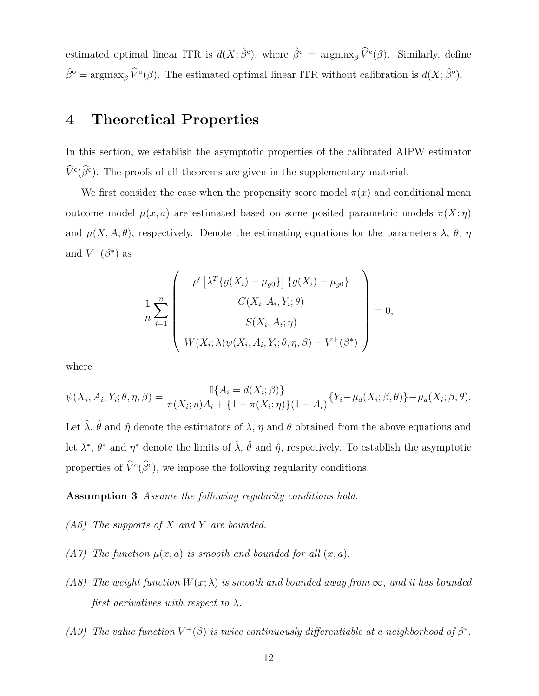estimated optimal linear ITR is  $d(X; \hat{\beta}^c)$ , where  $\hat{\beta}^c = \operatorname{argmax}_{\beta} \widehat{V}^c(\beta)$ . Similarly, define  $\hat{\beta}^{\circ} = \operatorname{argmax}_{\beta} \widehat{V}^{\circ}(\beta)$ . The estimated optimal linear ITR without calibration is  $d(X; \widehat{\beta}^{\circ})$ .

# 4 Theoretical Properties

In this section, we establish the asymptotic properties of the calibrated AIPW estimator  $\hat{V}^c(\hat{\beta}^c)$ . The proofs of all theorems are given in the supplementary material.

We first consider the case when the propensity score model  $\pi(x)$  and conditional mean outcome model  $\mu(x, a)$  are estimated based on some posited parametric models  $\pi(X; \eta)$ and  $\mu(X, A; \theta)$ , respectively. Denote the estimating equations for the parameters  $\lambda$ ,  $\theta$ ,  $\eta$ and  $V^+(\beta^*)$  as

$$
\frac{1}{n} \sum_{i=1}^{n} \begin{pmatrix} \rho' \left[ \lambda^T \{ g(X_i) - \mu_{g0} \} \right] \{ g(X_i) - \mu_{g0} \} \\ C(X_i, A_i, Y_i; \theta) \\ S(X_i, A_i; \eta) \\ W(X_i; \lambda) \psi(X_i, A_i, Y_i; \theta, \eta, \beta) - V^+(\beta^*) \end{pmatrix} = 0,
$$

where

$$
\psi(X_i, A_i, Y_i; \theta, \eta, \beta) = \frac{\mathbb{I}\{A_i = d(X_i; \beta)\}}{\pi(X_i; \eta)A_i + \{1 - \pi(X_i; \eta)\}(1 - A_i)} \{Y_i - \mu_d(X_i; \beta, \theta)\} + \mu_d(X_i; \beta, \theta).
$$

Let  $\hat{\lambda}$ ,  $\hat{\theta}$  and  $\hat{\eta}$  denote the estimators of  $\lambda$ ,  $\eta$  and  $\theta$  obtained from the above equations and let  $\lambda^*, \theta^*$  and  $\eta^*$  denote the limits of  $\hat{\lambda}, \hat{\theta}$  and  $\hat{\eta}$ , respectively. To establish the asymptotic properties of  $\hat{V}^c(\beta^c)$ , we impose the following regularity conditions.

Assumption 3 Assume the following regularity conditions hold.

- $(A6)$  The supports of X and Y are bounded.
- (A7) The function  $\mu(x, a)$  is smooth and bounded for all  $(x, a)$ .
- (A8) The weight function  $W(x; \lambda)$  is smooth and bounded away from  $\infty$ , and it has bounded first derivatives with respect to  $\lambda$ .
- (A9) The value function  $V^+(\beta)$  is twice continuously differentiable at a neighborhood of  $\beta^*$ .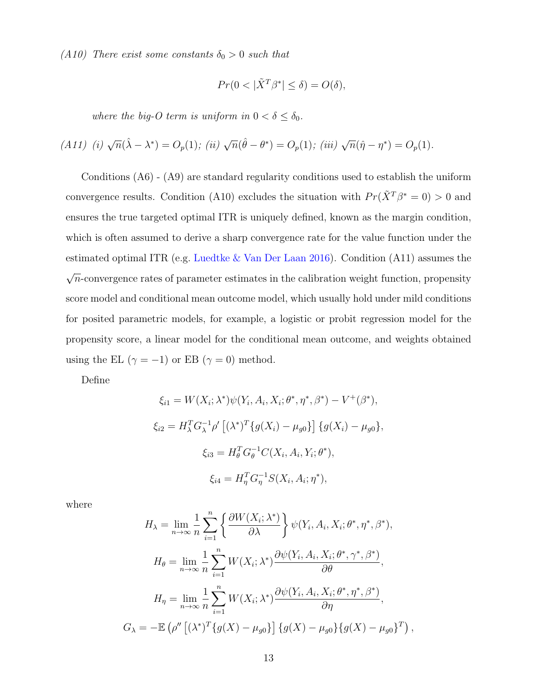(A10) There exist some constants  $\delta_0 > 0$  such that

$$
Pr(0 < |\tilde{X}^T \beta^*| \le \delta) = O(\delta),
$$

where the big-O term is uniform in  $0 < \delta \leq \delta_0$ .

(A11) (i) 
$$
\sqrt{n}(\hat{\lambda} - \lambda^*) = O_p(1)
$$
; (ii)  $\sqrt{n}(\hat{\theta} - \theta^*) = O_p(1)$ ; (iii)  $\sqrt{n}(\hat{\eta} - \eta^*) = O_p(1)$ .

Conditions (A6) - (A9) are standard regularity conditions used to establish the uniform convergence results. Condition (A10) excludes the situation with  $Pr(\tilde{X}^T \beta^* = 0) > 0$  and ensures the true targeted optimal ITR is uniquely defined, known as the margin condition, which is often assumed to derive a sharp convergence rate for the value function under the estimated optimal ITR (e.g. Luedtke & Van Der Laan 2016). Condition (A11) assumes the  $\sqrt{n}$ -convergence rates of parameter estimates in the calibration weight function, propensity score model and conditional mean outcome model, which usually hold under mild conditions for posited parametric models, for example, a logistic or probit regression model for the propensity score, a linear model for the conditional mean outcome, and weights obtained using the EL ( $\gamma = -1$ ) or EB ( $\gamma = 0$ ) method.

Define

$$
\xi_{i1} = W(X_i; \lambda^*) \psi(Y_i, A_i, X_i; \theta^*, \eta^*, \beta^*) - V^+(\beta^*),
$$
  
\n
$$
\xi_{i2} = H_{\lambda}^T G_{\lambda}^{-1} \rho' \left[ (\lambda^*)^T \{ g(X_i) - \mu_{g0} \} \right] \{ g(X_i) - \mu_{g0} \},
$$
  
\n
$$
\xi_{i3} = H_{\theta}^T G_{\theta}^{-1} C(X_i, A_i, Y_i; \theta^*),
$$
  
\n
$$
\xi_{i4} = H_{\eta}^T G_{\eta}^{-1} S(X_i, A_i; \eta^*),
$$

where

$$
H_{\lambda} = \lim_{n \to \infty} \frac{1}{n} \sum_{i=1}^{n} \left\{ \frac{\partial W(X_i; \lambda^*)}{\partial \lambda} \right\} \psi(Y_i, A_i, X_i; \theta^*, \eta^*, \beta^*),
$$
  
\n
$$
H_{\theta} = \lim_{n \to \infty} \frac{1}{n} \sum_{i=1}^{n} W(X_i; \lambda^*) \frac{\partial \psi(Y_i, A_i, X_i; \theta^*, \gamma^*, \beta^*)}{\partial \theta},
$$
  
\n
$$
H_{\eta} = \lim_{n \to \infty} \frac{1}{n} \sum_{i=1}^{n} W(X_i; \lambda^*) \frac{\partial \psi(Y_i, A_i, X_i; \theta^*, \eta^*, \beta^*)}{\partial \eta},
$$
  
\n
$$
G_{\lambda} = -\mathbb{E} \left( \rho'' \left[ (\lambda^*)^T \{ g(X) - \mu_{g0} \} \right] \{ g(X) - \mu_{g0} \} \{ g(X) - \mu_{g0} \}^T \right),
$$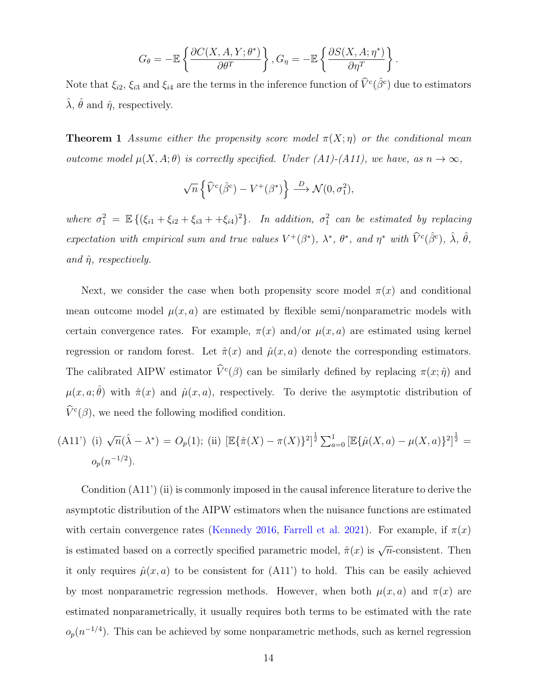$$
G_{\theta} = -\mathbb{E}\left\{\frac{\partial C(X, A, Y; \theta^*)}{\partial \theta^T}\right\}, G_{\eta} = -\mathbb{E}\left\{\frac{\partial S(X, A; \eta^*)}{\partial \eta^T}\right\}.
$$

Note that  $\xi_{i2}$ ,  $\xi_{i3}$  and  $\xi_{i4}$  are the terms in the inference function of  $\hat{V}^c(\hat{\beta}^c)$  due to estimators  $\hat{\lambda}$ ,  $\hat{\theta}$  and  $\hat{\eta}$ , respectively.

**Theorem 1** Assume either the propensity score model  $\pi(X; \eta)$  or the conditional mean outcome model  $μ(X, A; θ)$  is correctly specified. Under  $(A1)$ - $(A11)$ , we have, as  $n → ∞$ ,

$$
\sqrt{n}\left\{\widehat{V}^c(\widehat{\beta}^c) - V^+(\beta^*)\right\} \stackrel{D}{\longrightarrow} \mathcal{N}(0, \sigma_1^2),
$$

where  $\sigma_1^2 = \mathbb{E} \{ (\xi_{i1} + \xi_{i2} + \xi_{i3} + \xi_{i4})^2 \}$ . In addition,  $\sigma_1^2$  can be estimated by replacing expectation with empirical sum and true values  $V^+(\beta^*)$ ,  $\lambda^*$ ,  $\theta^*$ , and  $\eta^*$  with  $\widehat{V}^c(\widehat{\beta}^c)$ ,  $\widehat{\lambda}$ ,  $\widehat{\theta}$ , and  $\hat{\eta}$ , respectively.

Next, we consider the case when both propensity score model  $\pi(x)$  and conditional mean outcome model  $\mu(x, a)$  are estimated by flexible semi/nonparametric models with certain convergence rates. For example,  $\pi(x)$  and/or  $\mu(x, a)$  are estimated using kernel regression or random forest. Let  $\hat{\pi}(x)$  and  $\hat{\mu}(x, a)$  denote the corresponding estimators. The calibrated AIPW estimator  $\hat{V}^c(\beta)$  can be similarly defined by replacing  $\pi(x; \hat{\eta})$  and  $\mu(x, a; \hat{\theta})$  with  $\hat{\pi}(x)$  and  $\hat{\mu}(x, a)$ , respectively. To derive the asymptotic distribution of  $\hat{V}^c(\beta)$ , we need the following modified condition.

(A11') (i) 
$$
\sqrt{n}(\hat{\lambda} - \lambda^*) = O_p(1)
$$
; (ii)  $[\mathbb{E}\{\hat{\pi}(X) - \pi(X)\}^2]^{\frac{1}{2}} \sum_{a=0}^1 [\mathbb{E}\{\hat{\mu}(X, a) - \mu(X, a)\}^2]^{\frac{1}{2}} =$   
 $o_p(n^{-1/2}).$ 

Condition (A11') (ii) is commonly imposed in the causal inference literature to derive the asymptotic distribution of the AIPW estimators when the nuisance functions are estimated with certain convergence rates (Kennedy 2016, Farrell et al. 2021). For example, if  $\pi(x)$ is estimated based on a correctly specified parametric model,  $\hat{\pi}(x)$  is  $\sqrt{n}$ -consistent. Then it only requires  $\hat{\mu}(x, a)$  to be consistent for  $(A11')$  to hold. This can be easily achieved by most nonparametric regression methods. However, when both  $\mu(x, a)$  and  $\pi(x)$  are estimated nonparametrically, it usually requires both terms to be estimated with the rate  $o_p(n^{-1/4})$ . This can be achieved by some nonparametric methods, such as kernel regression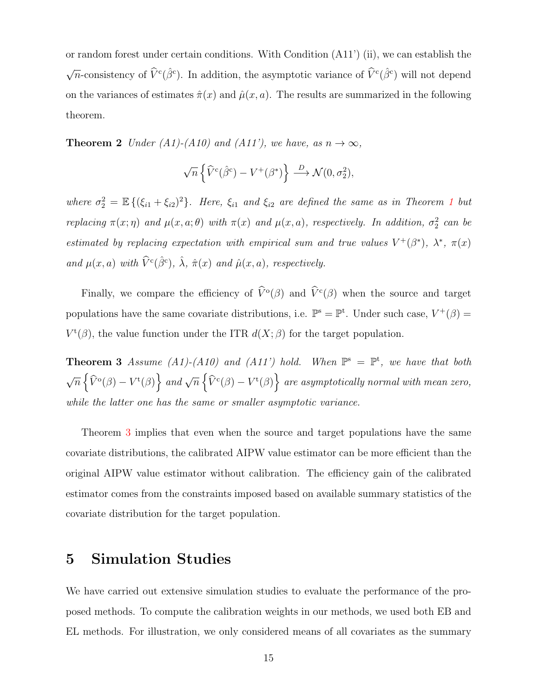or random forest under certain conditions. With Condition (A11') (ii), we can establish the  $\sqrt{n}$ -consistency of  $\hat{V}^c(\hat{\beta}^c)$ . In addition, the asymptotic variance of  $\hat{V}^c(\hat{\beta}^c)$  will not depend on the variances of estimates  $\hat{\pi}(x)$  and  $\hat{\mu}(x, a)$ . The results are summarized in the following theorem.

**Theorem 2** Under (A1)-(A10) and (A11'), we have, as  $n \to \infty$ ,

$$
\sqrt{n}\left\{\widehat{V}^c(\widehat{\beta}^c) - V^+(\beta^*)\right\} \stackrel{D}{\longrightarrow} \mathcal{N}(0, \sigma_2^2),
$$

where  $\sigma_2^2 = \mathbb{E} \{(\xi_{i1} + \xi_{i2})^2\}$ . Here,  $\xi_{i1}$  and  $\xi_{i2}$  are defined the same as in Theorem 1 but replacing  $\pi(x;\eta)$  and  $\mu(x,a;\theta)$  with  $\pi(x)$  and  $\mu(x,a)$ , respectively. In addition,  $\sigma_2^2$  can be estimated by replacing expectation with empirical sum and true values  $V^+(\beta^*)$ ,  $\lambda^*$ ,  $\pi(x)$ and  $\mu(x, a)$  with  $\widehat{V}^c(\widehat{\beta}^c)$ ,  $\widehat{\lambda}$ ,  $\widehat{\pi}(x)$  and  $\widehat{\mu}(x, a)$ , respectively.

Finally, we compare the efficiency of  $\tilde{V}^{\text{o}}(\beta)$  and  $\tilde{V}^{\text{c}}(\beta)$  when the source and target populations have the same covariate distributions, i.e.  $\mathbb{P}^s = \mathbb{P}^t$ . Under such case,  $V^+(\beta) =$  $V^{\mathfrak{t}}(\beta)$ , the value function under the ITR  $d(X;\beta)$  for the target population.

**Theorem 3** Assume (A1)-(A10) and (A11') hold. When  $\mathbb{P}^s = \mathbb{P}^t$ , we have that both  $\sqrt{n} \left\{ \widehat{V}^{\mathfrak{a}}(\beta) - V^{\mathfrak{t}}(\beta) \right\}$  and  $\sqrt{n} \left\{ \widehat{V}^{\mathfrak{c}}(\beta) - V^{\mathfrak{t}}(\beta) \right\}$  are asymptotically normal with mean zero, while the latter one has the same or smaller asymptotic variance.

Theorem 3 implies that even when the source and target populations have the same covariate distributions, the calibrated AIPW value estimator can be more efficient than the original AIPW value estimator without calibration. The efficiency gain of the calibrated estimator comes from the constraints imposed based on available summary statistics of the covariate distribution for the target population.

### 5 Simulation Studies

We have carried out extensive simulation studies to evaluate the performance of the proposed methods. To compute the calibration weights in our methods, we used both EB and EL methods. For illustration, we only considered means of all covariates as the summary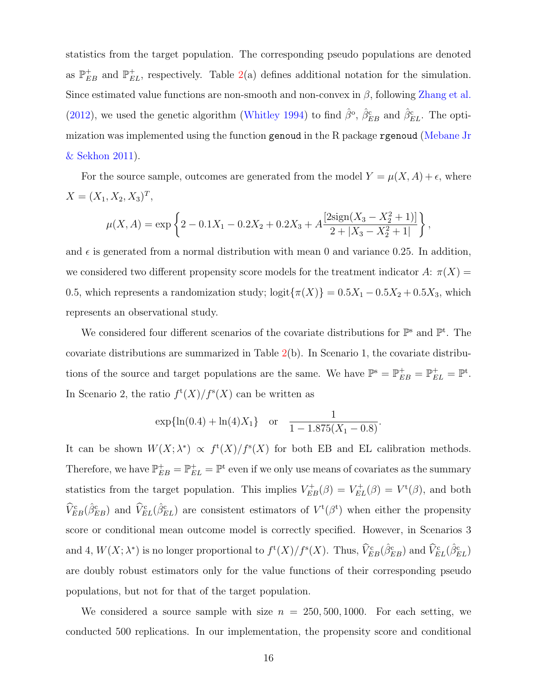statistics from the target population. The corresponding pseudo populations are denoted as  $\mathbb{P}_{EB}^+$  and  $\mathbb{P}_{EL}^+$ , respectively. Table 2(a) defines additional notation for the simulation. Since estimated value functions are non-smooth and non-convex in  $\beta$ , following Zhang et al. (2012), we used the genetic algorithm (Whitley 1994) to find  $\hat{\beta}^{\circ}$ ,  $\hat{\beta}_{EB}^{\rm c}$  and  $\hat{\beta}_{EL}^{\rm c}$ . The optimization was implemented using the function genoud in the R package rgenoud (Mebane Jr & Sekhon 2011).

For the source sample, outcomes are generated from the model  $Y = \mu(X, A) + \epsilon$ , where  $X = (X_1, X_2, X_3)^T,$ 

$$
\mu(X, A) = \exp \left\{ 2 - 0.1X_1 - 0.2X_2 + 0.2X_3 + A \frac{[2 \text{sign}(X_3 - X_2^2 + 1)]}{2 + |X_3 - X_2^2 + 1|} \right\},\,
$$

and  $\epsilon$  is generated from a normal distribution with mean 0 and variance 0.25. In addition, we considered two different propensity score models for the treatment indicator  $A: \pi(X) =$ 0.5, which represents a randomization study;  $\logit{\pi(X)} = 0.5X_1 - 0.5X_2 + 0.5X_3$ , which represents an observational study.

We considered four different scenarios of the covariate distributions for  $\mathbb{P}^s$  and  $\mathbb{P}^t$ . The covariate distributions are summarized in Table  $2(b)$ . In Scenario 1, the covariate distributions of the source and target populations are the same. We have  $\mathbb{P}^s = \mathbb{P}_{EB}^+ = \mathbb{P}_{EL}^+ = \mathbb{P}^t$ . In Scenario 2, the ratio  $f^{\rm t}(X)/f^{\rm s}(X)$  can be written as

$$
\exp{\ln(0.4) + \ln(4)X_1}
$$
 or  $\frac{1}{1 - 1.875(X_1 - 0.8)}$ .

It can be shown  $W(X; \lambda^*) \propto f^{\mathrm{t}}(X)/f^{\mathrm{s}}(X)$  for both EB and EL calibration methods. Therefore, we have  $\mathbb{P}_{EB}^+ = \mathbb{P}_{EL}^+ = \mathbb{P}^{\text{t}}$  even if we only use means of covariates as the summary statistics from the target population. This implies  $V_{EB}^{+}(\beta) = V_{EL}^{+}(\beta) = V^{+}(\beta)$ , and both  $\hat{V}_{EB}^c(\hat{\beta}_{EB}^c)$  and  $\hat{V}_{EL}^c(\hat{\beta}_{EL}^c)$  are consistent estimators of  $V^t(\beta^t)$  when either the propensity score or conditional mean outcome model is correctly specified. However, in Scenarios 3 and 4,  $W(X; \lambda^*)$  is no longer proportional to  $f^{\rm t}(X)/f^{\rm s}(X)$ . Thus,  $\widehat{V}_{EB}^{\rm c}(\hat{\beta}_{EB}^{\rm c})$  and  $\widehat{V}_{EL}^{\rm c}(\hat{\beta}_{EL}^{\rm c})$ are doubly robust estimators only for the value functions of their corresponding pseudo populations, but not for that of the target population.

We considered a source sample with size  $n = 250, 500, 1000$ . For each setting, we conducted 500 replications. In our implementation, the propensity score and conditional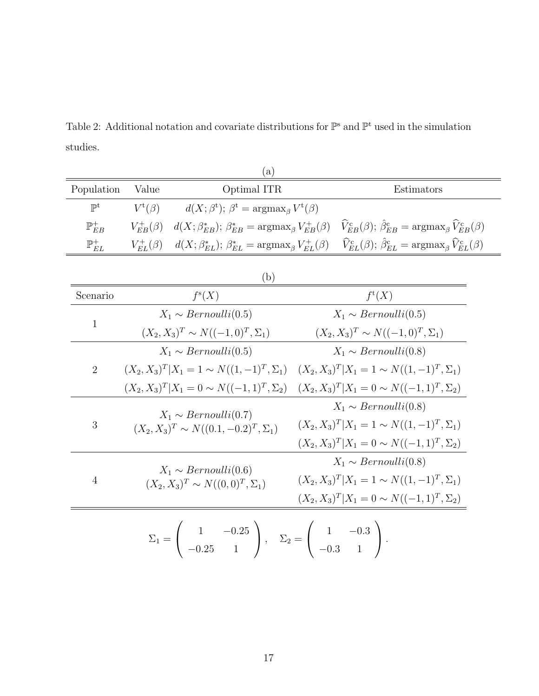Table 2: Additional notation and covariate distributions for  $\mathbb{P}^s$  and  $\mathbb{P}^t$  used in the simulation studies.

|                     |                                                | (a)                                                                                                                                                                   |  |                                                                                                                                                                            |  |  |
|---------------------|------------------------------------------------|-----------------------------------------------------------------------------------------------------------------------------------------------------------------------|--|----------------------------------------------------------------------------------------------------------------------------------------------------------------------------|--|--|
| Population          | Value                                          | Optimal ITR                                                                                                                                                           |  | Estimators                                                                                                                                                                 |  |  |
| $\mathbb{P}^t$      | $V^{\rm t}(\beta)$                             | $d(X; \beta^t); \beta^t = \operatorname{argmax}_{\beta} V^t(\beta)$                                                                                                   |  |                                                                                                                                                                            |  |  |
| $\mathbb{P}_{EB}^+$ | $V_{EB}^{+}(\beta)$                            |                                                                                                                                                                       |  | $d(X; \beta_{EB}^*)$ ; $\beta_{EB}^* = \text{argmax}_{\beta} V_{EB}^+(\beta)$ $\hat{V}_{EB}^c(\beta)$ ; $\hat{\beta}_{EB}^c = \text{argmax}_{\beta} \hat{V}_{EB}^c(\beta)$ |  |  |
| $\mathbb{P}_{EL}^+$ | $V_{EL}^{+}(\beta)$                            | $d(X; \beta_{EL}^*)$ ; $\beta_{EL}^* = \argmax_{\beta} V_{EL}^{+}(\beta)$                                                                                             |  | $\widehat{V}_{EL}^{c}(\beta); \widehat{\beta}_{EL}^{c} = \arg \max_{\beta} \widehat{V}_{EL}^{c}(\beta)$                                                                    |  |  |
|                     |                                                | (b)                                                                                                                                                                   |  |                                                                                                                                                                            |  |  |
| Scenario            |                                                | $f^s(X)$                                                                                                                                                              |  | $f^{\rm t}(X)$                                                                                                                                                             |  |  |
|                     |                                                | $X_1 \sim Bernoulli(0.5)$                                                                                                                                             |  | $X_1 \sim Bernoulli(0.5)$                                                                                                                                                  |  |  |
| $\mathbf{1}$        |                                                | $(X_2, X_3)^T \sim N((-1, 0)^T, \Sigma_1)$                                                                                                                            |  | $(X_2, X_3)^T \sim N((-1, 0)^T, \Sigma_1)$                                                                                                                                 |  |  |
|                     |                                                | $X_1 \sim Bernoulli(0.5)$                                                                                                                                             |  | $X_1 \sim Bernoulli(0.8)$                                                                                                                                                  |  |  |
| $\overline{2}$      |                                                |                                                                                                                                                                       |  | $(X_2, X_3)^T   X_1 = 1 \sim N((1, -1)^T, \Sigma_1)$ $(X_2, X_3)^T   X_1 = 1 \sim N((1, -1)^T, \Sigma_1)$                                                                  |  |  |
|                     |                                                | $(X_2, X_3)^T   X_1 = 0 \sim N((-1, 1)^T, \Sigma_2)$                                                                                                                  |  | $(X_2, X_3)^T   X_1 = 0 \sim N((-1, 1)^T, \Sigma_2)$                                                                                                                       |  |  |
|                     |                                                | $X_1 \sim Bernoulli(0.7)$                                                                                                                                             |  | $X_1 \sim Bernoulli(0.8)$                                                                                                                                                  |  |  |
| 3                   | $(X_2, X_3)^T \sim N((0.1, -0.2)^T, \Sigma_1)$ | $(X_2, X_3)^T   X_1 = 1 \sim N((1, -1)^T, \Sigma_1)$                                                                                                                  |  |                                                                                                                                                                            |  |  |
|                     |                                                |                                                                                                                                                                       |  | $(X_2, X_3)^T   X_1 = 0 \sim N((-1, 1)^T, \Sigma_2)$                                                                                                                       |  |  |
|                     |                                                | $X_1 \sim Bernoulli(0.6)$                                                                                                                                             |  | $X_1 \sim Bernoulli(0.8)$                                                                                                                                                  |  |  |
| $\overline{4}$      | $(X_2, X_3)^T \sim N((0,0)^T, \Sigma_1)$       | $(X_2, X_3)^T   X_1 = 1 \sim N((1, -1)^T, \Sigma_1)$                                                                                                                  |  |                                                                                                                                                                            |  |  |
|                     |                                                |                                                                                                                                                                       |  | $(X_2, X_3)^T   X_1 = 0 \sim N((-1, 1)^T, \Sigma_2)$                                                                                                                       |  |  |
|                     |                                                | $\Sigma_1 = \left( \begin{array}{cc} 1 & -0.25 \\ -0.25 & 1 \end{array} \right), \quad \Sigma_2 = \left( \begin{array}{cc} 1 & -0.3 \\ -0.3 & 1 \end{array} \right).$ |  |                                                                                                                                                                            |  |  |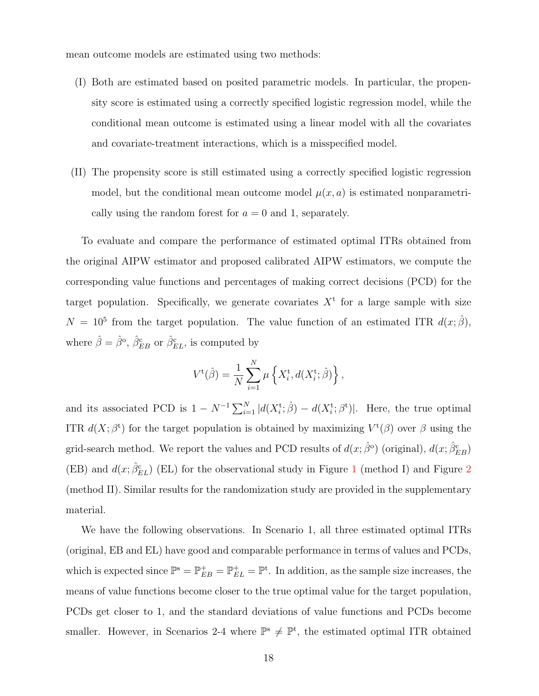mean outcome models are estimated using two methods:

- (I) Both are estimated based on posited parametric models. In particular, the propensity score is estimated using a correctly specified logistic regression model, while the conditional mean outcome is estimated using a linear model with all the covariates and covariate-treatment interactions, which is a misspecified model.
- (II) The propensity score is still estimated using a correctly specified logistic regression model, but the conditional mean outcome model  $\mu(x, a)$  is estimated nonparametrically using the random forest for  $a = 0$  and 1, separately.

To evaluate and compare the performance of estimated optimal ITRs obtained from the original AIPW estimator and proposed calibrated AIPW estimators, we compute the corresponding value functions and percentages of making correct decisions (PCD) for the target population. Specifically, we generate covariates  $X<sup>t</sup>$  for a large sample with size  $N = 10^5$  from the target population. The value function of an estimated ITR  $d(x; \hat{\beta})$ , where  $\hat{\beta} = \hat{\beta}^{\circ}$ ,  $\hat{\beta}_{EB}^{\text{c}}$  or  $\hat{\beta}_{EL}^{\text{c}}$ , is computed by

$$
V^{\rm t}(\hat{\beta}) = \frac{1}{N} \sum_{i=1}^{N} \mu \left\{ X_i^{\rm t}, d(X_i^{\rm t}; \hat{\beta}) \right\},\,
$$

and its associated PCD is  $1 - N^{-1} \sum_{i=1}^{N} |d(X_i^{\text{t}}; \hat{\beta}) - d(X_i^{\text{t}}; \beta^{\text{t}})|$ . Here, the true optimal ITR  $d(X; \beta^t)$  for the target population is obtained by maximizing  $V^t(\beta)$  over  $\beta$  using the grid-search method. We report the values and PCD results of  $d(x; \hat{\beta}^{\circ})$  (original),  $d(x; \hat{\beta}_{EB}^{\circ})$ (EB) and  $d(x;\hat{\beta}_{EL}^{c})$  (EL) for the observational study in Figure 1 (method I) and Figure 2 (method II). Similar results for the randomization study are provided in the supplementary material.

We have the following observations. In Scenario 1, all three estimated optimal ITRs (original, EB and EL) have good and comparable performance in terms of values and PCDs, which is expected since  $\mathbb{P}^s = \mathbb{P}_{EB}^+ = \mathbb{P}_{EL}^+ = \mathbb{P}^t$ . In addition, as the sample size increases, the means of value functions become closer to the true optimal value for the target population, PCDs get closer to 1, and the standard deviations of value functions and PCDs become smaller. However, in Scenarios 2-4 where  $\mathbb{P}^s \neq \mathbb{P}^t$ , the estimated optimal ITR obtained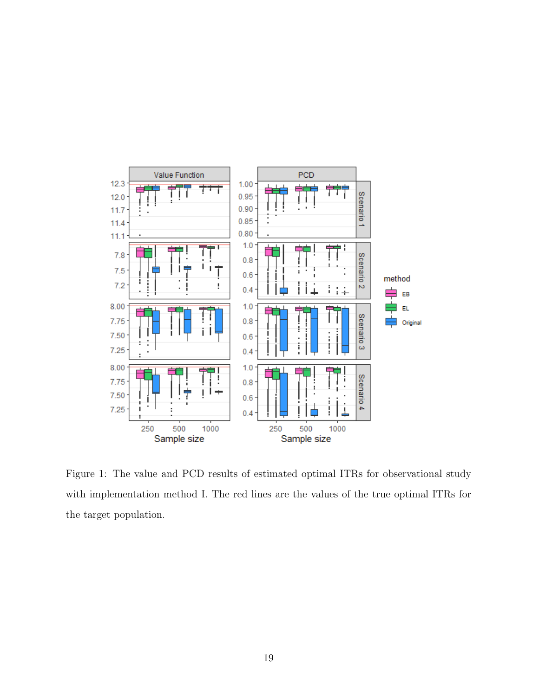

Figure 1: The value and PCD results of estimated optimal ITRs for observational study with implementation method I. The red lines are the values of the true optimal ITRs for the target population.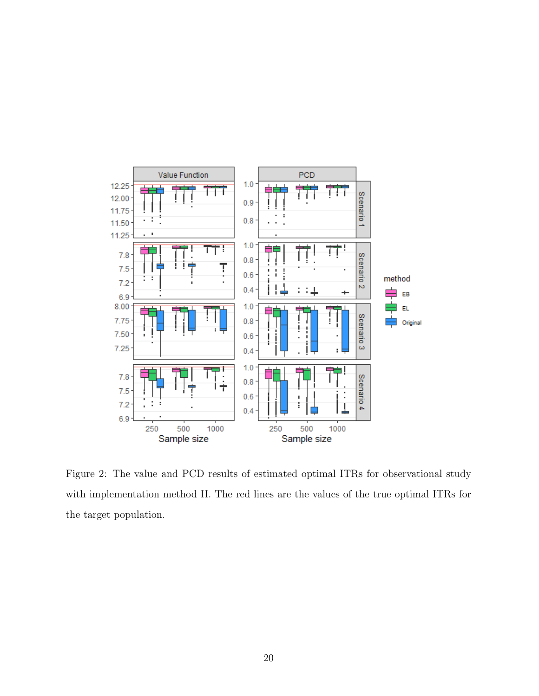

Figure 2: The value and PCD results of estimated optimal ITRs for observational study with implementation method II. The red lines are the values of the true optimal ITRs for the target population.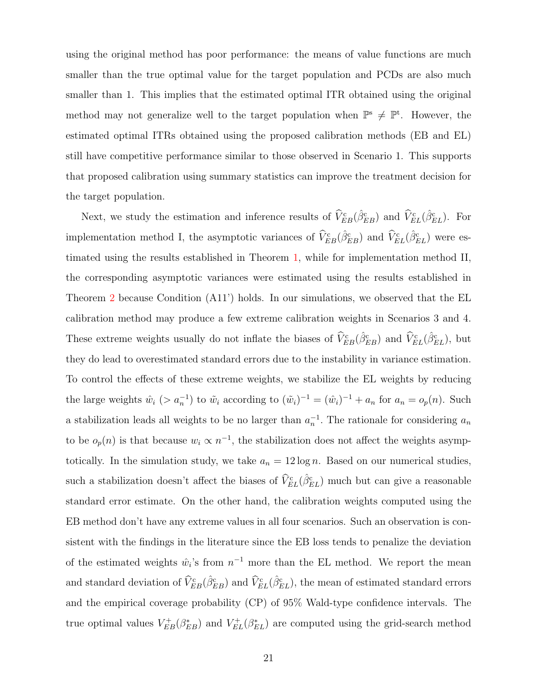using the original method has poor performance: the means of value functions are much smaller than the true optimal value for the target population and PCDs are also much smaller than 1. This implies that the estimated optimal ITR obtained using the original method may not generalize well to the target population when  $\mathbb{P}^s \neq \mathbb{P}^t$ . However, the estimated optimal ITRs obtained using the proposed calibration methods (EB and EL) still have competitive performance similar to those observed in Scenario 1. This supports that proposed calibration using summary statistics can improve the treatment decision for the target population.

Next, we study the estimation and inference results of  $\hat{V}_{EB}^c(\hat{\beta}_{EB}^c)$  and  $\hat{V}_{EL}^c(\hat{\beta}_{EL}^c)$ . For implementation method I, the asymptotic variances of  $\hat{V}_{EB}^c(\hat{\beta}_{EB}^c)$  and  $\hat{V}_{EL}^c(\hat{\beta}_{EL}^c)$  were estimated using the results established in Theorem 1, while for implementation method II, the corresponding asymptotic variances were estimated using the results established in Theorem 2 because Condition (A11') holds. In our simulations, we observed that the EL calibration method may produce a few extreme calibration weights in Scenarios 3 and 4. These extreme weights usually do not inflate the biases of  $\hat{V}_{EB}^c(\hat{\beta}_{EB}^c)$  and  $\hat{V}_{EL}^c(\hat{\beta}_{EL}^c)$ , but they do lead to overestimated standard errors due to the instability in variance estimation. To control the effects of these extreme weights, we stabilize the EL weights by reducing the large weights  $\hat{w}_i$  (>  $a_n^{-1}$ ) to  $\tilde{w}_i$  according to  $(\tilde{w}_i)^{-1} = (\hat{w}_i)^{-1} + a_n$  for  $a_n = o_p(n)$ . Such a stabilization leads all weights to be no larger than  $a_n^{-1}$ . The rationale for considering  $a_n$ to be  $o_p(n)$  is that because  $w_i \propto n^{-1}$ , the stabilization does not affect the weights asymptotically. In the simulation study, we take  $a_n = 12 \log n$ . Based on our numerical studies, such a stabilization doesn't affect the biases of  $\hat{V}_{EL}^c(\hat{\beta}_{EL}^c)$  much but can give a reasonable standard error estimate. On the other hand, the calibration weights computed using the EB method don't have any extreme values in all four scenarios. Such an observation is consistent with the findings in the literature since the EB loss tends to penalize the deviation of the estimated weights  $\hat{w}_i$ 's from  $n^{-1}$  more than the EL method. We report the mean and standard deviation of  $\hat{V}_{EB}^c(\hat{\beta}_{EB}^c)$  and  $\hat{V}_{EL}^c(\hat{\beta}_{EL}^c)$ , the mean of estimated standard errors and the empirical coverage probability (CP) of 95% Wald-type confidence intervals. The true optimal values  $V_{EB}^+(\beta_{EB}^*)$  and  $V_{EL}^+(\beta_{EL}^*)$  are computed using the grid-search method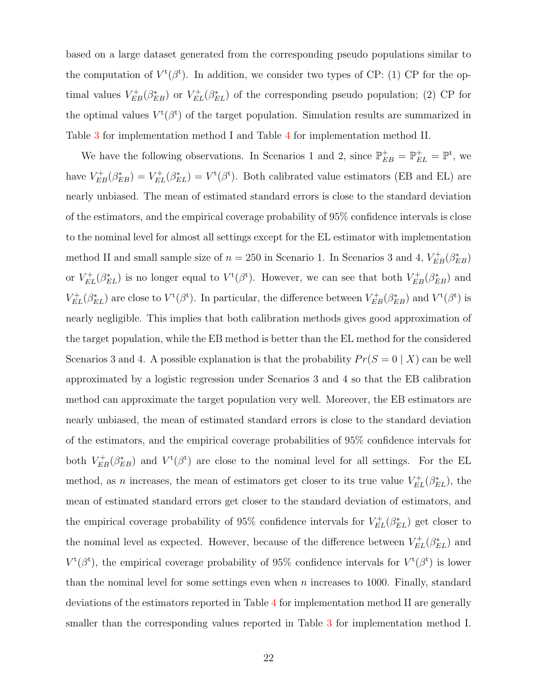based on a large dataset generated from the corresponding pseudo populations similar to the computation of  $V^{\text{t}}(\beta^{\text{t}})$ . In addition, we consider two types of CP: (1) CP for the optimal values  $V_{EB}^+(\beta_{EB}^*)$  or  $V_{EL}^+(\beta_{EL}^*)$  of the corresponding pseudo population; (2) CP for the optimal values  $V^{\rm t}(\beta^{\rm t})$  of the target population. Simulation results are summarized in Table 3 for implementation method I and Table 4 for implementation method II.

We have the following observations. In Scenarios 1 and 2, since  $\mathbb{P}_{EB}^+ = \mathbb{P}_{EL}^+ = \mathbb{P}^t$ , we have  $V_{EB}^+(\beta_{EB}^*) = V_{EL}^+(\beta_{EL}^*) = V^{\dagger}(\beta^*)$ . Both calibrated value estimators (EB and EL) are nearly unbiased. The mean of estimated standard errors is close to the standard deviation of the estimators, and the empirical coverage probability of 95% confidence intervals is close to the nominal level for almost all settings except for the EL estimator with implementation method II and small sample size of  $n = 250$  in Scenario 1. In Scenarios 3 and 4,  $V_{EB}^{+}(\beta_{EB}^{*})$ or  $V_{EL}^{+}(\beta_{EL}^{*})$  is no longer equal to  $V^{t}(\beta^{t})$ . However, we can see that both  $V_{EB}^{+}(\beta_{EB}^{*})$  and  $V_{EL}^{+}(\beta_{EL}^{*})$  are close to  $V^{t}(\beta^{t})$ . In particular, the difference between  $V_{EB}^{+}(\beta_{EB}^{*})$  and  $V^{t}(\beta^{t})$  is nearly negligible. This implies that both calibration methods gives good approximation of the target population, while the EB method is better than the EL method for the considered Scenarios 3 and 4. A possible explanation is that the probability  $Pr(S = 0 | X)$  can be well approximated by a logistic regression under Scenarios 3 and 4 so that the EB calibration method can approximate the target population very well. Moreover, the EB estimators are nearly unbiased, the mean of estimated standard errors is close to the standard deviation of the estimators, and the empirical coverage probabilities of 95% confidence intervals for both  $V_{EB}^+(\beta_{EB}^*)$  and  $V^t(\beta^*)$  are close to the nominal level for all settings. For the EL method, as *n* increases, the mean of estimators get closer to its true value  $V_{EL}^{+}(\beta_{EL}^{*})$ , the mean of estimated standard errors get closer to the standard deviation of estimators, and the empirical coverage probability of 95% confidence intervals for  $V_{EL}^{+}(\beta_{EL}^{*})$  get closer to the nominal level as expected. However, because of the difference between  $V_{EL}^{+}(\beta_{EL}^{*})$  and  $V^{\rm t}(\beta^{\rm t})$ , the empirical coverage probability of 95% confidence intervals for  $V^{\rm t}(\beta^{\rm t})$  is lower than the nominal level for some settings even when  $n$  increases to 1000. Finally, standard deviations of the estimators reported in Table 4 for implementation method II are generally smaller than the corresponding values reported in Table 3 for implementation method I.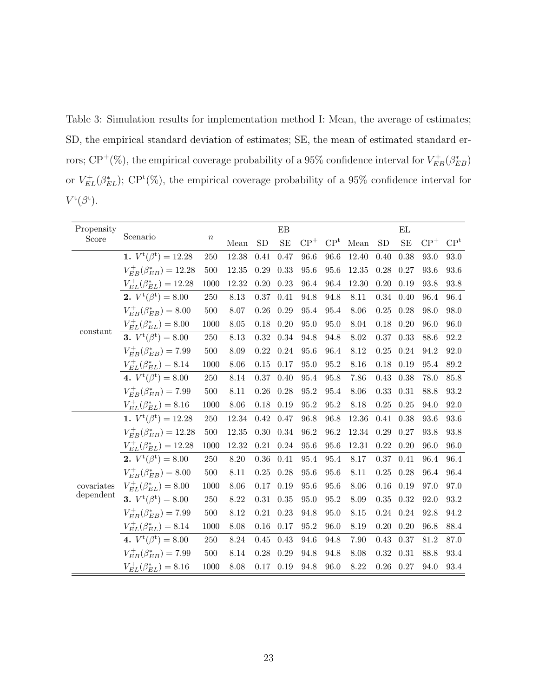Table 3: Simulation results for implementation method I: Mean, the average of estimates; SD, the empirical standard deviation of estimates; SE, the mean of estimated standard errors; CP<sup>+</sup>(%), the empirical coverage probability of a 95% confidence interval for  $V_{EB}^+(\beta_{EB}^*)$ or  $V_{EL}^{+}(\beta_{EL}^{*})$ ; CP<sup>t</sup>(%), the empirical coverage probability of a 95% confidence interval for  $V^{\rm t}(\beta^{\rm t}).$ 

| Propensity |                                       |                  |       |            | EB        |          |                 |       |          | ΕL            |       |                 |
|------------|---------------------------------------|------------------|-------|------------|-----------|----------|-----------------|-------|----------|---------------|-------|-----------------|
| Score      | Scenario                              | $\boldsymbol{n}$ | Mean  | SD         | <b>SE</b> | $CP+$    | CP <sup>t</sup> | Mean  | SD       | SE            | $CP+$ | CP <sup>t</sup> |
|            | 1. $V^{\rm t}(\beta^{\rm t}) = 12.28$ | 250              | 12.38 | 0.41       | 0.47      | 96.6     | 96.6            | 12.40 | 0.40     | 0.38          | 93.0  | 93.0            |
|            | $V_{EB}^{+}(\beta_{EB}^{*}) = 12.28$  | $500\,$          | 12.35 | 0.29       | 0.33      | 95.6     | 95.6            | 12.35 | 0.28     | 0.27          | 93.6  | 93.6            |
|            | $V_{EL}^{+}(\beta_{EL}^{*}) = 12.28$  | 1000             | 12.32 | 0.20       | 0.23      | $96.4\,$ | 96.4            | 12.30 | 0.20     | 0.19          | 93.8  | 93.8            |
|            | 2. $V^{\rm t}(\beta^{\rm t})=8.00$    | 250              | 8.13  | 0.37       | 0.41      | 94.8     | 94.8            | 8.11  | 0.34     | 0.40          | 96.4  | 96.4            |
|            | $V_{EB}^{+}(\beta_{EB}^{*}) = 8.00$   | $500\,$          | 8.07  | $0.26\,$   | 0.29      | 95.4     | 95.4            | 8.06  | $0.25\,$ | 0.28          | 98.0  | 98.0            |
|            | $V_{EL}^{+}(\beta_{EL}^{\ast})=8.00$  | $1000\,$         | 8.05  | 0.18       | 0.20      | 95.0     | 95.0            | 8.04  | 0.18     | 0.20          | 96.0  | 96.0            |
| constant   | 3. $V^{\rm t}(\beta^{\rm t})=8.00$    | $250\,$          | 8.13  | 0.32       | $0.34\,$  | 94.8     | 94.8            | 8.02  | 0.37     | 0.33          | 88.6  | $92.2\,$        |
|            | $V_{EB}^{+}(\beta_{EB}^{*}) = 7.99$   | 500              | 8.09  | 0.22       | 0.24      | 95.6     | 96.4            | 8.12  | 0.25     | 0.24          | 94.2  | 92.0            |
|            | $V_{EL}^{+}(\beta_{EL}^{*}) = 8.14$   | 1000             | 8.06  | 0.15       | 0.17      | 95.0     | 95.2            | 8.16  | 0.18     | 0.19          | 95.4  | 89.2            |
|            | 4. $V^{\rm t}(\beta^{\rm t})=8.00$    | $250\,$          | 8.14  | 0.37       | 0.40      | 95.4     | 95.8            | 7.86  | 0.43     | 0.38          | 78.0  | 85.8            |
|            | $V_{EB}^{+}(\beta_{EB}^{*}) = 7.99$   | $500\,$          | 8.11  | $0.26\,$   | 0.28      | $95.2\,$ | 95.4            | 8.06  | 0.33     | 0.31          | 88.8  | $93.2\,$        |
|            | $V_{EL}^{+}(\beta_{EL}^{*}) = 8.16$   | $1000\,$         | 8.06  | $0.18\,$   | 0.19      | 95.2     | 95.2            | 8.18  | 0.25     | 0.25          | 94.0  | $92.0\,$        |
|            | 1. $V^{\rm t}(\beta^{\rm t}) = 12.28$ | 250              | 12.34 | 0.42       | 0.47      | 96.8     | 96.8            | 12.36 | 0.41     | 0.38          | 93.6  | $93.6\,$        |
|            | $V_{EB}^{+}(\beta_{EB}^{*}) = 12.28$  | 500              | 12.35 | 0.30       | $0.34\,$  | 96.2     | 96.2            | 12.34 | 0.29     | 0.27          | 93.8  | 93.8            |
|            | $V_{EL}^{+}(\beta_{EL}^{*}) = 12.28$  | 1000             | 12.32 | 0.21       | 0.24      | 95.6     | 95.6            | 12.31 | 0.22     | 0.20          | 96.0  | 96.0            |
|            | 2. $V^{\rm t}(\beta^{\rm t})=8.00$    | 250              | 8.20  | 0.36       | 0.41      | 95.4     | 95.4            | 8.17  | 0.37     | 0.41          | 96.4  | 96.4            |
|            | $V_{EB}^{+}(\beta_{EB}^{*}) = 8.00$   | $500\,$          | 8.11  | $0.25\,$   | 0.28      | 95.6     | 95.6            | 8.11  | 0.25     | 0.28          | 96.4  | 96.4            |
| covariates | $V_{EL}^{+}(\beta_{EL}^{*}) = 8.00$   | $1000\,$         | 8.06  | 0.17       | 0.19      | 95.6     | 95.6            | 8.06  | 0.16     | 0.19          | 97.0  | 97.0            |
| dependent  | 3. $V^{\rm t}(\beta^{\rm t})=8.00$    | 250              | 8.22  | $\rm 0.31$ | $0.35\,$  | 95.0     | 95.2            | 8.09  | 0.35     | 0.32          | 92.0  | $93.2\,$        |
|            | $V_{EB}^{+}(\beta_{EB}^{*}) = 7.99$   | $500\,$          | 8.12  | 0.21       | 0.23      | 94.8     | 95.0            | 8.15  | 0.24     | 0.24          | 92.8  | $94.2\,$        |
|            | $V_{EL}^{+}(\beta_{EL}^{*}) = 8.14$   | 1000             | 8.08  | 0.16       | 0.17      | 95.2     | 96.0            | 8.19  | 0.20     | 0.20          | 96.8  | 88.4            |
|            | 4. $V^{\rm t}(\beta^{\rm t})=8.00$    | 250              | 8.24  | 0.45       | 0.43      | 94.6     | 94.8            | 7.90  | 0.43     | 0.37          | 81.2  | $87.0\,$        |
|            | $V_{EB}^{+}(\beta_{EB}^{*}) = 7.99$   | 500              | 8.14  | 0.28       | 0.29      | 94.8     | 94.8            | 8.08  | 0.32     | 0.31          | 88.8  | 93.4            |
|            | $V_{EL}^{+}(\beta_{EL}^{\ast})=8.16$  | 1000             | 8.08  | 0.17       | 0.19      | 94.8     | 96.0            | 8.22  |          | $0.26$ $0.27$ | 94.0  | 93.4            |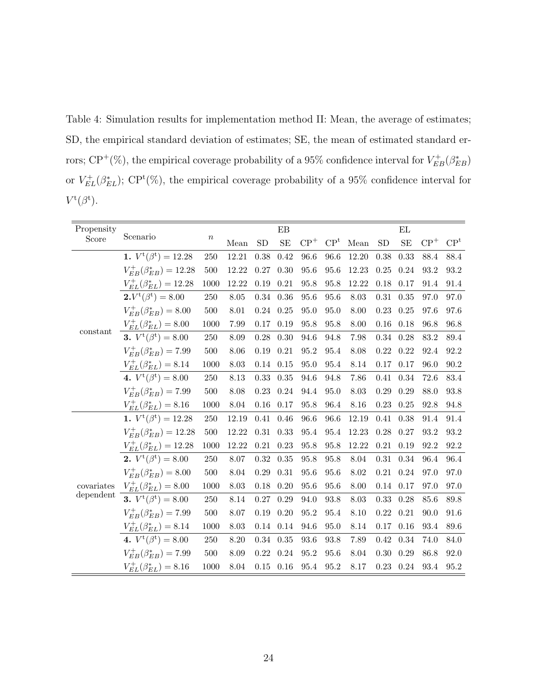Table 4: Simulation results for implementation method II: Mean, the average of estimates; SD, the empirical standard deviation of estimates; SE, the mean of estimated standard errors; CP<sup>+</sup>(%), the empirical coverage probability of a 95% confidence interval for  $V_{EB}^+(\beta_{EB}^*)$ or  $V_{EL}^{+}(\beta_{EL}^{*})$ ; CP<sup>t</sup>(%), the empirical coverage probability of a 95% confidence interval for  $V^{\rm t}(\beta^{\rm t}).$ 

| Propensity |                                       |          |          |          | EB            |          |                 |          |          | ΕL            |       |                 |
|------------|---------------------------------------|----------|----------|----------|---------------|----------|-----------------|----------|----------|---------------|-------|-----------------|
| Score      | Scenario                              | $\, n$   | Mean     | SD       | SE            | $CP+$    | CP <sup>t</sup> | Mean     | SD       | SE            | $CP+$ | CP <sup>t</sup> |
|            | 1. $V^{\rm t}(\beta^{\rm t}) = 12.28$ | 250      | 12.21    | 0.38     | 0.42          | 96.6     | 96.6            | 12.20    | 0.38     | 0.33          | 88.4  | 88.4            |
|            | $V_{EB}^{+}(\beta_{EB}^{*}) = 12.28$  | $500\,$  | 12.22    | $0.27\,$ | 0.30          | 95.6     | 95.6            | 12.23    | 0.25     | 0.24          | 93.2  | 93.2            |
|            | $V_{EL}^{+}(\beta_{EL}^{*}) = 12.28$  | 1000     | 12.22    | 0.19     | 0.21          | 95.8     | 95.8            | 12.22    | 0.18     | 0.17          | 91.4  | $91.4\,$        |
|            | $2.V^{\rm t}(\beta^{\rm t})=8.00$     | 250      | 8.05     | 0.34     | 0.36          | 95.6     | 95.6            | 8.03     | 0.31     | 0.35          | 97.0  | 97.0            |
|            | $V_{EB}^{+}(\beta_{EB}^{*}) = 8.00$   | $500\,$  | 8.01     | 0.24     | $0.25\,$      | 95.0     | 95.0            | 8.00     | 0.23     | 0.25          | 97.6  | 97.6            |
|            | $V_{EL}^{+}(\beta_{EL}^{\ast})=8.00$  | $1000\,$ | 7.99     | 0.17     | 0.19          | 95.8     | 95.8            | 8.00     | $0.16\,$ | 0.18          | 96.8  | 96.8            |
| constant   | 3. $V^{\rm t}(\beta^{\rm t})=8.00$    | $250\,$  | 8.09     | 0.28     | 0.30          | 94.6     | 94.8            | 7.98     | 0.34     | 0.28          | 83.2  | 89.4            |
|            | $V_{EB}^{+}(\beta_{EB}^{*}) = 7.99$   | 500      | 8.06     | 0.19     | 0.21          | 95.2     | 95.4            | 8.08     | 0.22     | 0.22          | 92.4  | 92.2            |
|            | $V_{EL}^{+}(\beta_{EL}^{*}) = 8.14$   | 1000     | 8.03     | 0.14     | 0.15          | 95.0     | 95.4            | 8.14     | 0.17     | 0.17          | 96.0  | $90.2\,$        |
|            | 4. $V^{\rm t}(\beta^{\rm t})=8.00$    | 250      | 8.13     | 0.33     | $0.35\,$      | 94.6     | 94.8            | 7.86     | $0.41\,$ | 0.34          | 72.6  | 83.4            |
|            | $V_{EB}^{+}(\beta_{EB}^{*}) = 7.99$   | $500\,$  | 8.08     | 0.23     | 0.24          | 94.4     | 95.0            | 8.03     | 0.29     | 0.29          | 88.0  | 93.8            |
|            | $V_{EL}^{+}(\beta_{EL}^{\ast})=8.16$  | $1000\,$ | 8.04     | 0.16     | 0.17          | 95.8     | 96.4            | 8.16     | 0.23     | 0.25          | 92.8  | 94.8            |
|            | 1. $V^{\rm t}(\beta^{\rm t}) = 12.28$ | 250      | 12.19    | 0.41     | 0.46          | 96.6     | 96.6            | 12.19    | 0.41     | 0.38          | 91.4  | 91.4            |
|            | $V_{EB}^{+}(\beta_{EB}^{*}) = 12.28$  | 500      | 12.22    | 0.31     | 0.33          | $95.4\,$ | 95.4            | 12.23    | 0.28     | 0.27          | 93.2  | $93.2\,$        |
|            | $V_{EL}^{+}(\beta_{EL}^{*}) = 12.28$  | 1000     | 12.22    | 0.21     | 0.23          | 95.8     | $95.8\,$        | 12.22    | 0.21     | 0.19          | 92.2  | 92.2            |
|            | 2. $V^{\rm t}(\beta^{\rm t})=8.00$    | 250      | 8.07     | 0.32     | 0.35          | 95.8     | 95.8            | 8.04     | 0.31     | 0.34          | 96.4  | 96.4            |
|            | $V_{EB}^{+}(\beta_{EB}^{*}) = 8.00$   | 500      | 8.04     | 0.29     | 0.31          | 95.6     | 95.6            | $8.02\,$ | 0.21     | 0.24          | 97.0  | 97.0            |
| covariates | $V_{EL}^{+}(\beta_{EL}^{\ast})=8.00$  | $1000\,$ | $8.03\,$ | 0.18     | $0.20\,$      | $95.6\,$ | 95.6            | 8.00     | 0.14     | 0.17          | 97.0  | 97.0            |
| dependent  | 3. $V^{\rm t}(\beta^{\rm t})=8.00$    | 250      | 8.14     | 0.27     | 0.29          | 94.0     | 93.8            | 8.03     | 0.33     | 0.28          | 85.6  | 89.8            |
|            | $V_{EB}^{+}(\beta_{EB}^{*}) = 7.99$   | $500\,$  | 8.07     | 0.19     | 0.20          | 95.2     | 95.4            | 8.10     | 0.22     | 0.21          | 90.0  | 91.6            |
|            | $V_{EL}^{+}(\beta_{EL}^{*}) = 8.14$   | 1000     | 8.03     | 0.14     | 0.14          | 94.6     | 95.0            | 8.14     | 0.17     | 0.16          | 93.4  | 89.6            |
|            | 4. $V^{\rm t}(\beta^{\rm t})=8.00$    | 250      | 8.20     | 0.34     | $0.35\,$      | 93.6     | 93.8            | 7.89     | 0.42     | 0.34          | 74.0  | 84.0            |
|            | $V_{EB}^{+}(\beta_{EB}^{*}) = 7.99$   | 500      | $8.09\,$ | 0.22     | 0.24          | $95.2\,$ | 95.6            | 8.04     | 0.30     | 0.29          | 86.8  | $92.0\,$        |
|            | $V_{EL}^{+}(\beta_{EL}^{*}) = 8.16$   | 1000     | 8.04     |          | $0.15$ $0.16$ | 95.4     | 95.2            | 8.17     |          | $0.23$ $0.24$ | 93.4  | 95.2            |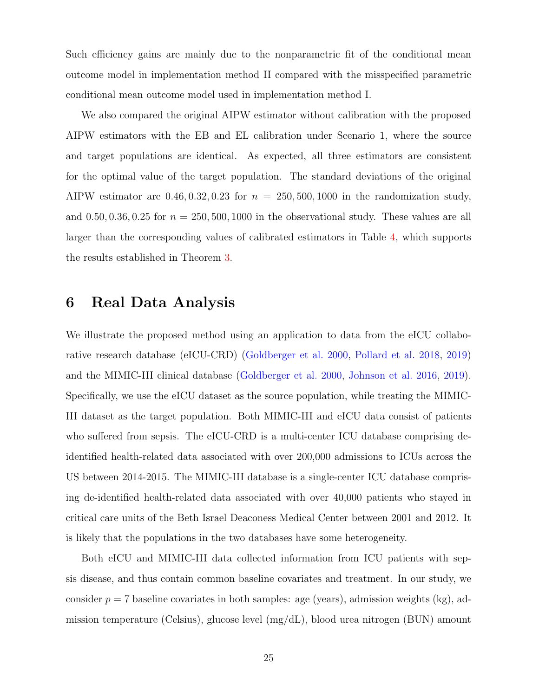Such efficiency gains are mainly due to the nonparametric fit of the conditional mean outcome model in implementation method II compared with the misspecified parametric conditional mean outcome model used in implementation method I.

We also compared the original AIPW estimator without calibration with the proposed AIPW estimators with the EB and EL calibration under Scenario 1, where the source and target populations are identical. As expected, all three estimators are consistent for the optimal value of the target population. The standard deviations of the original AIPW estimator are  $0.46, 0.32, 0.23$  for  $n = 250, 500, 1000$  in the randomization study, and  $0.50, 0.36, 0.25$  for  $n = 250, 500, 1000$  in the observational study. These values are all larger than the corresponding values of calibrated estimators in Table 4, which supports the results established in Theorem 3.

# 6 Real Data Analysis

We illustrate the proposed method using an application to data from the eICU collaborative research database (eICU-CRD) (Goldberger et al. 2000, Pollard et al. 2018, 2019) and the MIMIC-III clinical database (Goldberger et al. 2000, Johnson et al. 2016, 2019). Specifically, we use the eICU dataset as the source population, while treating the MIMIC-III dataset as the target population. Both MIMIC-III and eICU data consist of patients who suffered from sepsis. The eICU-CRD is a multi-center ICU database comprising deidentified health-related data associated with over 200,000 admissions to ICUs across the US between 2014-2015. The MIMIC-III database is a single-center ICU database comprising de-identified health-related data associated with over 40,000 patients who stayed in critical care units of the Beth Israel Deaconess Medical Center between 2001 and 2012. It is likely that the populations in the two databases have some heterogeneity.

Both eICU and MIMIC-III data collected information from ICU patients with sepsis disease, and thus contain common baseline covariates and treatment. In our study, we consider  $p = 7$  baseline covariates in both samples: age (years), admission weights (kg), admission temperature (Celsius), glucose level (mg/dL), blood urea nitrogen (BUN) amount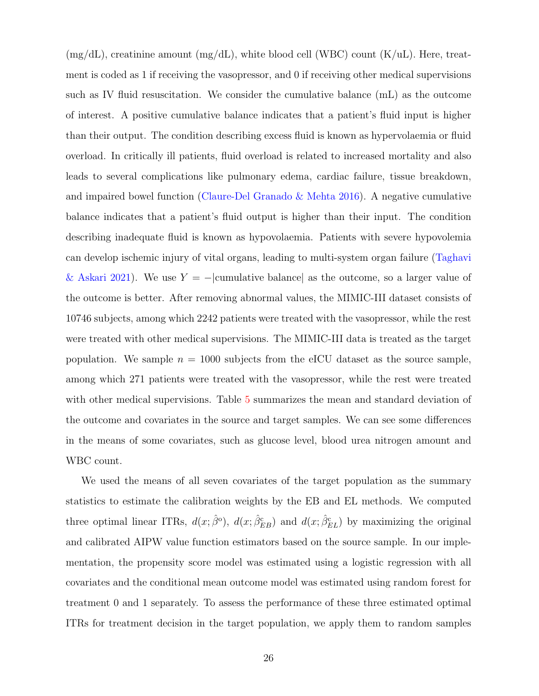$(mg/dL)$ , creatinine amount  $(mg/dL)$ , white blood cell (WBC) count  $(K/uL)$ . Here, treatment is coded as 1 if receiving the vasopressor, and 0 if receiving other medical supervisions such as IV fluid resuscitation. We consider the cumulative balance (mL) as the outcome of interest. A positive cumulative balance indicates that a patient's fluid input is higher than their output. The condition describing excess fluid is known as hypervolaemia or fluid overload. In critically ill patients, fluid overload is related to increased mortality and also leads to several complications like pulmonary edema, cardiac failure, tissue breakdown, and impaired bowel function (Claure-Del Granado & Mehta 2016). A negative cumulative balance indicates that a patient's fluid output is higher than their input. The condition describing inadequate fluid is known as hypovolaemia. Patients with severe hypovolemia can develop ischemic injury of vital organs, leading to multi-system organ failure (Taghavi & Askari 2021). We use  $Y = -|\text{cumulative balance}|$  as the outcome, so a larger value of the outcome is better. After removing abnormal values, the MIMIC-III dataset consists of 10746 subjects, among which 2242 patients were treated with the vasopressor, while the rest were treated with other medical supervisions. The MIMIC-III data is treated as the target population. We sample  $n = 1000$  subjects from the eICU dataset as the source sample, among which 271 patients were treated with the vasopressor, while the rest were treated with other medical supervisions. Table 5 summarizes the mean and standard deviation of the outcome and covariates in the source and target samples. We can see some differences in the means of some covariates, such as glucose level, blood urea nitrogen amount and WBC count.

We used the means of all seven covariates of the target population as the summary statistics to estimate the calibration weights by the EB and EL methods. We computed three optimal linear ITRs,  $d(x;\hat{\beta}_0^c)$ ,  $d(x;\hat{\beta}_{EB}^c)$  and  $d(x;\hat{\beta}_{EL}^c)$  by maximizing the original and calibrated AIPW value function estimators based on the source sample. In our implementation, the propensity score model was estimated using a logistic regression with all covariates and the conditional mean outcome model was estimated using random forest for treatment 0 and 1 separately. To assess the performance of these three estimated optimal ITRs for treatment decision in the target population, we apply them to random samples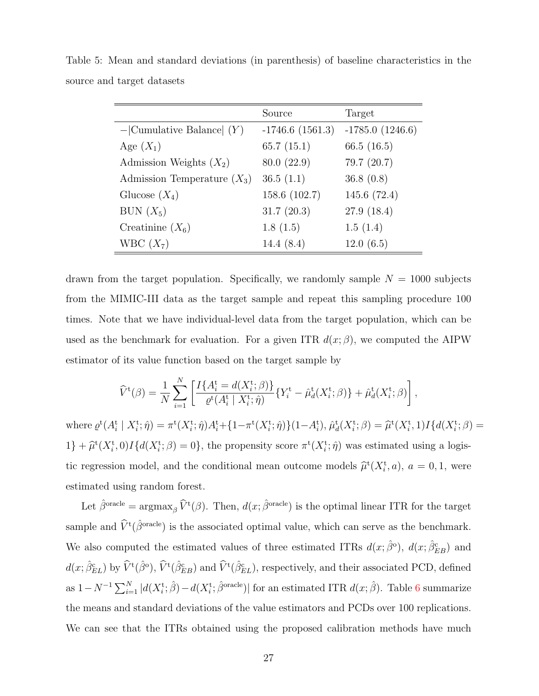|                               | Source             | Target            |
|-------------------------------|--------------------|-------------------|
| $-$ Cumulative Balance $(Y)$  | $-1746.6$ (1561.3) | $-1785.0(1246.6)$ |
| Age $(X_1)$                   | 65.7(15.1)         | 66.5 $(16.5)$     |
| Admission Weights $(X_2)$     | 80.0(22.9)         | 79.7(20.7)        |
| Admission Temperature $(X_3)$ | 36.5(1.1)          | 36.8(0.8)         |
| Glucose $(X_4)$               | 158.6 (102.7)      | 145.6 (72.4)      |
| BUN $(X_5)$                   | 31.7(20.3)         | 27.9(18.4)        |
| Creatinine $(X_6)$            | 1.8(1.5)           | 1.5(1.4)          |
| WBC $(X_7)$                   | 14.4 $(8.4)$       | 12.0(6.5)         |

Table 5: Mean and standard deviations (in parenthesis) of baseline characteristics in the source and target datasets

drawn from the target population. Specifically, we randomly sample  $N = 1000$  subjects from the MIMIC-III data as the target sample and repeat this sampling procedure 100 times. Note that we have individual-level data from the target population, which can be used as the benchmark for evaluation. For a given ITR  $d(x;\beta)$ , we computed the AIPW estimator of its value function based on the target sample by

$$
\hat{V}^{t}(\beta) = \frac{1}{N} \sum_{i=1}^{N} \left[ \frac{I\{A_{i}^{t} = d(X_{i}^{t}; \beta)\}}{\varrho^{t}(A_{i}^{t} | X_{i}^{t}; \hat{\eta})} \{Y_{i}^{t} - \hat{\mu}_{d}^{t}(X_{i}^{t}; \beta)\} + \hat{\mu}_{d}^{t}(X_{i}^{t}; \beta) \right],
$$

where  $\varrho^t(A_i^t | X_i^t; \hat{\eta}) = \pi^t(X_i^t; \hat{\eta}) A_i^t + \{1 - \pi^t(X_i^t; \hat{\eta})\}(1 - A_i^t), \hat{\mu}_d^t(X_i^t; \beta) = \hat{\mu}^t(X_i^t, 1) I\{d(X_i^t; \beta) = \hat{\mu}^t(X_i^t; \beta)$  $1\} + \hat{\mu}^{\rm t}(X_i^{\rm t},0)I\{d(X_i^{\rm t};\beta) = 0\}$ , the propensity score  $\pi^{\rm t}(X_i^{\rm t};\hat{\eta})$  was estimated using a logistic regression model, and the conditional mean outcome models  $\hat{\mu}^{\text{t}}(X_i^{\text{t}}, a)$ ,  $a = 0, 1$ , were estimated using random forest.

Let  $\hat{\beta}^{\text{oracle}} = \arg \max_{\beta} \hat{V}^{t}(\beta)$ . Then,  $d(x; \hat{\beta}^{\text{oracle}})$  is the optimal linear ITR for the target sample and  $\hat{V}^{\text{t}}(\hat{\beta}^{\text{oracle}})$  is the associated optimal value, which can serve as the benchmark. We also computed the estimated values of three estimated ITRs  $d(x; \hat{\beta}^{\circ})$ ,  $d(x; \hat{\beta}_{EB}^{\circ})$  and  $d(x;\hat{\beta}_{EL}^{c})$  by  $\hat{V}^{t}(\hat{\beta}_{O}^{c}), \hat{V}^{t}(\hat{\beta}_{EB}^{c})$  and  $\hat{V}^{t}(\hat{\beta}_{EL}^{c}),$  respectively, and their associated PCD, defined as  $1 - N^{-1} \sum_{i=1}^{N} |d(X_i^{\text{t}}; \hat{\beta}) - d(X_i^{\text{t}}; \hat{\beta}^{\text{oracle}})|$  for an estimated ITR  $d(x; \hat{\beta})$ . Table 6 summarize the means and standard deviations of the value estimators and PCDs over 100 replications. We can see that the ITRs obtained using the proposed calibration methods have much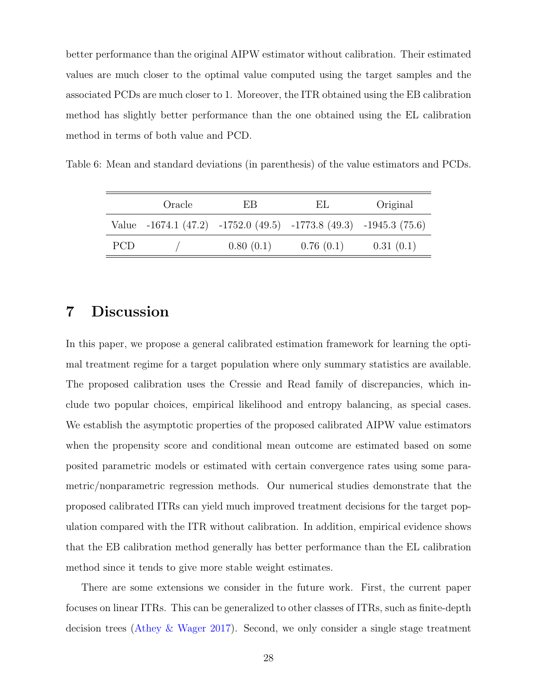better performance than the original AIPW estimator without calibration. Their estimated values are much closer to the optimal value computed using the target samples and the associated PCDs are much closer to 1. Moreover, the ITR obtained using the EB calibration method has slightly better performance than the one obtained using the EL calibration method in terms of both value and PCD.

Table 6: Mean and standard deviations (in parenthesis) of the value estimators and PCDs.

|            | Oracle | EB.       | EL                                                                        | Original  |  |  |
|------------|--------|-----------|---------------------------------------------------------------------------|-----------|--|--|
|            |        |           | Value $-1674.1$ (47.2) $-1752.0$ (49.5) $-1773.8$ (49.3) $-1945.3$ (75.6) |           |  |  |
| <b>PCD</b> |        | 0.80(0.1) | 0.76(0.1)                                                                 | 0.31(0.1) |  |  |

# 7 Discussion

In this paper, we propose a general calibrated estimation framework for learning the optimal treatment regime for a target population where only summary statistics are available. The proposed calibration uses the Cressie and Read family of discrepancies, which include two popular choices, empirical likelihood and entropy balancing, as special cases. We establish the asymptotic properties of the proposed calibrated AIPW value estimators when the propensity score and conditional mean outcome are estimated based on some posited parametric models or estimated with certain convergence rates using some parametric/nonparametric regression methods. Our numerical studies demonstrate that the proposed calibrated ITRs can yield much improved treatment decisions for the target population compared with the ITR without calibration. In addition, empirical evidence shows that the EB calibration method generally has better performance than the EL calibration method since it tends to give more stable weight estimates.

There are some extensions we consider in the future work. First, the current paper focuses on linear ITRs. This can be generalized to other classes of ITRs, such as finite-depth decision trees (Athey & Wager 2017). Second, we only consider a single stage treatment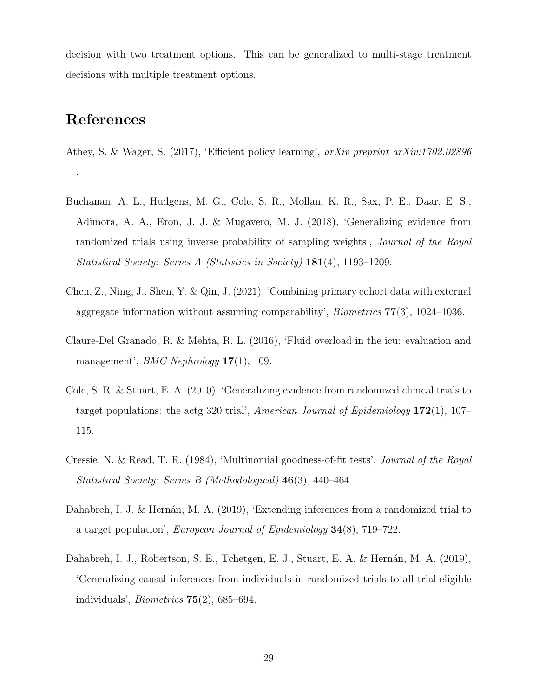decision with two treatment options. This can be generalized to multi-stage treatment decisions with multiple treatment options.

# References

.

- Athey, S. & Wager, S. (2017), 'Efficient policy learning', arXiv preprint arXiv:1702.02896
- Buchanan, A. L., Hudgens, M. G., Cole, S. R., Mollan, K. R., Sax, P. E., Daar, E. S., Adimora, A. A., Eron, J. J. & Mugavero, M. J. (2018), 'Generalizing evidence from randomized trials using inverse probability of sampling weights', Journal of the Royal Statistical Society: Series A (Statistics in Society) 181(4), 1193–1209.
- Chen, Z., Ning, J., Shen, Y. & Qin, J. (2021), 'Combining primary cohort data with external aggregate information without assuming comparability', Biometrics 77(3), 1024–1036.
- Claure-Del Granado, R. & Mehta, R. L. (2016), 'Fluid overload in the icu: evaluation and management', *BMC Nephrology* **17**(1), 109.
- Cole, S. R. & Stuart, E. A. (2010), 'Generalizing evidence from randomized clinical trials to target populations: the actg 320 trial', American Journal of Epidemiology  $172(1)$ ,  $107-$ 115.
- Cressie, N. & Read, T. R. (1984), 'Multinomial goodness-of-fit tests', Journal of the Royal Statistical Society: Series B (Methodological) 46(3), 440–464.
- Dahabreh, I. J. & Hernán, M. A. (2019), 'Extending inferences from a randomized trial to a target population', European Journal of Epidemiology 34(8), 719–722.
- Dahabreh, I. J., Robertson, S. E., Tchetgen, E. J., Stuart, E. A. & Hernán, M. A. (2019), 'Generalizing causal inferences from individuals in randomized trials to all trial-eligible individuals', *Biometrics*  $75(2)$ , 685–694.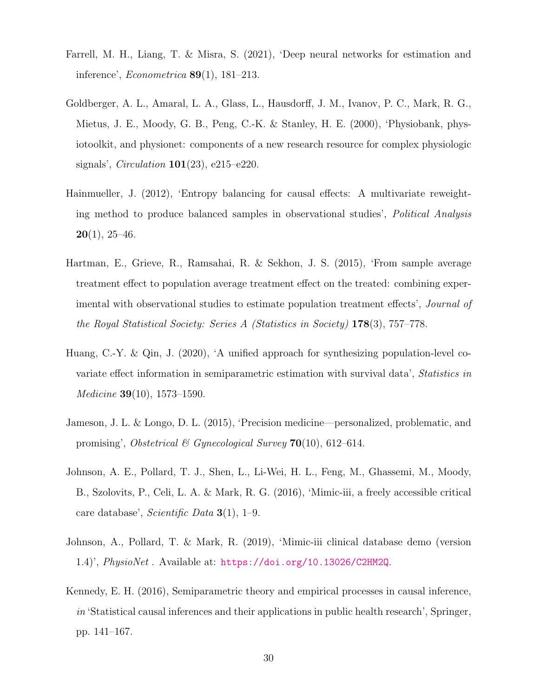- Farrell, M. H., Liang, T. & Misra, S. (2021), 'Deep neural networks for estimation and inference', Econometrica 89(1), 181–213.
- Goldberger, A. L., Amaral, L. A., Glass, L., Hausdorff, J. M., Ivanov, P. C., Mark, R. G., Mietus, J. E., Moody, G. B., Peng, C.-K. & Stanley, H. E. (2000), 'Physiobank, physiotoolkit, and physionet: components of a new research resource for complex physiologic signals', *Circulation*  $101(23)$ , e215–e220.
- Hainmueller, J. (2012), 'Entropy balancing for causal effects: A multivariate reweighting method to produce balanced samples in observational studies', Political Analysis  $20(1), 25-46.$
- Hartman, E., Grieve, R., Ramsahai, R. & Sekhon, J. S. (2015), 'From sample average treatment effect to population average treatment effect on the treated: combining experimental with observational studies to estimate population treatment effects', Journal of the Royal Statistical Society: Series A (Statistics in Society) 178(3), 757–778.
- Huang, C.-Y. & Qin, J. (2020), 'A unified approach for synthesizing population-level covariate effect information in semiparametric estimation with survival data', Statistics in Medicine 39(10), 1573–1590.
- Jameson, J. L. & Longo, D. L. (2015), 'Precision medicine—personalized, problematic, and promising', Obstetrical & Gynecological Survey  $70(10)$ , 612–614.
- Johnson, A. E., Pollard, T. J., Shen, L., Li-Wei, H. L., Feng, M., Ghassemi, M., Moody, B., Szolovits, P., Celi, L. A. & Mark, R. G. (2016), 'Mimic-iii, a freely accessible critical care database', *Scientific Data*  $3(1)$ , 1–9.
- Johnson, A., Pollard, T. & Mark, R. (2019), 'Mimic-iii clinical database demo (version 1.4)', PhysioNet . Available at: https://doi.org/10.13026/C2HM2Q.
- Kennedy, E. H. (2016), Semiparametric theory and empirical processes in causal inference,  $in$  'Statistical causal inferences and their applications in public health research', Springer, pp. 141–167.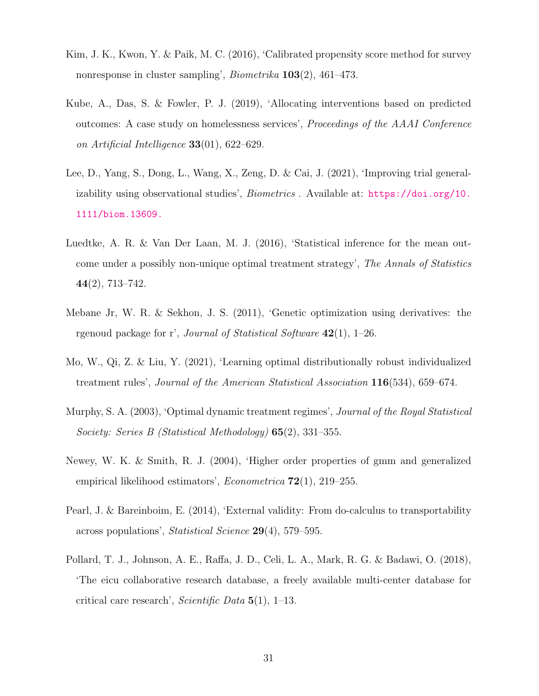- Kim, J. K., Kwon, Y. & Paik, M. C. (2016), 'Calibrated propensity score method for survey nonresponse in cluster sampling', Biometrika 103(2), 461–473.
- Kube, A., Das, S. & Fowler, P. J. (2019), 'Allocating interventions based on predicted outcomes: A case study on homelessness services', Proceedings of the AAAI Conference on Artificial Intelligence 33(01), 622–629.
- Lee, D., Yang, S., Dong, L., Wang, X., Zeng, D. & Cai, J. (2021), 'Improving trial generalizability using observational studies', Biometrics . Available at: https://doi.org/10. 1111/biom.13609.
- Luedtke, A. R. & Van Der Laan, M. J. (2016), 'Statistical inference for the mean outcome under a possibly non-unique optimal treatment strategy', The Annals of Statistics 44(2), 713–742.
- Mebane Jr, W. R. & Sekhon, J. S. (2011), 'Genetic optimization using derivatives: the rgenoud package for r', *Journal of Statistical Software*  $42(1)$ , 1–26.
- Mo, W., Qi, Z. & Liu, Y. (2021), 'Learning optimal distributionally robust individualized treatment rules', Journal of the American Statistical Association 116(534), 659–674.
- Murphy, S. A. (2003), 'Optimal dynamic treatment regimes', Journal of the Royal Statistical Society: Series B (Statistical Methodology) 65(2), 331–355.
- Newey, W. K. & Smith, R. J. (2004), 'Higher order properties of gmm and generalized empirical likelihood estimators', Econometrica 72(1), 219–255.
- Pearl, J. & Bareinboim, E. (2014), 'External validity: From do-calculus to transportability across populations', Statistical Science 29(4), 579–595.
- Pollard, T. J., Johnson, A. E., Raffa, J. D., Celi, L. A., Mark, R. G. & Badawi, O. (2018), 'The eicu collaborative research database, a freely available multi-center database for critical care research', *Scientific Data*  $5(1)$ , 1–13.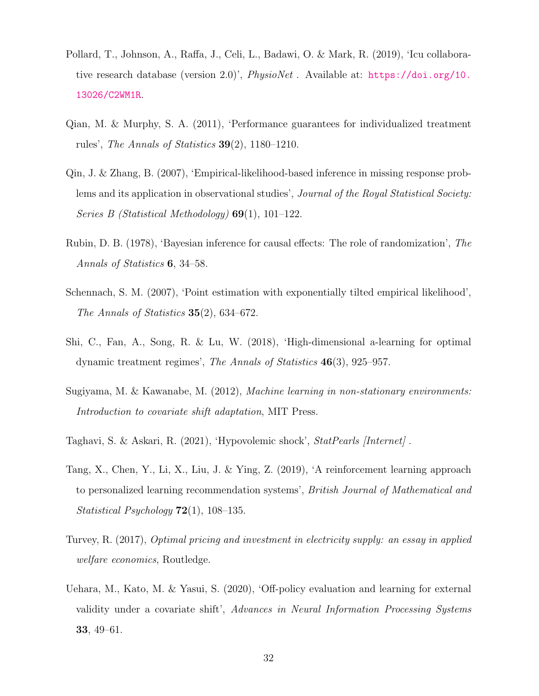- Pollard, T., Johnson, A., Raffa, J., Celi, L., Badawi, O. & Mark, R. (2019), 'Icu collaborative research database (version 2.0)', PhysioNet . Available at: https://doi.org/10. 13026/C2WM1R.
- Qian, M. & Murphy, S. A. (2011), 'Performance guarantees for individualized treatment rules', The Annals of Statistics  $39(2)$ , 1180–1210.
- Qin, J. & Zhang, B. (2007), 'Empirical-likelihood-based inference in missing response problems and its application in observational studies', Journal of the Royal Statistical Society: Series B (Statistical Methodology)  $69(1)$ , 101–122.
- Rubin, D. B. (1978), 'Bayesian inference for causal effects: The role of randomization', The Annals of Statistics 6, 34–58.
- Schennach, S. M. (2007), 'Point estimation with exponentially tilted empirical likelihood', The Annals of Statistics  $35(2)$ , 634–672.
- Shi, C., Fan, A., Song, R. & Lu, W. (2018), 'High-dimensional a-learning for optimal dynamic treatment regimes', The Annals of Statistics 46(3), 925–957.
- Sugiyama, M. & Kawanabe, M. (2012), Machine learning in non-stationary environments: Introduction to covariate shift adaptation, MIT Press.
- Taghavi, S. & Askari, R. (2021), 'Hypovolemic shock', StatPearls [Internet] .
- Tang, X., Chen, Y., Li, X., Liu, J. & Ying, Z. (2019), 'A reinforcement learning approach to personalized learning recommendation systems', British Journal of Mathematical and Statistical Psychology 72(1), 108–135.
- Turvey, R. (2017), Optimal pricing and investment in electricity supply: an essay in applied welfare economics, Routledge.
- Uehara, M., Kato, M. & Yasui, S. (2020), 'Off-policy evaluation and learning for external validity under a covariate shift', Advances in Neural Information Processing Systems 33, 49–61.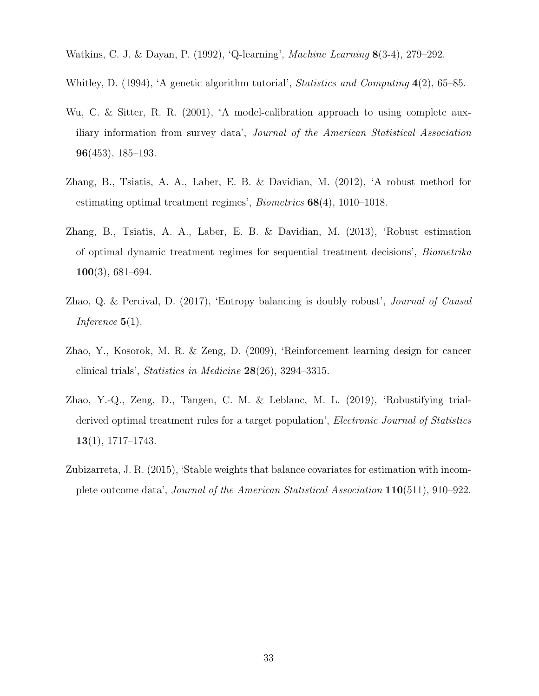Watkins, C. J. & Dayan, P. (1992), 'Q-learning', Machine Learning 8(3-4), 279–292.

Whitley, D. (1994), 'A genetic algorithm tutorial', *Statistics and Computing* 4(2), 65–85.

- Wu, C. & Sitter, R. R. (2001), 'A model-calibration approach to using complete auxiliary information from survey data', Journal of the American Statistical Association 96(453), 185–193.
- Zhang, B., Tsiatis, A. A., Laber, E. B. & Davidian, M. (2012), 'A robust method for estimating optimal treatment regimes', Biometrics 68(4), 1010–1018.
- Zhang, B., Tsiatis, A. A., Laber, E. B. & Davidian, M. (2013), 'Robust estimation of optimal dynamic treatment regimes for sequential treatment decisions', Biometrika 100(3), 681–694.
- Zhao, Q. & Percival, D. (2017), 'Entropy balancing is doubly robust', Journal of Causal Inference  $5(1)$ .
- Zhao, Y., Kosorok, M. R. & Zeng, D. (2009), 'Reinforcement learning design for cancer clinical trials', Statistics in Medicine 28(26), 3294–3315.
- Zhao, Y.-Q., Zeng, D., Tangen, C. M. & Leblanc, M. L. (2019), 'Robustifying trialderived optimal treatment rules for a target population', *Electronic Journal of Statistics* 13(1), 1717–1743.
- Zubizarreta, J. R. (2015), 'Stable weights that balance covariates for estimation with incomplete outcome data', Journal of the American Statistical Association 110(511), 910–922.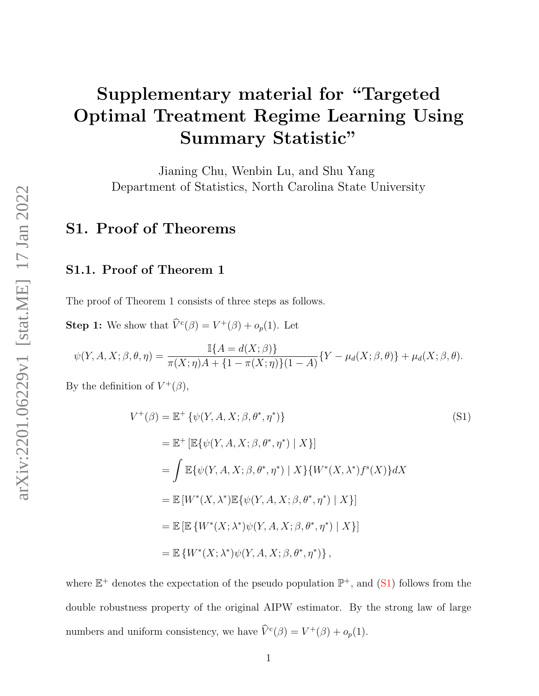# Supplementary material for "Targeted Optimal Treatment Regime Learning Using Summary Statistic"

Jianing Chu, Wenbin Lu, and Shu Yang Department of Statistics, North Carolina State University

# S1. Proof of Theorems

# S1.1. Proof of Theorem 1

The proof of Theorem 1 consists of three steps as follows.

**Step 1:** We show that  $\hat{V}^c(\beta) = V^+(\beta) + o_p(1)$ . Let

$$
\psi(Y, A, X; \beta, \theta, \eta) = \frac{\mathbb{I}\{A = d(X; \beta)\}}{\pi(X; \eta)A + \{1 - \pi(X; \eta)\}(1 - A)} \{Y - \mu_d(X; \beta, \theta)\} + \mu_d(X; \beta, \theta).
$$

By the definition of  $V^+(\beta)$ ,

$$
V^{+}(\beta) = \mathbb{E}^{+} \{ \psi(Y, A, X; \beta, \theta^{*}, \eta^{*}) \}
$$
\n(S1)  
\n
$$
= \mathbb{E}^{+} \left[ \mathbb{E} \{ \psi(Y, A, X; \beta, \theta^{*}, \eta^{*}) \mid X \} \right]
$$
\n
$$
= \int \mathbb{E} \{ \psi(Y, A, X; \beta, \theta^{*}, \eta^{*}) \mid X \} \{ W^{*}(X, \lambda^{*}) f^{s}(X) \} dX
$$
\n
$$
= \mathbb{E} \left[ W^{*}(X, \lambda^{*}) \mathbb{E} \{ \psi(Y, A, X; \beta, \theta^{*}, \eta^{*}) \mid X \} \right]
$$
\n
$$
= \mathbb{E} \left[ \mathbb{E} \left\{ W^{*}(X; \lambda^{*}) \psi(Y, A, X; \beta, \theta^{*}, \eta^{*}) \mid X \} \right\} \right]
$$
\n
$$
= \mathbb{E} \left\{ W^{*}(X; \lambda^{*}) \psi(Y, A, X; \beta, \theta^{*}, \eta^{*}) \right\},
$$
\n(S1)

where  $\mathbb{E}^+$  denotes the expectation of the pseudo population  $\mathbb{P}^+$ , and (S1) follows from the double robustness property of the original AIPW estimator. By the strong law of large numbers and uniform consistency, we have  $\hat{V}^c(\beta) = V^+(\beta) + o_p(1)$ .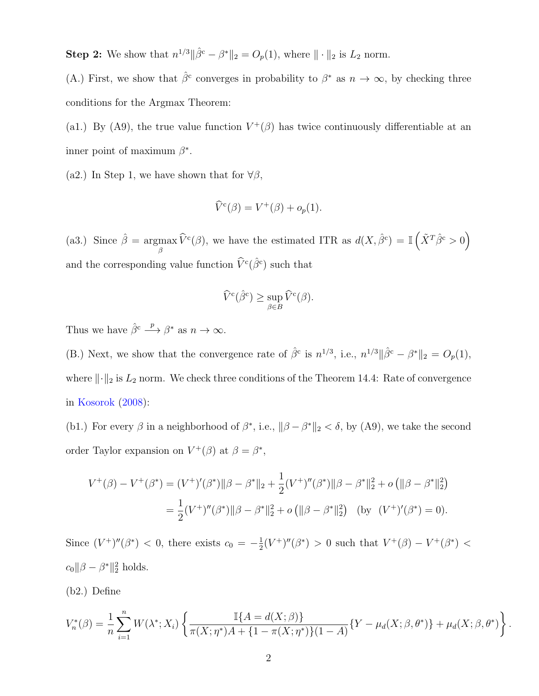**Step 2:** We show that  $n^{1/3} \|\hat{\beta}^c - \beta^*\|_2 = O_p(1)$ , where  $\|\cdot\|_2$  is  $L_2$  norm.

(A.) First, we show that  $\hat{\beta}^c$  converges in probability to  $\beta^*$  as  $n \to \infty$ , by checking three conditions for the Argmax Theorem:

(a1.) By (A9), the true value function  $V^+(\beta)$  has twice continuously differentiable at an inner point of maximum  $\beta^*$ .

(a2.) In Step 1, we have shown that for  $\forall \beta$ ,

$$
\widehat{V}^c(\beta) = V^+(\beta) + o_p(1).
$$

(a3.) Since  $\hat{\beta} = \text{argmax}$  $\max_{\beta} \widehat{V}^c(\beta)$ , we have the estimated ITR as  $d(X, \widehat{\beta}^c) = \mathbb{I}(\widehat{X}^T \widehat{\beta}^c > 0)$ and the corresponding value function  $\widehat{V}^c(\widehat{\beta}^c)$  such that

$$
\widehat{V}^{\mathbf{c}}(\widehat{\beta}^{\mathbf{c}}) \ge \sup_{\beta \in B} \widehat{V}^{\mathbf{c}}(\beta).
$$

Thus we have  $\hat{\beta}^c \stackrel{p}{\longrightarrow} \beta^*$  as  $n \to \infty$ .

(B.) Next, we show that the convergence rate of  $\hat{\beta}^c$  is  $n^{1/3}$ , i.e.,  $n^{1/3} \|\hat{\beta}^c - \beta^*\|_2 = O_p(1)$ , where  $\|\cdot\|_2$  is  $L_2$  norm. We check three conditions of the Theorem 14.4: Rate of convergence in Kosorok (2008):

(b1.) For every  $\beta$  in a neighborhood of  $\beta^*$ , i.e.,  $\|\beta - \beta^*\|_2 < \delta$ , by (A9), we take the second order Taylor expansion on  $V^+(\beta)$  at  $\beta = \beta^*$ ,

$$
V^+(\beta) - V^+(\beta^*) = (V^+)'(\beta^*) \|\beta - \beta^*\|_2 + \frac{1}{2}(V^+)''(\beta^*) \|\beta - \beta^*\|_2^2 + o\left(\|\beta - \beta^*\|_2^2\right)
$$
  
=  $\frac{1}{2}(V^+)''(\beta^*) \|\beta - \beta^*\|_2^2 + o\left(\|\beta - \beta^*\|_2^2\right)$  (by  $(V^+)'(\beta^*) = 0$ ).

Since  $(V^+)^{\prime\prime}(\beta^*)$  < 0, there exists  $c_0 = -\frac{1}{2}$  $\frac{1}{2}(V^+)^{\prime\prime}(\beta^*)$  > 0 such that  $V^+(\beta) - V^+(\beta^*)$  <  $c_0 ||\beta - \beta^*||_2^2$  holds.

(b2.) Define

$$
V_n^*(\beta) = \frac{1}{n} \sum_{i=1}^n W(\lambda^*; X_i) \left\{ \frac{\mathbb{I}\{A = d(X; \beta)\}}{\pi(X; \eta^*)A + \{1 - \pi(X; \eta^*)\}(1 - A)} \{Y - \mu_d(X; \beta, \theta^*)\} + \mu_d(X; \beta, \theta^*) \right\}.
$$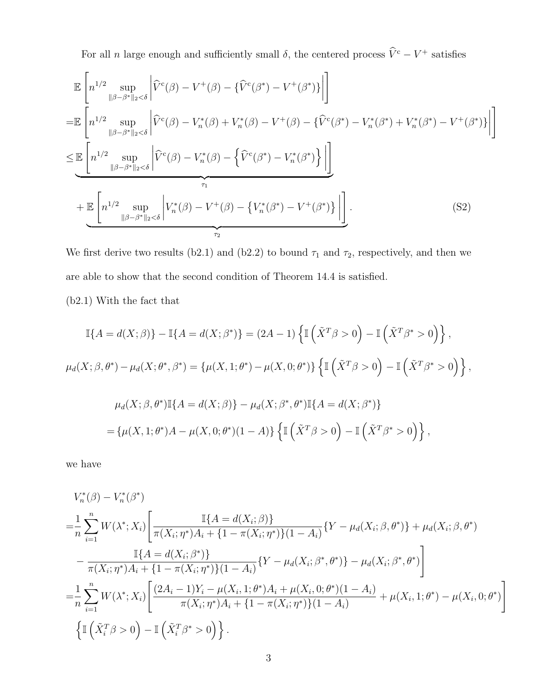For all n large enough and sufficiently small  $\delta$ , the centered process  $\hat{V}^c - V^+$  satisfies

$$
\mathbb{E}\left[n^{1/2}\sup_{\|\beta-\beta^*\|_2<\delta}\left|\hat{V}^c(\beta)-V^+(\beta)-\{\hat{V}^c(\beta^*)-V^+(\beta^*)\}\right|\right]
$$
\n
$$
=\mathbb{E}\left[n^{1/2}\sup_{\|\beta-\beta^*\|_2<\delta}\left|\hat{V}^c(\beta)-V_n^*(\beta)+V_n^*(\beta)-V^+(\beta)-\{\hat{V}^c(\beta^*)-V_n^*(\beta^*)+V_n^*(\beta^*)-V^+(\beta^*)\}\right|\right]
$$
\n
$$
\leq \mathbb{E}\left[n^{1/2}\sup_{\|\beta-\beta^*\|_2<\delta}\left|\hat{V}^c(\beta)-V_n^*(\beta)-\{\hat{V}^c(\beta^*)-V_n^*(\beta^*)\}\right|\right]
$$
\n
$$
+\mathbb{E}\left[n^{1/2}\sup_{\|\beta-\beta^*\|_2<\delta}\left|V_n^*(\beta)-V^+(\beta)-\{V_n^*(\beta^*)-V^+(\beta^*)\}\right|\right].
$$
\n(S2)

We first derive two results (b2.1) and (b2.2) to bound  $\tau_1$  and  $\tau_2$ , respectively, and then we are able to show that the second condition of Theorem 14.4 is satisfied.

(b2.1) With the fact that

$$
\mathbb{I}\{A = d(X;\beta)\} - \mathbb{I}\{A = d(X;\beta^*)\} = (2A - 1)\left\{\mathbb{I}\left(\tilde{X}^T\beta > 0\right) - \mathbb{I}\left(\tilde{X}^T\beta^* > 0\right)\right\},
$$
\n
$$
\mu_d(X;\beta,\theta^*) - \mu_d(X;\theta^*,\beta^*) = \left\{\mu(X,1;\theta^*) - \mu(X,0;\theta^*)\right\}\left\{\mathbb{I}\left(\tilde{X}^T\beta > 0\right) - \mathbb{I}\left(\tilde{X}^T\beta^* > 0\right)\right\},
$$
\n
$$
\mu_d(X;\beta,\theta^*)\mathbb{I}\{A = d(X;\beta)\} - \mu_d(X;\beta^*,\theta^*)\mathbb{I}\{A = d(X;\beta^*)\}
$$
\n
$$
= \left\{\mu(X,1;\theta^*)A - \mu(X,0;\theta^*)(1-A)\right\}\left\{\mathbb{I}\left(\tilde{X}^T\beta > 0\right) - \mathbb{I}\left(\tilde{X}^T\beta^* > 0\right)\right\},
$$

we have

$$
V_n^*(\beta) - V_n^*(\beta^*)
$$
  
\n
$$
= \frac{1}{n} \sum_{i=1}^n W(\lambda^*; X_i) \left[ \frac{\mathbb{I}\{A = d(X_i; \beta)\}}{\pi(X_i; \eta^*)A_i + \{1 - \pi(X_i; \eta^*)\}(1 - A_i)} \{Y - \mu_d(X_i; \beta, \theta^*)\} + \mu_d(X_i; \beta, \theta^*) - \frac{\mathbb{I}\{A = d(X_i; \beta^*)\}}{\pi(X_i; \eta^*)A_i + \{1 - \pi(X_i; \eta^*)\}(1 - A_i)} \{Y - \mu_d(X_i; \beta^*, \theta^*)\} - \mu_d(X_i; \beta^*, \theta^*) \right]
$$
  
\n
$$
= \frac{1}{n} \sum_{i=1}^n W(\lambda^*; X_i) \left[ \frac{(2A_i - 1)Y_i - \mu(X_i, 1; \theta^*)A_i + \mu(X_i, 0; \theta^*)(1 - A_i)}{\pi(X_i; \eta^*)A_i + \{1 - \pi(X_i; \eta^*)\}(1 - A_i)} + \mu(X_i, 1; \theta^*) - \mu(X_i, 0; \theta^*) \right]
$$
  
\n
$$
\left\{ \mathbb{I}\left(\tilde{X}_i^T \beta > 0\right) - \mathbb{I}\left(\tilde{X}_i^T \beta^* > 0\right) \right\}.
$$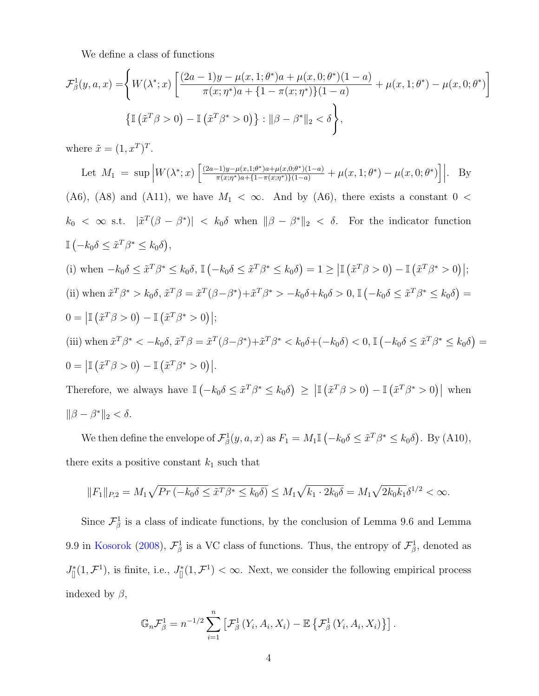We define a class of functions

$$
\mathcal{F}^1_{\beta}(y, a, x) = \left\{ W(\lambda^*; x) \left[ \frac{(2a - 1)y - \mu(x, 1; \theta^*)a + \mu(x, 0; \theta^*)(1 - a)}{\pi(x; \eta^*)a + \{1 - \pi(x; \eta^*)\}(1 - a)} + \mu(x, 1; \theta^*) - \mu(x, 0; \theta^*) \right] \right\}
$$

$$
\left\{ \mathbb{I} \left( \tilde{x}^T \beta > 0 \right) - \mathbb{I} \left( \tilde{x}^T \beta^* > 0 \right) \right\} : ||\beta - \beta^*||_2 < \delta \right\},
$$

where  $\tilde{x} = (1, x^T)^T$ .

Let 
$$
M_1 = \sup |W(\lambda^*; x)| \left[\frac{(2a-1)y-\mu(x,1;\theta^*)a+\mu(x,0;\theta^*) (1-a)}{\pi(x,\eta^*)a+11-\pi(x,\eta^*) (1-a)} + \mu(x,1;\theta^*) - \mu(x,0;\theta^*)\right]|
$$
. By (A6), (A8) and (A11), we have  $M_1 < \infty$ . And by (A6), there exists a constant  $0 < k_0 < \infty$  s.t.  $|\tilde{x}(\beta - \beta^*)| < k_0\delta$  when  $\|\beta - \beta^*\|_2 < \delta$ . For the indicator function  $\mathbb{I}(-k_0\delta \leq \tilde{x}^T\beta^* \leq k_0\delta)$ , (i) when  $-k_0\delta \leq \tilde{x}^T\beta^* \leq k_0\delta$ ,  $\mathbb{I}(-k_0\delta \leq \tilde{x}^T\beta^* \leq k_0\delta) = 1 \geq |\mathbb{I}(\tilde{x}(\beta - \beta)) - \mathbb{I}(\tilde{x}(\beta - \beta^*))|$ ; (ii) when  $\tilde{x}(\beta^*) > k_0\delta$ ,  $\tilde{x}(\beta - \beta^*) + \tilde{x}(\beta^*) > -k_0\delta + k_0\delta > 0$ ,  $\mathbb{I}(-k_0\delta \leq \tilde{x}(\beta^*) \leq k_0\delta) = 0 = |\mathbb{I}(\tilde{x}(\beta - \beta)) - \mathbb{I}(\tilde{x}(\beta^*) \geq 0)|$ ; (iii) when  $\tilde{x}(\beta^*) < -k_0\delta$ ,  $\tilde{x}(\beta - \beta^*) + \tilde{x}(\beta^*) < -k_0\delta + k_0\delta > 0$ ,  $\mathbb{I}(-k_0\delta \leq \tilde{x}(\beta^*) \leq k_0\delta) = 0 = |\mathbb{I}(\tilde{x}(\beta - \beta)) - \mathbb{I}(\tilde{x}(\beta - \beta^*) + \tilde{x}(\beta^*) \geq k_0\delta)|$ . (iii) when  $\tilde{x}(\beta^*) < -k_0\delta$ , <

We then define the envelope of  $\mathcal{F}_{\beta}^1(y, a, x)$  as  $F_1 = M_1 \mathbb{I}(-k_0 \delta \leq \tilde{x}^T \beta^* \leq k_0 \delta)$ . By (A10), there exits a positive constant  $k_1$  such that

$$
||F_1||_{P,2} = M_1 \sqrt{Pr(-k_0 \delta \leq \tilde{x}^T \beta^* \leq k_0 \delta)} \leq M_1 \sqrt{k_1 \cdot 2k_0 \delta} = M_1 \sqrt{2k_0 k_1} \delta^{1/2} < \infty.
$$

Since  $\mathcal{F}^1_\beta$  is a class of indicate functions, by the conclusion of Lemma 9.6 and Lemma 9.9 in Kosorok (2008),  $\mathcal{F}_{\beta}^1$  is a VC class of functions. Thus, the entropy of  $\mathcal{F}_{\beta}^1$ , denoted as  $J_{[]}^{*}(1,\mathcal{F}^{1}),$  is finite, i.e.,  $J_{[]}^{*}(1,\mathcal{F}^{1}) < \infty$ . Next, we consider the following empirical process indexed by  $\beta$ ,

$$
\mathbb{G}_n \mathcal{F}_{\beta}^1 = n^{-1/2} \sum_{i=1}^n \left[ \mathcal{F}_{\beta}^1 \left( Y_i, A_i, X_i \right) - \mathbb{E} \left\{ \mathcal{F}_{\beta}^1 \left( Y_i, A_i, X_i \right) \right\} \right].
$$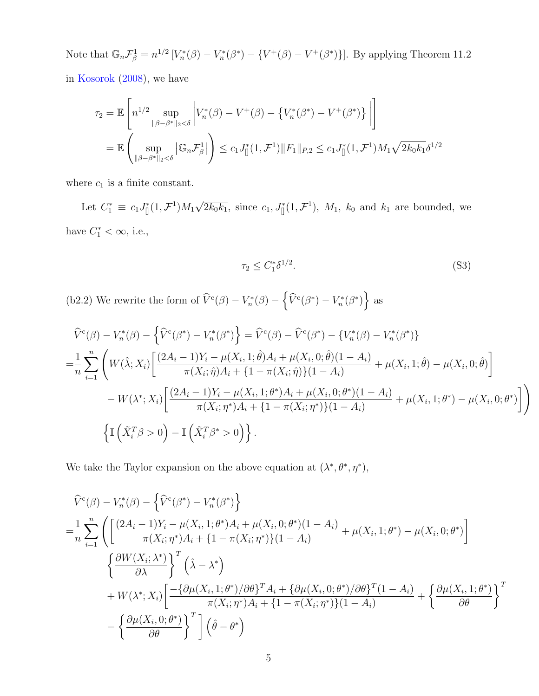Note that  $\mathbb{G}_n \mathcal{F}_{\beta}^1 = n^{1/2} \left[ V_n^*(\beta) - V_n^*(\beta^*) - \left\{ V^+(\beta) - V^+(\beta^*) \right\} \right]$ . By applying Theorem 11.2 in Kosorok (2008), we have

$$
\tau_2 = \mathbb{E}\left[n^{1/2} \sup_{\|\beta-\beta^*\|_2 < \delta} \left| V_n^*(\beta) - V^+(\beta) - \left\{V_n^*(\beta^*) - V^+(\beta^*)\right\} \right|\right]
$$
  
= 
$$
\mathbb{E}\left(\sup_{\|\beta-\beta^*\|_2 < \delta} |\mathbb{G}_n \mathcal{F}_\beta^1| \right) \leq c_1 J_{\parallel}^*(1, \mathcal{F}^1) \|F_1\|_{P,2} \leq c_1 J_{\parallel}^*(1, \mathcal{F}^1) M_1 \sqrt{2k_0 k_1} \delta^{1/2}
$$

where  $c_1$  is a finite constant.

Let  $C_1^* \equiv c_1 J_{[]}^*(1, \mathcal{F}^1) M_1 \sqrt{2k_0k_1}$ , since  $c_1, J_{[]}^*(1, \mathcal{F}^1)$ ,  $M_1$ ,  $k_0$  and  $k_1$  are bounded, we have  $C_1^* < \infty$ , i.e.,

$$
\tau_2 \le C_1^* \delta^{1/2}.\tag{S3}
$$

(b2.2) We rewrite the form of  $\widehat{V}^c(\beta) - V_n^*(\beta) - \left\{\widehat{V}^c(\beta^*) - V_n^*(\beta^*)\right\}$  as

$$
\widehat{V}^{c}(\beta) - V_{n}^{*}(\beta) - \left\{\widehat{V}^{c}(\beta^{*}) - V_{n}^{*}(\beta^{*})\right\} = \widehat{V}^{c}(\beta) - \widehat{V}^{c}(\beta^{*}) - \left\{V_{n}^{*}(\beta) - V_{n}^{*}(\beta^{*})\right\}
$$
\n
$$
= \frac{1}{n} \sum_{i=1}^{n} \left(W(\widehat{\lambda}; X_{i}) \left[ \frac{(2A_{i} - 1)Y_{i} - \mu(X_{i}, 1; \widehat{\theta})A_{i} + \mu(X_{i}, 0; \widehat{\theta})(1 - A_{i})}{\pi(X_{i}; \widehat{\eta})A_{i} + \{1 - \pi(X_{i}; \widehat{\eta})\}(1 - A_{i})} + \mu(X_{i}, 1; \widehat{\theta}) - \mu(X_{i}, 0; \widehat{\theta})\right] - W(\lambda^{*}; X_{i}) \left[ \frac{(2A_{i} - 1)Y_{i} - \mu(X_{i}, 1; \theta^{*})A_{i} + \mu(X_{i}, 0; \theta^{*})(1 - A_{i})}{\pi(X_{i}; \eta^{*})A_{i} + \{1 - \pi(X_{i}; \eta^{*})\}(1 - A_{i})} + \mu(X_{i}, 1; \theta^{*}) - \mu(X_{i}, 0; \theta^{*})\right] \right)
$$
\n
$$
\left\{\mathbb{I}\left(\tilde{X}_{i}^{T}\beta > 0\right) - \mathbb{I}\left(\tilde{X}_{i}^{T}\beta^{*} > 0\right)\right\}.
$$

We take the Taylor expansion on the above equation at  $(\lambda^*, \theta^*, \eta^*),$ 

$$
\hat{V}^{c}(\beta) - V_{n}^{*}(\beta) - \left\{ \hat{V}^{c}(\beta^{*}) - V_{n}^{*}(\beta^{*}) \right\}
$$
\n
$$
= \frac{1}{n} \sum_{i=1}^{n} \left( \left[ \frac{(2A_{i} - 1)Y_{i} - \mu(X_{i}, 1; \theta^{*})A_{i} + \mu(X_{i}, 0; \theta^{*})(1 - A_{i})}{\pi(X_{i}; \eta^{*})A_{i} + \{1 - \pi(X_{i}; \eta^{*})\}(1 - A_{i})} + \mu(X_{i}, 1; \theta^{*}) - \mu(X_{i}, 0; \theta^{*}) \right] \right.
$$
\n
$$
\left\{ \frac{\partial W(X_{i}; \lambda^{*})}{\partial \lambda} \right\}^{T} (\hat{\lambda} - \lambda^{*})
$$
\n
$$
+ W(\lambda^{*}; X_{i}) \left[ \frac{-\{\partial \mu(X_{i}, 1; \theta^{*})/\partial \theta\}^{T} A_{i} + \{\partial \mu(X_{i}, 0; \theta^{*})/\partial \theta\}^{T} (1 - A_{i})}{\pi(X_{i}; \eta^{*})A_{i} + \{1 - \pi(X_{i}; \eta^{*})\}(1 - A_{i})} + \left\{ \frac{\partial \mu(X_{i}, 1; \theta^{*})}{\partial \theta} \right\}^{T} - \left\{ \frac{\partial \mu(X_{i}, 0; \theta^{*})}{\partial \theta} \right\}^{T} \left[ \left(\hat{\theta} - \theta^{*}\right) \right]
$$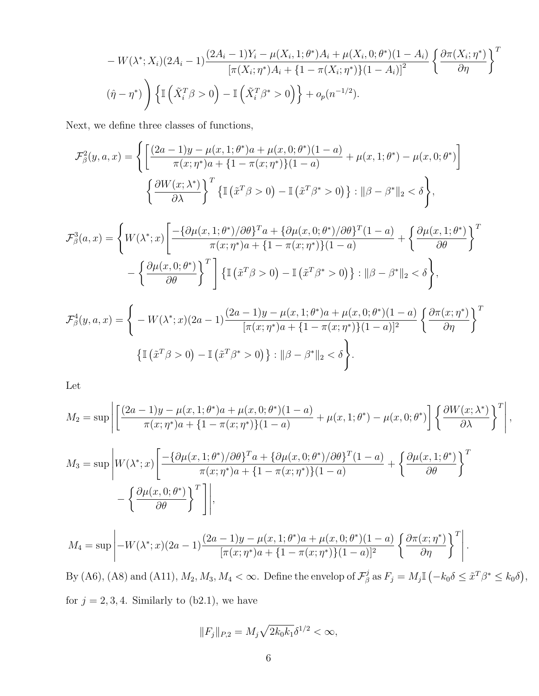$$
- W(\lambda^*; X_i)(2A_i - 1) \frac{(2A_i - 1)Y_i - \mu(X_i, 1; \theta^*)A_i + \mu(X_i, 0; \theta^*)(1 - A_i)}{[\pi(X_i; \eta^*)A_i + \{1 - \pi(X_i; \eta^*)\}(1 - A_i)]^2} \left\{ \frac{\partial \pi(X_i; \eta^*)}{\partial \eta} \right\}^T
$$

$$
(\hat{\eta} - \eta^*) \left\{ \mathbb{I} \left( \tilde{X}_i^T \beta > 0 \right) - \mathbb{I} \left( \tilde{X}_i^T \beta^* > 0 \right) \right\} + o_p(n^{-1/2}).
$$

Next, we define three classes of functions,

$$
\mathcal{F}_{\beta}^{2}(y, a, x) = \left\{ \left[ \frac{(2a - 1)y - \mu(x, 1; \theta^{*})a + \mu(x, 0; \theta^{*})(1 - a)}{\pi(x; \eta^{*})a + \{1 - \pi(x; \eta^{*})\}(1 - a)} + \mu(x, 1; \theta^{*}) - \mu(x, 0; \theta^{*}) \right] \right\}
$$

$$
\left\{ \frac{\partial W(x; \lambda^{*})}{\partial \lambda} \right\}^{T} \left\{ \mathbb{I} \left( \tilde{x}^{T} \beta > 0 \right) - \mathbb{I} \left( \tilde{x}^{T} \beta^{*} > 0 \right) \right\} : ||\beta - \beta^{*}||_{2} < \delta \right\},
$$

$$
\mathcal{F}_{\beta}^{3}(a,x) = \left\{ W(\lambda^{*};x) \left[ \frac{-\{\partial \mu(x,1;\theta^{*})/\partial \theta\}^{T}a + \{\partial \mu(x,0;\theta^{*})/\partial \theta\}^{T}(1-a)}{\pi(x;\eta^{*})a + \{1-\pi(x;\eta^{*})\}(1-a)} + \left\{ \frac{\partial \mu(x,1;\theta^{*})}{\partial \theta} \right\}^{T} - \left\{ \frac{\partial \mu(x,0;\theta^{*})}{\partial \theta} \right\}^{T} \right] \left\{ \mathbb{I} \left( \tilde{x}^{T}\beta > 0 \right) - \mathbb{I} \left( \tilde{x}^{T}\beta^{*} > 0 \right) \right\} : \|\beta - \beta^{*}\|_{2} < \delta \right\},
$$

$$
\mathcal{F}^4_{\beta}(y, a, x) = \left\{ -W(\lambda^*; x)(2a - 1)\frac{(2a - 1)y - \mu(x, 1; \theta^*)a + \mu(x, 0; \theta^*)(1 - a)}{[\pi(x; \eta^*)a + \{1 - \pi(x; \eta^*)\}(1 - a)]^2} \left\{ \frac{\partial \pi(x; \eta^*)}{\partial \eta} \right\}^T \right\}
$$

$$
\left\{ \mathbb{I}\left(\tilde{x}^T \beta > 0\right) - \mathbb{I}\left(\tilde{x}^T \beta^* > 0\right) \right\} : \|\beta - \beta^*\|_2 < \delta \right\}.
$$

Let

$$
M_2 = \sup \left| \left[ \frac{(2a-1)y - \mu(x, 1; \theta^*)a + \mu(x, 0; \theta^*)(1-a)}{\pi(x; \eta^*)a + \{1 - \pi(x; \eta^*)\}(1-a)} + \mu(x, 1; \theta^*) - \mu(x, 0; \theta^*) \right] \left\{ \frac{\partial W(x; \lambda^*)}{\partial \lambda} \right\}^T \right|,
$$
  

$$
M_3 = \sup \left| W(\lambda^*; x) \left[ \frac{-\{\partial \mu(x, 1; \theta^*)/\partial \theta\}^T a + \{\partial \mu(x, 0; \theta^*)/\partial \theta\}^T (1-a)}{\pi(x; \eta^*)a + \{1 - \pi(x; \eta^*)\}(1-a)} + \left\{ \frac{\partial \mu(x, 1; \theta^*)}{\partial \theta} \right\}^T \right] - \left\{ \frac{\partial \mu(x, 0; \theta^*)}{\partial \theta} \right\}^T \right|,
$$

$$
M_4 = \sup \left| -W(\lambda^*; x)(2a-1) \frac{(2a-1)y - \mu(x, 1; \theta^*) a + \mu(x, 0; \theta^*)(1-a)}{[\pi(x; \eta^*)]a + \{1 - \pi(x; \eta^*)\}(1-a)]^2} \left\{ \frac{\partial \pi(x; \eta^*)}{\partial \eta} \right\}^T \right|.
$$

By (A6), (A8) and (A11),  $M_2, M_3, M_4 < \infty$ . Define the envelop of  $\mathcal{F}_{\beta}^j$  $E_{\beta}^{j}$  as  $F_{j} = M_{j} \mathbb{I} \left( -k_{0} \delta \leq \tilde{x}^{T} \beta^{*} \leq k_{0} \delta \right),$ for  $j = 2, 3, 4$ . Similarly to  $(b2.1)$ , we have

$$
||F_j||_{P,2} = M_j \sqrt{2k_0 k_1} \delta^{1/2} < \infty,
$$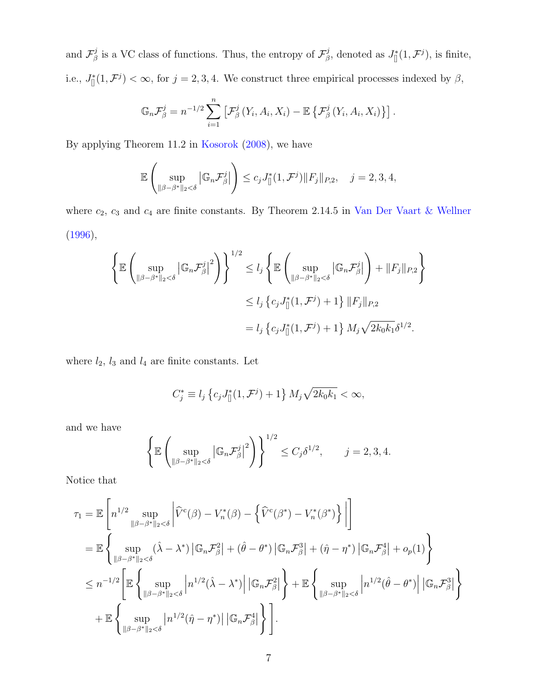and  $\mathcal{F}_{\beta}^{j}$  $\mathcal{F}_{\beta}^{j}$  is a VC class of functions. Thus, the entropy of  $\mathcal{F}_{\beta}^{j}$ <sup>*j*</sup>, denoted as  $J_{[]}^{*}(1, \mathcal{F}^{j}),$  is finite, i.e.,  $J_{\parallel}^*(1,\mathcal{F}^j) < \infty$ , for  $j = 2,3,4$ . We construct three empirical processes indexed by  $\beta$ ,

$$
\mathbb{G}_n \mathcal{F}_{\beta}^j = n^{-1/2} \sum_{i=1}^n \left[ \mathcal{F}_{\beta}^j \left( Y_i, A_i, X_i \right) - \mathbb{E} \left\{ \mathcal{F}_{\beta}^j \left( Y_i, A_i, X_i \right) \right\} \right].
$$

By applying Theorem 11.2 in Kosorok (2008), we have

$$
\mathbb{E}\left(\sup_{\|\beta-\beta^*\|_2<\delta}\left|\mathbb{G}_n\mathcal{F}_\beta^j\right|\right)\leq c_jJ^*_\mathbb{I}(1,\mathcal{F}^j)\|F_j\|_{P,2},\quad j=2,3,4,
$$

where  $c_2$ ,  $c_3$  and  $c_4$  are finite constants. By Theorem 2.14.5 in Van Der Vaart & Wellner (1996),

$$
\left\{\mathbb{E}\left(\sup_{\|\beta-\beta^*\|_2<\delta} \left|\mathbb{G}_n\mathcal{F}_{\beta}^j\right|^2\right)\right\}^{1/2} \le l_j \left\{\mathbb{E}\left(\sup_{\|\beta-\beta^*\|_2<\delta} \left|\mathbb{G}_n\mathcal{F}_{\beta}^j\right|\right) + \|F_j\|_{P,2}\right\}
$$
  

$$
\le l_j \left\{c_j J_{\parallel}^*(1,\mathcal{F}^j) + 1\right\} \|F_j\|_{P,2}
$$
  

$$
= l_j \left\{c_j J_{\parallel}^*(1,\mathcal{F}^j) + 1\right\} M_j \sqrt{2k_0k_1} \delta^{1/2}.
$$

where  $l_2$ ,  $l_3$  and  $l_4$  are finite constants. Let

$$
C_j^* \equiv l_j \left\{ c_j J_{\parallel}^*(1, \mathcal{F}^j) + 1 \right\} M_j \sqrt{2k_0 k_1} < \infty,
$$

and we have

$$
\left\{\mathbb{E}\left(\sup_{\|\beta-\beta^*\|_2<\delta} \left|\mathbb{G}_n\mathcal{F}_{\beta}^j\right|^2\right)\right\}^{1/2} \leq C_j\delta^{1/2}, \qquad j=2,3,4.
$$

Notice that

$$
\tau_1 = \mathbb{E}\left[n^{1/2} \sup_{\|\beta-\beta^*\|_2 < \delta} \left|\widehat{V}^c(\beta) - V_n^*(\beta) - \left\{\widehat{V}^c(\beta^*) - V_n^*(\beta^*)\right\}\right|\right]
$$
  
\n
$$
= \mathbb{E}\left\{\sup_{\|\beta-\beta^*\|_2 < \delta} (\widehat{\lambda} - \lambda^*) \left|\mathbb{G}_n \mathcal{F}_{\beta}^2\right| + (\widehat{\theta} - \theta^*) \left|\mathbb{G}_n \mathcal{F}_{\beta}^3\right| + (\widehat{\eta} - \eta^*) \left|\mathbb{G}_n \mathcal{F}_{\beta}^4\right| + o_p(1)\right\}
$$
  
\n
$$
\leq n^{-1/2} \left[\mathbb{E}\left\{\sup_{\|\beta-\beta^*\|_2 < \delta} \left|n^{1/2}(\widehat{\lambda} - \lambda^*)\right| \left|\mathbb{G}_n \mathcal{F}_{\beta}^2\right|\right\} + \mathbb{E}\left\{\sup_{\|\beta-\beta^*\|_2 < \delta} \left|n^{1/2}(\widehat{\theta} - \theta^*)\right| \left|\mathbb{G}_n \mathcal{F}_{\beta}^3\right|\right\}
$$
  
\n
$$
+ \mathbb{E}\left\{\sup_{\|\beta-\beta^*\|_2 < \delta} \left|n^{1/2}(\widehat{\eta} - \eta^*)\right| \left|\mathbb{G}_n \mathcal{F}_{\beta}^4\right|\right\} \right].
$$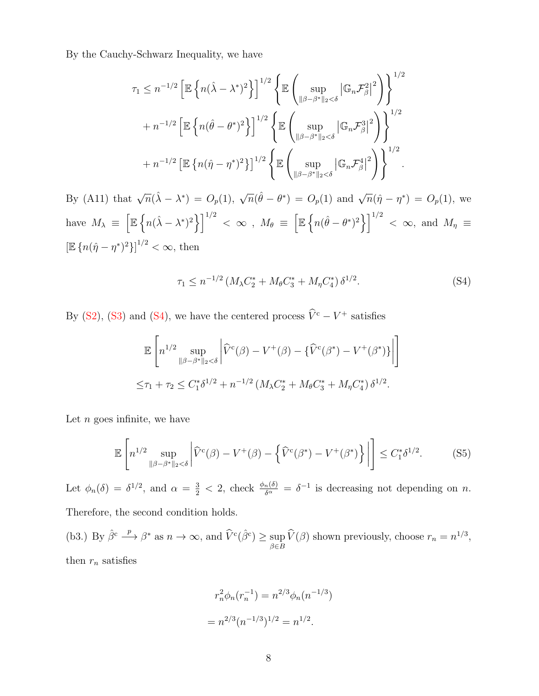By the Cauchy-Schwarz Inequality, we have

$$
\tau_1 \leq n^{-1/2} \left[ \mathbb{E} \left\{ n(\hat{\lambda} - \lambda^*)^2 \right\} \right]^{1/2} \left\{ \mathbb{E} \left( \sup_{\|\beta - \beta^*\|_2 < \delta} |\mathbb{G}_n \mathcal{F}_{\beta}^2|^2 \right) \right\}^{1/2} + n^{-1/2} \left[ \mathbb{E} \left\{ n(\hat{\theta} - \theta^*)^2 \right\} \right]^{1/2} \left\{ \mathbb{E} \left( \sup_{\|\beta - \beta^*\|_2 < \delta} |\mathbb{G}_n \mathcal{F}_{\beta}^3|^2 \right) \right\}^{1/2} + n^{-1/2} \left[ \mathbb{E} \left\{ n(\hat{\eta} - \eta^*)^2 \right\} \right]^{1/2} \left\{ \mathbb{E} \left( \sup_{\|\beta - \beta^*\|_2 < \delta} |\mathbb{G}_n \mathcal{F}_{\beta}^4|^2 \right) \right\}^{1/2} .
$$

By (A11) that  $\sqrt{n}(\hat{\lambda} - \lambda^*) = O_p(1)$ ,  $\sqrt{n}(\hat{\theta} - \theta^*) = O_p(1)$  and  $\sqrt{n}(\hat{\eta} - \eta^*) = O_p(1)$ , we have  $M_{\lambda} \equiv \left[ \mathbb{E} \left\{ n(\hat{\lambda} - \lambda^*)^2 \right\} \right]^{1/2} < \infty$ ,  $M_{\theta} \equiv \left[ \mathbb{E} \left\{ n(\hat{\theta} - \theta^*)^2 \right\} \right]^{1/2} < \infty$ , and  $M_{\eta} \equiv$  $[\mathbb{E} \{ n(\hat{\eta} - \eta^*)^2 \}]^{1/2} < \infty$ , then

$$
\tau_1 \le n^{-1/2} \left( M_\lambda C_2^* + M_\theta C_3^* + M_\eta C_4^* \right) \delta^{1/2}.
$$
 (S4)

By (S2), (S3) and (S4), we have the centered process  $\hat{V}^c - V^+$  satisfies

$$
\mathbb{E}\left[n^{1/2}\sup_{\|\beta-\beta^*\|_2 < \delta}\left|\widehat{V}^c(\beta) - V^+(\beta) - \{\widehat{V}^c(\beta^*) - V^+(\beta^*)\}\right|\right]
$$
  

$$
\leq \tau_1 + \tau_2 \leq C_1^*\delta^{1/2} + n^{-1/2}\left(M_\lambda C_2^* + M_\theta C_3^* + M_\eta C_4^*\right)\delta^{1/2}.
$$

Let  $n$  goes infinite, we have

$$
\mathbb{E}\left[n^{1/2}\sup_{\|\beta-\beta^*\|_2<\delta}\left|\widehat{V}^c(\beta)-V^+(\beta)-\left\{\widehat{V}^c(\beta^*)-V^+(\beta^*)\right\}\right|\right]\leq C_1^*\delta^{1/2}.\tag{S5}
$$

Let  $\phi_n(\delta) = \delta^{1/2}$ , and  $\alpha = \frac{3}{2} < 2$ , check  $\frac{\phi_n(\delta)}{\delta^{\alpha}} = \delta^{-1}$  is decreasing not depending on *n*.

Therefore, the second condition holds.

(b3.) By  $\hat{\beta}^c \longrightarrow \beta^*$  as  $n \to \infty$ , and  $\widehat{V}^c(\hat{\beta}^c) \ge \sup_{\beta \in B} \widehat{V}(\beta)$  shown previously, choose  $r_n = n^{1/3}$ , then  $r_n$  satisfies

$$
r_n^2 \phi_n(r_n^{-1}) = n^{2/3} \phi_n(n^{-1/3})
$$

$$
= n^{2/3} (n^{-1/3})^{1/2} = n^{1/2}.
$$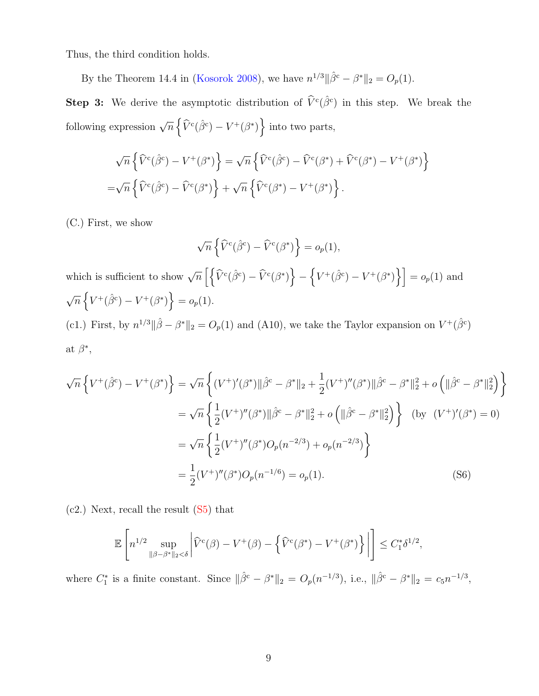Thus, the third condition holds.

By the Theorem 14.4 in (Kosorok 2008), we have  $n^{1/3} || \hat{\beta}^c - \beta^* ||_2 = O_p(1)$ .

**Step 3:** We derive the asymptotic distribution of  $\hat{V}^c(\hat{\beta}^c)$  in this step. We break the following expression  $\sqrt{n} \left\{ \widehat{V}^c(\hat{\beta}^c) - V^+(\beta^*) \right\}$  into two parts,

$$
\sqrt{n}\left\{\widehat{V}^c(\widehat{\beta}^c) - V^+(\beta^*)\right\} = \sqrt{n}\left\{\widehat{V}^c(\widehat{\beta}^c) - \widehat{V}^c(\beta^*) + \widehat{V}^c(\beta^*) - V^+(\beta^*)\right\}
$$

$$
= \sqrt{n}\left\{\widehat{V}^c(\widehat{\beta}^c) - \widehat{V}^c(\beta^*)\right\} + \sqrt{n}\left\{\widehat{V}^c(\beta^*) - V^+(\beta^*)\right\}.
$$

(C.) First, we show

$$
\sqrt{n}\left\{\widehat{V}^c(\widehat{\beta}^c) - \widehat{V}^c(\beta^*)\right\} = o_p(1),
$$

which is sufficient to show  $\sqrt{n}\left[\left\{\widehat{V}^c(\hat{\beta}^c) - \widehat{V}^c(\beta^*)\right\}\right]$ −  $\left\{V^+(\hat{\beta}^c) - V^+(\beta^*)\right\}$  =  $o_p(1)$  and  $\sqrt{n}\left\{V^+(\hat{\beta}^c) - V^+(\beta^*)\right\} = o_p(1).$ (c1.) First, by  $n^{1/3} \|\hat{\beta} - \beta^*\|_2 = O_p(1)$  and (A10), we take the Taylor expansion on  $V^+(\hat{\beta}^c)$ 

at 
$$
\beta^*
$$
,

$$
\sqrt{n} \left\{ V^{+}(\hat{\beta}^{c}) - V^{+}(\beta^{*}) \right\} = \sqrt{n} \left\{ (V^{+})'(\beta^{*}) \|\hat{\beta}^{c} - \beta^{*}\|_{2} + \frac{1}{2} (V^{+})''(\beta^{*}) \|\hat{\beta}^{c} - \beta^{*}\|_{2}^{2} + o \left( \|\hat{\beta}^{c} - \beta^{*}\|_{2}^{2} \right) \right\}
$$
  
\n
$$
= \sqrt{n} \left\{ \frac{1}{2} (V^{+})''(\beta^{*}) \|\hat{\beta}^{c} - \beta^{*}\|_{2}^{2} + o \left( \|\hat{\beta}^{c} - \beta^{*}\|_{2}^{2} \right) \right\} \text{ (by } (V^{+})'(\beta^{*}) = 0)
$$
  
\n
$$
= \sqrt{n} \left\{ \frac{1}{2} (V^{+})''(\beta^{*}) O_{p}(n^{-2/3}) + o_{p}(n^{-2/3}) \right\}
$$
  
\n
$$
= \frac{1}{2} (V^{+})''(\beta^{*}) O_{p}(n^{-1/6}) = o_{p}(1).
$$
 (S6)

(c2.) Next, recall the result (S5) that

$$
\mathbb{E}\left[n^{1/2}\sup_{\|\beta-\beta^*\|_2<\delta}\left|\widehat{V}^c(\beta)-V^+(\beta)-\left\{\widehat{V}^c(\beta^*)-V^+(\beta^*)\right\}\right|\right]\leq C_1^*\delta^{1/2},
$$

where  $C_1^*$  is a finite constant. Since  $\|\hat{\beta}^c - \beta^*\|_2 = O_p(n^{-1/3}),$  i.e.,  $\|\hat{\beta}^c - \beta^*\|_2 = c_5 n^{-1/3},$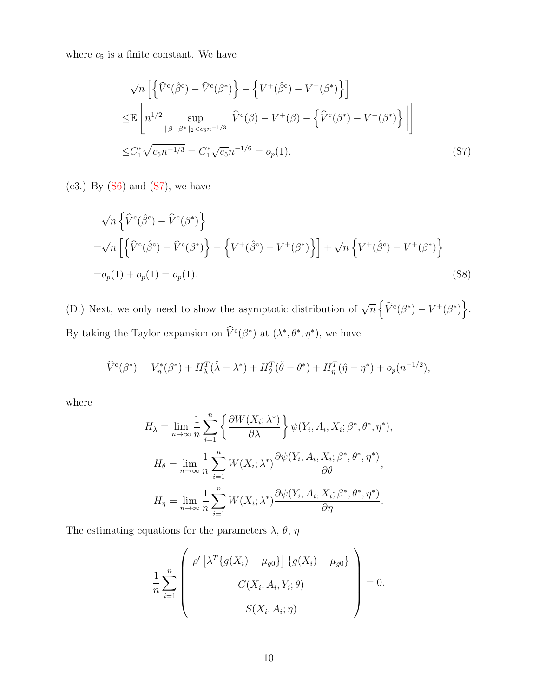where  $c_5$  is a finite constant. We have

$$
\sqrt{n}\left[\left\{\hat{V}^c(\hat{\beta}^c) - \hat{V}^c(\beta^*)\right\} - \left\{V^+(\hat{\beta}^c) - V^+(\beta^*)\right\}\right]
$$
  

$$
\leq \mathbb{E}\left[n^{1/2}\sup_{\|\beta-\beta^*\|_2 < c_5 n^{-1/3}} \left|\hat{V}^c(\beta) - V^+(\beta) - \left\{\hat{V}^c(\beta^*) - V^+(\beta^*)\right\}\right|\right]
$$
  

$$
\leq C_1^* \sqrt{c_5 n^{-1/3}} = C_1^* \sqrt{c_5 n^{-1/6}} = o_p(1).
$$
 (S7)

 $(c3.)$  By  $(S6)$  and  $(S7)$ , we have

$$
\sqrt{n}\left\{\hat{V}^c(\hat{\beta}^c) - \hat{V}^c(\beta^*)\right\}
$$
  
= $\sqrt{n}\left[\left\{\hat{V}^c(\hat{\beta}^c) - \hat{V}^c(\beta^*)\right\} - \left\{V^+(\hat{\beta}^c) - V^+(\beta^*)\right\}\right] + \sqrt{n}\left\{V^+(\hat{\beta}^c) - V^+(\beta^*)\right\}$   
= $o_p(1) + o_p(1) = o_p(1).$  (S8)

(D.) Next, we only need to show the asymptotic distribution of  $\sqrt{n} \left\{ \widehat{V}^c(\beta^*) - V^+(\beta^*) \right\}$ . By taking the Taylor expansion on  $\hat{V}^c(\beta^*)$  at  $(\lambda^*, \theta^*, \eta^*)$ , we have

$$
\widehat{V}^c(\beta^*) = V_n^*(\beta^*) + H_\lambda^T(\widehat{\lambda} - \lambda^*) + H_\theta^T(\widehat{\theta} - \theta^*) + H_\eta^T(\widehat{\eta} - \eta^*) + o_p(n^{-1/2}),
$$

where

$$
H_{\lambda} = \lim_{n \to \infty} \frac{1}{n} \sum_{i=1}^{n} \left\{ \frac{\partial W(X_i; \lambda^*)}{\partial \lambda} \right\} \psi(Y_i, A_i, X_i; \beta^*, \theta^*, \eta^*),
$$
  
\n
$$
H_{\theta} = \lim_{n \to \infty} \frac{1}{n} \sum_{i=1}^{n} W(X_i; \lambda^*) \frac{\partial \psi(Y_i, A_i, X_i; \beta^*, \theta^*, \eta^*)}{\partial \theta},
$$
  
\n
$$
H_{\eta} = \lim_{n \to \infty} \frac{1}{n} \sum_{i=1}^{n} W(X_i; \lambda^*) \frac{\partial \psi(Y_i, A_i, X_i; \beta^*, \theta^*, \eta^*)}{\partial \eta}.
$$

The estimating equations for the parameters  $\lambda,\,\theta,\,\eta$ 

$$
\frac{1}{n} \sum_{i=1}^{n} \left( \begin{array}{c} \rho' \left[ \lambda^T \{ g(X_i) - \mu_{g0} \} \right] \{ g(X_i) - \mu_{g0} \} \\ C(X_i, A_i, Y_i; \theta) \\ S(X_i, A_i; \eta) \end{array} \right) = 0.
$$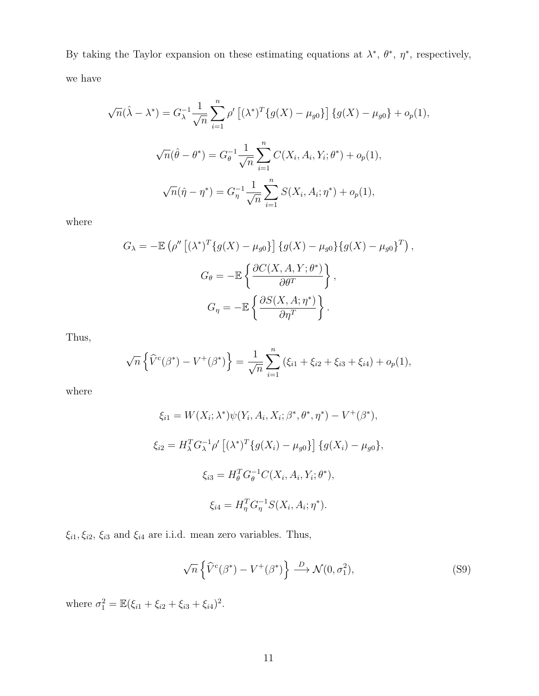By taking the Taylor expansion on these estimating equations at  $\lambda^*, \theta^*, \eta^*$ , respectively, we have

$$
\sqrt{n}(\hat{\lambda} - \lambda^*) = G_{\lambda}^{-1} \frac{1}{\sqrt{n}} \sum_{i=1}^n \rho' \left[ (\lambda^*)^T \{ g(X) - \mu_{g0} \} \right] \{ g(X) - \mu_{g0} \} + o_p(1),
$$
  

$$
\sqrt{n}(\hat{\theta} - \theta^*) = G_{\theta}^{-1} \frac{1}{\sqrt{n}} \sum_{i=1}^n C(X_i, A_i, Y_i; \theta^*) + o_p(1),
$$
  

$$
\sqrt{n}(\hat{\eta} - \eta^*) = G_{\eta}^{-1} \frac{1}{\sqrt{n}} \sum_{i=1}^n S(X_i, A_i; \eta^*) + o_p(1),
$$

where

$$
G_{\lambda} = -\mathbb{E}\left(\rho''\left[(\lambda^*)^T\{g(X) - \mu_{g0}\}\right]\{g(X) - \mu_{g0}\}\{g(X) - \mu_{g0}\}^T\right),
$$

$$
G_{\theta} = -\mathbb{E}\left\{\frac{\partial C(X, A, Y; \theta^*)}{\partial \theta^T}\right\},
$$

$$
G_{\eta} = -\mathbb{E}\left\{\frac{\partial S(X, A; \eta^*)}{\partial \eta^T}\right\}.
$$

Thus,

$$
\sqrt{n}\left\{\widehat{V}^c(\beta^*) - V^+(\beta^*)\right\} = \frac{1}{\sqrt{n}}\sum_{i=1}^n\left(\xi_{i1} + \xi_{i2} + \xi_{i3} + \xi_{i4}\right) + o_p(1),
$$

where

$$
\xi_{i1} = W(X_i; \lambda^*) \psi(Y_i, A_i, X_i; \beta^*, \theta^*, \eta^*) - V^+(\beta^*),
$$
  
\n
$$
\xi_{i2} = H_{\lambda}^T G_{\lambda}^{-1} \rho' \left[ (\lambda^*)^T \{ g(X_i) - \mu_{g0} \} \right] \{ g(X_i) - \mu_{g0} \},
$$
  
\n
$$
\xi_{i3} = H_{\theta}^T G_{\theta}^{-1} C(X_i, A_i, Y_i; \theta^*),
$$
  
\n
$$
\xi_{i4} = H_{\eta}^T G_{\eta}^{-1} S(X_i, A_i; \eta^*).
$$

 $\xi_{i1}, \xi_{i2}, \, \xi_{i3}$  and  $\xi_{i4}$  are i.i.d. mean zero variables. Thus,

$$
\sqrt{n}\left\{\widehat{V}^c(\beta^*) - V^+(\beta^*)\right\} \stackrel{D}{\longrightarrow} \mathcal{N}(0, \sigma_1^2),\tag{S9}
$$

where  $\sigma_1^2 = \mathbb{E}(\xi_{i1} + \xi_{i2} + \xi_{i3} + \xi_{i4})^2$ .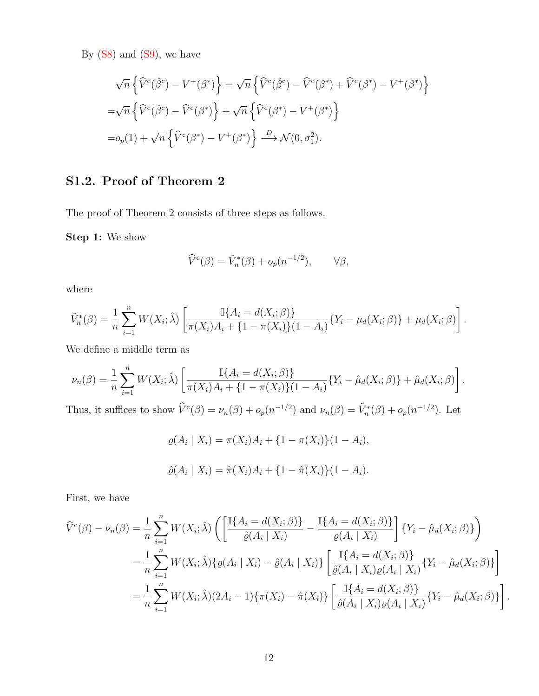By  $(S8)$  and  $(S9)$ , we have

$$
\sqrt{n}\left\{\hat{V}^c(\hat{\beta}^c) - V^+(\beta^*)\right\} = \sqrt{n}\left\{\hat{V}^c(\hat{\beta}^c) - \hat{V}^c(\beta^*) + \hat{V}^c(\beta^*) - V^+(\beta^*)\right\}
$$

$$
= \sqrt{n}\left\{\hat{V}^c(\hat{\beta}^c) - \hat{V}^c(\beta^*)\right\} + \sqrt{n}\left\{\hat{V}^c(\beta^*) - V^+(\beta^*)\right\}
$$

$$
= o_p(1) + \sqrt{n}\left\{\hat{V}^c(\beta^*) - V^+(\beta^*)\right\} \xrightarrow{D} \mathcal{N}(0, \sigma_1^2).
$$

# S1.2. Proof of Theorem 2

The proof of Theorem 2 consists of three steps as follows.

Step 1: We show

$$
\widehat{V}^c(\beta) = \widetilde{V}_n^*(\beta) + o_p(n^{-1/2}), \qquad \forall \beta,
$$

where

$$
\tilde{V}_n^*(\beta) = \frac{1}{n} \sum_{i=1}^n W(X_i; \hat{\lambda}) \left[ \frac{\mathbb{I}\{A_i = d(X_i; \beta)\}}{\pi(X_i)A_i + \{1 - \pi(X_i)\}(1 - A_i)} \{Y_i - \mu_d(X_i; \beta)\} + \mu_d(X_i; \beta) \right].
$$

We define a middle term as

$$
\nu_n(\beta) = \frac{1}{n} \sum_{i=1}^n W(X_i; \hat{\lambda}) \left[ \frac{\mathbb{I}\{A_i = d(X_i; \beta)\}}{\pi(X_i)A_i + \{1 - \pi(X_i)\}(1 - A_i)} \{Y_i - \hat{\mu}_d(X_i; \beta)\} + \hat{\mu}_d(X_i; \beta) \right].
$$
  
Thus, it suffices to show  $\hat{V}^{c(\beta)} = \nu_n(\beta) + \rho_n(\pi^{-1/2})$  and  $\nu_n(\beta) = \tilde{V}^{*(\beta)} + \rho_n(\pi^{-1/2})$ . Let

Thus, it suffices to show  $\hat{V}^c(\beta) = \nu_n(\beta) + o_p(n^{-1/2})$  and  $\nu_n(\beta) = \tilde{V}^*_n(\beta) + o_p(n^{-1/2})$ . Let

$$
\varrho(A_i \mid X_i) = \pi(X_i)A_i + \{1 - \pi(X_i)\}(1 - A_i),
$$
  

$$
\hat{\varrho}(A_i \mid X_i) = \hat{\pi}(X_i)A_i + \{1 - \hat{\pi}(X_i)\}(1 - A_i).
$$

First, we have

$$
\hat{V}^{c}(\beta) - \nu_{n}(\beta) = \frac{1}{n} \sum_{i=1}^{n} W(X_{i}; \hat{\lambda}) \left( \left[ \frac{\mathbb{I}\{A_{i} = d(X_{i}; \beta)\}}{\hat{\varrho}(A_{i} \mid X_{i})} - \frac{\mathbb{I}\{A_{i} = d(X_{i}; \beta)\}}{\varrho(A_{i} \mid X_{i})} \right] \{Y_{i} - \hat{\mu}_{d}(X_{i}; \beta)\} \right)
$$
\n
$$
= \frac{1}{n} \sum_{i=1}^{n} W(X_{i}; \hat{\lambda}) \{ \varrho(A_{i} \mid X_{i}) - \hat{\varrho}(A_{i} \mid X_{i}) \} \left[ \frac{\mathbb{I}\{A_{i} = d(X_{i}; \beta)\}}{\hat{\varrho}(A_{i} \mid X_{i})\varrho(A_{i} \mid X_{i})} \{Y_{i} - \hat{\mu}_{d}(X_{i}; \beta)\} \right]
$$
\n
$$
= \frac{1}{n} \sum_{i=1}^{n} W(X_{i}; \hat{\lambda}) (2A_{i} - 1) \{ \pi(X_{i}) - \hat{\pi}(X_{i}) \} \left[ \frac{\mathbb{I}\{A_{i} = d(X_{i}; \beta)\}}{\hat{\varrho}(A_{i} \mid X_{i})\varrho(A_{i} \mid X_{i})} \{Y_{i} - \hat{\mu}_{d}(X_{i}; \beta)\} \right].
$$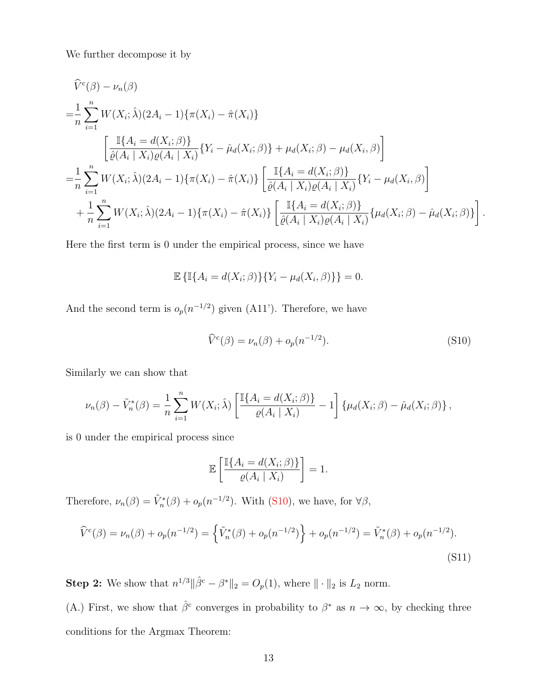We further decompose it by

$$
\hat{V}^{c}(\beta) - \nu_{n}(\beta)
$$
\n
$$
= \frac{1}{n} \sum_{i=1}^{n} W(X_{i}; \hat{\lambda})(2A_{i} - 1) \{\pi(X_{i}) - \hat{\pi}(X_{i})\}
$$
\n
$$
\left[ \frac{\mathbb{I}\{A_{i} = d(X_{i}; \beta)\}}{\hat{\varrho}(A_{i} | X_{i})\varrho(A_{i} | X_{i})} \{Y_{i} - \hat{\mu}_{d}(X_{i}; \beta)\} + \mu_{d}(X_{i}; \beta) - \mu_{d}(X_{i}, \beta) \right]
$$
\n
$$
= \frac{1}{n} \sum_{i=1}^{n} W(X_{i}; \hat{\lambda})(2A_{i} - 1) \{\pi(X_{i}) - \hat{\pi}(X_{i})\} \left[ \frac{\mathbb{I}\{A_{i} = d(X_{i}; \beta)\}}{\hat{\varrho}(A_{i} | X_{i})\varrho(A_{i} | X_{i})} \{Y_{i} - \mu_{d}(X_{i}, \beta)\} + \frac{1}{n} \sum_{i=1}^{n} W(X_{i}; \hat{\lambda})(2A_{i} - 1) \{\pi(X_{i}) - \hat{\pi}(X_{i})\} \left[ \frac{\mathbb{I}\{A_{i} = d(X_{i}; \beta)\}}{\hat{\varrho}(A_{i} | X_{i})\varrho(A_{i} | X_{i})} \{\mu_{d}(X_{i}; \beta) - \hat{\mu}_{d}(X_{i}; \beta)\} \right].
$$

Here the first term is 0 under the empirical process, since we have

$$
\mathbb{E}\left\{\mathbb{I}\{A_i = d(X_i; \beta)\}\{Y_i - \mu_d(X_i, \beta)\}\right\} = 0.
$$

And the second term is  $o_p(n^{-1/2})$  given (A11'). Therefore, we have

$$
\widehat{V}^c(\beta) = \nu_n(\beta) + o_p(n^{-1/2}).\tag{S10}
$$

Similarly we can show that

$$
\nu_n(\beta) - \tilde{V}_n^*(\beta) = \frac{1}{n} \sum_{i=1}^n W(X_i; \hat{\lambda}) \left[ \frac{\mathbb{I}\{A_i = d(X_i; \beta)\}}{\varrho(A_i \mid X_i)} - 1 \right] \{ \mu_d(X_i; \beta) - \hat{\mu}_d(X_i; \beta) \},
$$

is 0 under the empirical process since

$$
\mathbb{E}\left[\frac{\mathbb{I}\{A_i = d(X_i; \beta)\}}{\varrho(A_i \mid X_i)}\right] = 1.
$$

Therefore,  $\nu_n(\beta) = \tilde{V}_n^*(\beta) + o_p(n^{-1/2})$ . With (S10), we have, for  $\forall \beta$ ,

$$
\widehat{V}^{c}(\beta) = \nu_n(\beta) + o_p(n^{-1/2}) = \left\{ \widetilde{V}_n^*(\beta) + o_p(n^{-1/2}) \right\} + o_p(n^{-1/2}) = \widetilde{V}_n^*(\beta) + o_p(n^{-1/2}).
$$
\n(S11)

**Step 2:** We show that  $n^{1/3} \|\hat{\beta}^c - \beta^*\|_2 = O_p(1)$ , where  $\|\cdot\|_2$  is  $L_2$  norm.

(A.) First, we show that  $\hat{\beta}^c$  converges in probability to  $\beta^*$  as  $n \to \infty$ , by checking three conditions for the Argmax Theorem: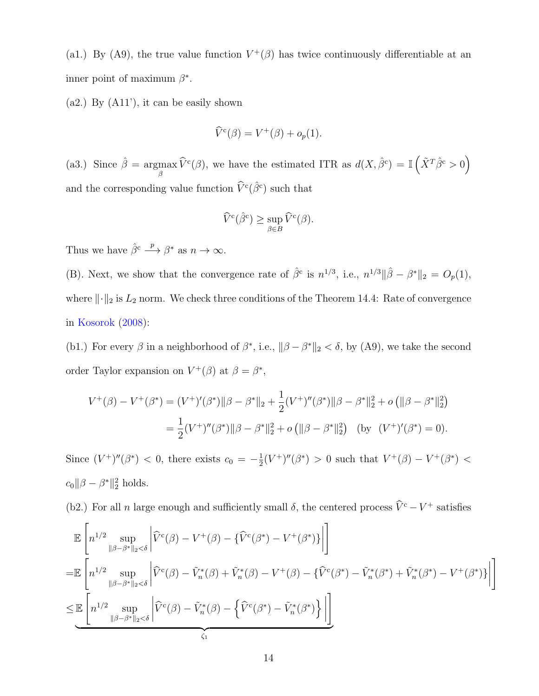(a1.) By (A9), the true value function  $V^+(\beta)$  has twice continuously differentiable at an inner point of maximum  $\beta^*$ .

(a2.) By (A11'), it can be easily shown

$$
\widehat{V}^{\mathbf{c}}(\beta) = V^+(\beta) + o_p(1).
$$

(a3.) Since  $\hat{\beta} = \text{argmax}$  $\max_{\beta} \widehat{V}^c(\beta)$ , we have the estimated ITR as  $d(X, \widehat{\beta}^c) = \mathbb{I}(\widehat{X}^T \widehat{\beta}^c > 0)$ and the corresponding value function  $\widehat{V}^c(\widehat{\beta}^c)$  such that

$$
\widehat{V}^{\mathrm{c}}(\widehat{\beta}^{\mathrm{c}}) \geq \sup_{\beta \in B} \widehat{V}^{\mathrm{c}}(\beta).
$$

Thus we have  $\hat{\beta}^c \stackrel{p}{\longrightarrow} \beta^*$  as  $n \to \infty$ .

(B). Next, we show that the convergence rate of  $\hat{\beta}^c$  is  $n^{1/3}$ , i.e.,  $n^{1/3} \|\hat{\beta} - \beta^*\|_2 = O_p(1)$ , where  $\|\cdot\|_2$  is  $L_2$  norm. We check three conditions of the Theorem 14.4: Rate of convergence in Kosorok (2008):

(b1.) For every  $\beta$  in a neighborhood of  $\beta^*$ , i.e.,  $\|\beta - \beta^*\|_2 < \delta$ , by (A9), we take the second order Taylor expansion on  $V^+(\beta)$  at  $\beta = \beta^*$ ,

$$
V^+(\beta) - V^+(\beta^*) = (V^+)'(\beta^*) \|\beta - \beta^*\|_2 + \frac{1}{2}(V^+)''(\beta^*) \|\beta - \beta^*\|_2^2 + o\left(\|\beta - \beta^*\|_2^2\right)
$$
  
=  $\frac{1}{2}(V^+)''(\beta^*) \|\beta - \beta^*\|_2^2 + o\left(\|\beta - \beta^*\|_2^2\right)$  (by  $(V^+)'(\beta^*) = 0$ ).

Since  $(V^+)^{\prime\prime}(\beta^*)$  < 0, there exists  $c_0 = -\frac{1}{2}$  $\frac{1}{2}(V^+)^{\prime\prime}(\beta^*)$  > 0 such that  $V^+(\beta) - V^+(\beta^*)$  <  $c_0 ||\beta - \beta^*||_2^2$  holds.

(b2.) For all n large enough and sufficiently small  $\delta$ , the centered process  $\hat{V}^c - V^+$  satisfies

$$
\mathbb{E}\left[n^{1/2}\sup_{\|\beta-\beta^*\|_2<\delta}\left|\widehat{V}^c(\beta)-V^+(\beta)-\{\widehat{V}^c(\beta^*)-V^+(\beta^*)\}\right|\right]
$$
\n
$$
=\mathbb{E}\left[n^{1/2}\sup_{\|\beta-\beta^*\|_2<\delta}\left|\widehat{V}^c(\beta)-\widetilde{V}_n^*(\beta)+\widetilde{V}_n^*(\beta)-V^+(\beta)-\{\widehat{V}^c(\beta^*)-\widetilde{V}_n^*(\beta^*)+\widetilde{V}_n^*(\beta^*)-V^+(\beta^*)\}\right|\right]
$$
\n
$$
\leq \mathbb{E}\left[n^{1/2}\sup_{\|\beta-\beta^*\|_2<\delta}\left|\widehat{V}^c(\beta)-\widetilde{V}_n^*(\beta)-\{\widehat{V}^c(\beta^*)-\widetilde{V}_n^*(\beta^*)\}\right|\right]
$$
\n
$$
\leq 1
$$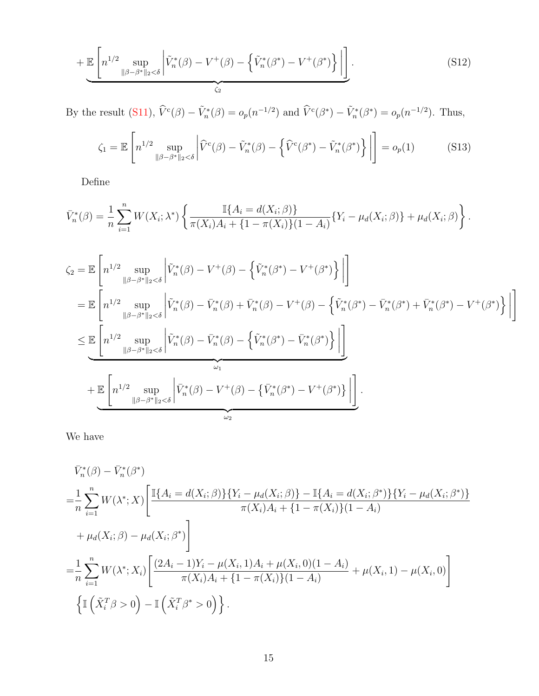$$
+\mathbb{E}\left[n^{1/2}\sup_{\|\beta-\beta^*\|_2<\delta}\left|\tilde{V}_n^*(\beta)-V^+(\beta)-\left\{\tilde{V}_n^*(\beta^*)-V^+(\beta^*)\right\}\right|\right].\tag{S12}
$$

By the result (S11),  $\hat{V}^c(\beta) - \tilde{V}^*_{n}(\beta) = o_p(n^{-1/2})$  and  $\hat{V}^c(\beta^*) - \tilde{V}^*_{n}(\beta^*) = o_p(n^{-1/2})$ . Thus,

$$
\zeta_1 = \mathbb{E}\left[n^{1/2}\sup_{\|\beta-\beta^*\|_2 < \delta} \left|\widehat{V}^c(\beta) - \widetilde{V}_n^*(\beta) - \left\{\widehat{V}^c(\beta^*) - \widetilde{V}_n^*(\beta^*)\right\}\right|\right] = o_p(1) \tag{S13}
$$

Define

$$
\bar{V}_n^*(\beta) = \frac{1}{n} \sum_{i=1}^n W(X_i; \lambda^*) \left\{ \frac{\mathbb{I}\{A_i = d(X_i; \beta)\}}{\pi(X_i)A_i + \{1 - \pi(X_i)\}(1 - A_i)} \{Y_i - \mu_d(X_i; \beta)\} + \mu_d(X_i; \beta) \right\}.
$$

$$
\zeta_{2} = \mathbb{E}\left[n^{1/2} \sup_{\|\beta-\beta^{*}\|_{2}<\delta} \left|\tilde{V}_{n}^{*}(\beta) - V^{+}(\beta) - \left\{\tilde{V}_{n}^{*}(\beta^{*}) - V^{+}(\beta^{*})\right\}\right|\right]
$$
\n
$$
= \mathbb{E}\left[n^{1/2} \sup_{\|\beta-\beta^{*}\|_{2}<\delta} \left|\tilde{V}_{n}^{*}(\beta) - \bar{V}_{n}^{*}(\beta) + \bar{V}_{n}^{*}(\beta) - V^{+}(\beta) - \left\{\tilde{V}_{n}^{*}(\beta^{*}) - \bar{V}_{n}^{*}(\beta^{*}) + \bar{V}_{n}^{*}(\beta^{*}) - V^{+}(\beta^{*})\right\}\right|\right]
$$
\n
$$
\leq \underbrace{\mathbb{E}\left[n^{1/2} \sup_{\|\beta-\beta^{*}\|_{2}<\delta} \left|\tilde{V}_{n}^{*}(\beta) - \bar{V}_{n}^{*}(\beta) - \left\{\tilde{V}_{n}^{*}(\beta^{*}) - \bar{V}_{n}^{*}(\beta^{*})\right\}\right|\right]}_{\omega_{1}} + \underbrace{\mathbb{E}\left[n^{1/2} \sup_{\|\beta-\beta^{*}\|_{2}<\delta} \left|\bar{V}_{n}^{*}(\beta) - V^{+}(\beta) - \left\{\bar{V}_{n}^{*}(\beta^{*}) - V^{+}(\beta^{*})\right\}\right|\right]}_{\omega_{2}}.
$$

We have

$$
\bar{V}_{n}^{*}(\beta) - \bar{V}_{n}^{*}(\beta^{*})
$$
\n
$$
= \frac{1}{n} \sum_{i=1}^{n} W(\lambda^{*}; X) \left[ \frac{\mathbb{I}\{A_{i} = d(X_{i}; \beta)\} \{Y_{i} - \mu_{d}(X_{i}; \beta)\} - \mathbb{I}\{A_{i} = d(X_{i}; \beta^{*})\} \{Y_{i} - \mu_{d}(X_{i}; \beta^{*})\}}{\pi(X_{i})A_{i} + \{1 - \pi(X_{i})\}(1 - A_{i})} + \mu_{d}(X_{i}; \beta) - \mu_{d}(X_{i}; \beta^{*}) \right]
$$
\n
$$
= \frac{1}{n} \sum_{i=1}^{n} W(\lambda^{*}; X_{i}) \left[ \frac{(2A_{i} - 1)Y_{i} - \mu(X_{i}, 1)A_{i} + \mu(X_{i}, 0)(1 - A_{i})}{\pi(X_{i})A_{i} + \{1 - \pi(X_{i})\}(1 - A_{i})} + \mu(X_{i}, 1) - \mu(X_{i}, 0) \right]
$$
\n
$$
\left\{ \mathbb{I}\left(\tilde{X}_{i}^{T} \beta > 0\right) - \mathbb{I}\left(\tilde{X}_{i}^{T} \beta^{*} > 0\right) \right\}.
$$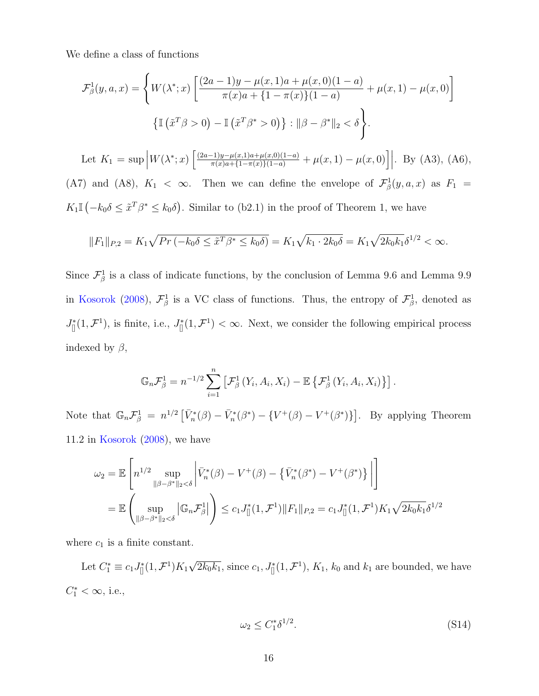We define a class of functions

$$
\mathcal{F}^1_{\beta}(y, a, x) = \left\{ W(\lambda^*; x) \left[ \frac{(2a - 1)y - \mu(x, 1)a + \mu(x, 0)(1 - a)}{\pi(x)a + \{1 - \pi(x)\}(1 - a)} + \mu(x, 1) - \mu(x, 0) \right] \right\}
$$

$$
\left\{ \mathbb{I} \left( \tilde{x}^T \beta > 0 \right) - \mathbb{I} \left( \tilde{x}^T \beta^* > 0 \right) \right\} : ||\beta - \beta^*||_2 < \delta \right\}.
$$

Let  $K_1 = \sup \Big| W(\lambda^*; x) \Big[ \frac{(2a-1)y - \mu(x,1)a + \mu(x,0)(1-a)}{\pi(x)a + \{1-\pi(x)\}(1-a)} + \mu(x,1) - \mu(x,0) \Big] \Big|$ . By (A3), (A6), (A7) and (A8),  $K_1 < \infty$ . Then we can define the envelope of  $\mathcal{F}^1_\beta(y, a, x)$  as  $F_1 =$  $K_1\mathbb{I}(-k_0\delta \leq \tilde{x}^T\beta^* \leq k_0\delta)$ . Similar to (b2.1) in the proof of Theorem 1, we have

$$
||F_1||_{P,2} = K_1 \sqrt{Pr(-k_0 \delta \leq \tilde{x}^T \beta^* \leq k_0 \delta)} = K_1 \sqrt{k_1 \cdot 2k_0 \delta} = K_1 \sqrt{2k_0 k_1} \delta^{1/2} < \infty.
$$

Since  $\mathcal{F}^1_\beta$  is a class of indicate functions, by the conclusion of Lemma 9.6 and Lemma 9.9 in Kosorok (2008),  $\mathcal{F}_{\beta}^1$  is a VC class of functions. Thus, the entropy of  $\mathcal{F}_{\beta}^1$ , denoted as  $J_{[]}^{*}(1,\mathcal{F}^{1}),$  is finite, i.e.,  $J_{[]}^{*}(1,\mathcal{F}^{1}) < \infty$ . Next, we consider the following empirical process indexed by  $\beta$ ,

$$
\mathbb{G}_n \mathcal{F}_{\beta}^1 = n^{-1/2} \sum_{i=1}^n \left[ \mathcal{F}_{\beta}^1 \left( Y_i, A_i, X_i \right) - \mathbb{E} \left\{ \mathcal{F}_{\beta}^1 \left( Y_i, A_i, X_i \right) \right\} \right].
$$

Note that  $\mathbb{G}_n \mathcal{F}_{\beta}^1 = n^{1/2} \left[ \bar{V}_n^*(\beta) - \bar{V}_n^*(\beta^*) - \{ V^+(\beta) - V^+(\beta^*) \} \right]$ . By applying Theorem 11.2 in Kosorok (2008), we have

$$
\omega_2 = \mathbb{E}\left[n^{1/2} \sup_{\|\beta-\beta^*\|_2 < \delta} \left|\bar{V}_n^*(\beta) - V^+(\beta) - \{\bar{V}_n^*(\beta^*) - V^+(\beta^*)\}\right|\right]
$$
  
= 
$$
\mathbb{E}\left(\sup_{\|\beta-\beta^*\|_2 < \delta} |\mathbb{G}_n \mathcal{F}_\beta^1|\right) \leq c_1 J_{\parallel}^*(1, \mathcal{F}^1) \|F_1\|_{P,2} = c_1 J_{\parallel}^*(1, \mathcal{F}^1) K_1 \sqrt{2k_0 k_1} \delta^{1/2}
$$

where  $c_1$  is a finite constant.

Let  $C_1^* \equiv c_1 J_{[]}^*(1, \mathcal{F}^1) K_1 \sqrt{2k_0k_1}$ , since  $c_1, J_{[]}^*(1, \mathcal{F}^1)$ ,  $K_1$ ,  $k_0$  and  $k_1$  are bounded, we have  $C_1^* < \infty$ , i.e.,

$$
\omega_2 \le C_1^* \delta^{1/2}.\tag{S14}
$$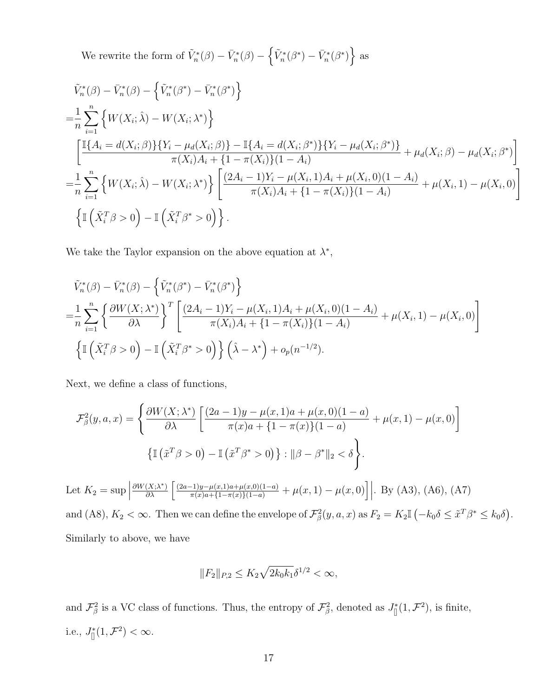We rewrite the form of  $\tilde{V}_n^*(\beta) - \bar{V}_n^*(\beta) - \left\{ \tilde{V}_n^*(\beta^*) - \bar{V}_n^*(\beta^*) \right\}$  as

$$
\tilde{V}_{n}^{*}(\beta) - \bar{V}_{n}^{*}(\beta) - \left\{ \tilde{V}_{n}^{*}(\beta^{*}) - \bar{V}_{n}^{*}(\beta^{*}) \right\}
$$
\n
$$
= \frac{1}{n} \sum_{i=1}^{n} \left\{ W(X_{i}; \hat{\lambda}) - W(X_{i}; \lambda^{*}) \right\}
$$
\n
$$
\left[ \frac{\mathbb{I}\{A_{i} = d(X_{i}; \beta)\} \{Y_{i} - \mu_{d}(X_{i}; \beta)\} - \mathbb{I}\{A_{i} = d(X_{i}; \beta^{*})\} \{Y_{i} - \mu_{d}(X_{i}; \beta^{*})\}}{\pi(X_{i})A_{i} + \{1 - \pi(X_{i})\} (1 - A_{i})} + \mu_{d}(X_{i}; \beta) - \mu_{d}(X_{i}; \beta^{*}) \right]}
$$
\n
$$
= \frac{1}{n} \sum_{i=1}^{n} \left\{ W(X_{i}; \hat{\lambda}) - W(X_{i}; \lambda^{*}) \right\} \left[ \frac{(2A_{i} - 1)Y_{i} - \mu(X_{i}, 1)A_{i} + \mu(X_{i}, 0)(1 - A_{i})}{\pi(X_{i})A_{i} + \{1 - \pi(X_{i})\} (1 - A_{i})} + \mu(X_{i}, 1) - \mu(X_{i}, 0) \right]
$$
\n
$$
\left\{ \mathbb{I}\left(\tilde{X}_{i}^{T} \beta > 0\right) - \mathbb{I}\left(\tilde{X}_{i}^{T} \beta^{*} > 0\right) \right\}.
$$

We take the Taylor expansion on the above equation at  $\lambda^*$ ,

$$
\tilde{V}_{n}^{*}(\beta) - \bar{V}_{n}^{*}(\beta) - \left\{ \tilde{V}_{n}^{*}(\beta^{*}) - \bar{V}_{n}^{*}(\beta^{*}) \right\}
$$
\n
$$
= \frac{1}{n} \sum_{i=1}^{n} \left\{ \frac{\partial W(X; \lambda^{*})}{\partial \lambda} \right\}^{T} \left[ \frac{(2A_{i} - 1)Y_{i} - \mu(X_{i}, 1)A_{i} + \mu(X_{i}, 0)(1 - A_{i})}{\pi(X_{i})A_{i} + \{1 - \pi(X_{i})\}(1 - A_{i})} + \mu(X_{i}, 1) - \mu(X_{i}, 0) \right]
$$
\n
$$
\left\{ \mathbb{I} \left( \tilde{X}_{i}^{T} \beta > 0 \right) - \mathbb{I} \left( \tilde{X}_{i}^{T} \beta^{*} > 0 \right) \right\} \left( \hat{\lambda} - \lambda^{*} \right) + o_{p}(n^{-1/2}).
$$

Next, we define a class of functions,

$$
\mathcal{F}_{\beta}^{2}(y, a, x) = \left\{ \frac{\partial W(X; \lambda^{*})}{\partial \lambda} \left[ \frac{(2a - 1)y - \mu(x, 1)a + \mu(x, 0)(1 - a)}{\pi(x)a + \{1 - \pi(x)\}(1 - a)} + \mu(x, 1) - \mu(x, 0) \right] \right\}
$$

$$
\left\{ \mathbb{I} \left( \tilde{x}^{T} \beta > 0 \right) - \mathbb{I} \left( \tilde{x}^{T} \beta^{*} > 0 \right) \right\} : ||\beta - \beta^{*}||_{2} < \delta \right\}.
$$

Let  $K_2 = \sup |$  $\frac{\partial W(X;\lambda^*)}{\partial \lambda} \left[ \frac{(2a-1)y - \mu(x,1)a + \mu(x,0)(1-a)}{\pi(x)a + \{1 - \pi(x)\}(1-a)} + \mu(x,1) - \mu(x,0) \right]$ . By (A3), (A6), (A7) and (A8),  $K_2 < \infty$ . Then we can define the envelope of  $\mathcal{F}_{\beta}^2(y, a, x)$  as  $F_2 = K_2 \mathbb{I}(-k_0 \delta \leq \tilde{x}^T \beta^* \leq k_0 \delta)$ . Similarly to above, we have

$$
||F_2||_{P,2} \le K_2 \sqrt{2k_0 k_1} \delta^{1/2} < \infty,
$$

and  $\mathcal{F}_{\beta}^2$  is a VC class of functions. Thus, the entropy of  $\mathcal{F}_{\beta}^2$ , denoted as  $J_{\parallel}^*(1,\mathcal{F}^2)$ , is finite, i.e.,  $J_{\parallel}^*(1, \mathcal{F}^2) < \infty$ .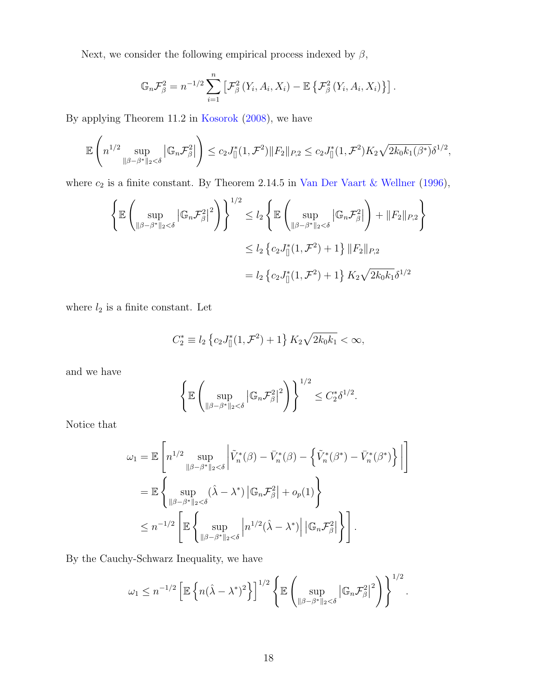Next, we consider the following empirical process indexed by  $\beta$ ,

$$
\mathbb{G}_n \mathcal{F}_{\beta}^2 = n^{-1/2} \sum_{i=1}^n \left[ \mathcal{F}_{\beta}^2 \left( Y_i, A_i, X_i \right) - \mathbb{E} \left\{ \mathcal{F}_{\beta}^2 \left( Y_i, A_i, X_i \right) \right\} \right].
$$

By applying Theorem 11.2 in Kosorok (2008), we have

$$
\mathbb{E}\left(n^{1/2}\sup_{\|\beta-\beta^*\|_2<\delta}|\mathbb{G}_n\mathcal{F}_{\beta}^2|\right)\leq c_2J_{[]}^*(1,\mathcal{F}^2)\|F_2\|_{P,2}\leq c_2J_{[]}^*(1,\mathcal{F}^2)K_2\sqrt{2k_0k_1(\beta^*)}\delta^{1/2},
$$

where  $c_2$  is a finite constant. By Theorem 2.14.5 in Van Der Vaart & Wellner (1996),

$$
\left\{\mathbb{E}\left(\sup_{\|\beta-\beta^*\|_2<\delta}|\mathbb{G}_n\mathcal{F}_{\beta}^2|^2\right)\right\}^{1/2} \le l_2 \left\{\mathbb{E}\left(\sup_{\|\beta-\beta^*\|_2<\delta}|\mathbb{G}_n\mathcal{F}_{\beta}^2|\right) + \|F_2\|_{P,2}\right\}
$$
  

$$
\le l_2 \left\{c_2J_{\parallel}^*(1,\mathcal{F}^2) + 1\right\}\|F_2\|_{P,2}
$$
  

$$
= l_2 \left\{c_2J_{\parallel}^*(1,\mathcal{F}^2) + 1\right\}K_2\sqrt{2k_0k_1}\delta^{1/2}
$$

where  $l_2$  is a finite constant. Let

$$
C_2^* \equiv l_2 \left\{ c_2 J_{\parallel}^*(1, \mathcal{F}^2) + 1 \right\} K_2 \sqrt{2k_0 k_1} < \infty,
$$

and we have

$$
\left\{\mathbb{E}\left(\sup_{\|\beta-\beta^*\|_2<\delta}|\mathbb{G}_n\mathcal{F}_{\beta}^2|^2\right)\right\}^{1/2}\leq C_2^*\delta^{1/2}.
$$

Notice that

$$
\omega_1 = \mathbb{E}\left[n^{1/2} \sup_{\|\beta-\beta^*\|_2 < \delta} \left|\tilde{V}_n^*(\beta) - \bar{V}_n^*(\beta) - \left\{\tilde{V}_n^*(\beta^*) - \bar{V}_n^*(\beta^*)\right\}\right|\right]
$$
  
\n
$$
= \mathbb{E}\left\{\sup_{\|\beta-\beta^*\|_2 < \delta} (\hat{\lambda} - \lambda^*) |\mathbb{G}_n \mathcal{F}_\beta^2| + o_p(1) \right\}
$$
  
\n
$$
\leq n^{-1/2} \left[\mathbb{E}\left\{\sup_{\|\beta-\beta^*\|_2 < \delta} \left|n^{1/2}(\hat{\lambda} - \lambda^*)\right| |\mathbb{G}_n \mathcal{F}_\beta^2| \right\}\right].
$$

By the Cauchy-Schwarz Inequality, we have

$$
\omega_1 \leq n^{-1/2} \left[ \mathbb{E} \left\{ n(\hat{\lambda} - \lambda^*)^2 \right\} \right]^{1/2} \left\{ \mathbb{E} \left( \sup_{\|\beta - \beta^*\|_2 < \delta} \left| \mathbb{G}_n \mathcal{F}_\beta^2 \right|^2 \right) \right\}^{1/2}.
$$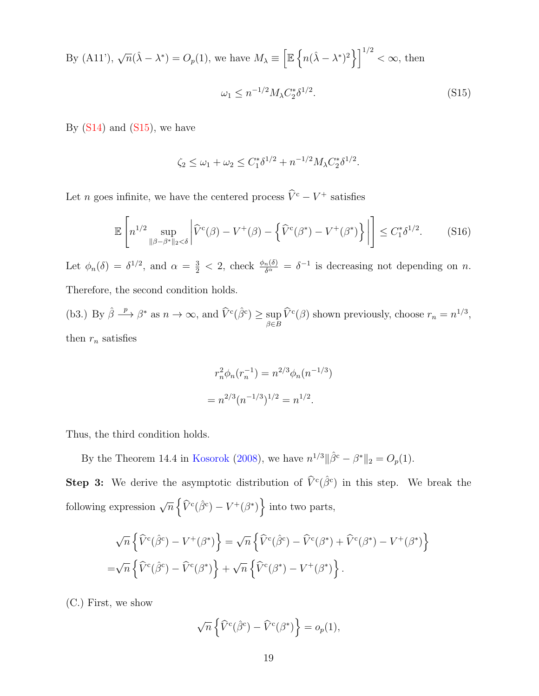By (A11'),  $\sqrt{n}(\hat{\lambda} - \lambda^*) = O_p(1)$ , we have  $M_{\lambda} \equiv \left[ \mathbb{E} \left\{ n(\hat{\lambda} - \lambda^*)^2 \right\} \right]^{1/2} < \infty$ , then  $\omega_1 \leq n^{-1/2} M_{\lambda} C_2^* \delta^{1/2}$  $(S15)$ 

By  $(S14)$  and  $(S15)$ , we have

$$
\zeta_2 \le \omega_1 + \omega_2 \le C_1^* \delta^{1/2} + n^{-1/2} M_\lambda C_2^* \delta^{1/2}.
$$

Let *n* goes infinite, we have the centered process  $\hat{V}^c - V^+$  satisfies

$$
\mathbb{E}\left[n^{1/2}\sup_{\|\beta-\beta^*\|_2<\delta}\left|\widehat{V}^c(\beta)-V^+(\beta)-\left\{\widehat{V}^c(\beta^*)-V^+(\beta^*)\right\}\right|\right]\leq C_1^*\delta^{1/2}.\tag{S16}
$$

Let  $\phi_n(\delta) = \delta^{1/2}$ , and  $\alpha = \frac{3}{2} < 2$ , check  $\frac{\phi_n(\delta)}{\delta^{\alpha}} = \delta^{-1}$  is decreasing not depending on n. Therefore, the second condition holds.

(b3.) By  $\hat{\beta} \stackrel{p}{\longrightarrow} \beta^*$  as  $n \to \infty$ , and  $\widehat{V}^c(\hat{\beta}^c) \ge \sup_{\beta \in B} \widehat{V}^c(\beta)$  shown previously, choose  $r_n = n^{1/3}$ , then  $r_n$  satisfies

$$
r_n^2 \phi_n(r_n^{-1}) = n^{2/3} \phi_n(n^{-1/3})
$$

$$
= n^{2/3} (n^{-1/3})^{1/2} = n^{1/2}.
$$

Thus, the third condition holds.

By the Theorem 14.4 in Kosorok (2008), we have  $n^{1/3} || \hat{\beta}^c - \beta^* ||_2 = O_p(1)$ .

**Step 3:** We derive the asymptotic distribution of  $\hat{V}^c(\hat{\beta}^c)$  in this step. We break the following expression  $\sqrt{n} \left\{ \widehat{V}^c(\hat{\beta}^c) - V^+(\beta^*) \right\}$  into two parts,

$$
\sqrt{n}\left\{\hat{V}^c(\hat{\beta}^c) - V^+(\beta^*)\right\} = \sqrt{n}\left\{\hat{V}^c(\hat{\beta}^c) - \hat{V}^c(\beta^*) + \hat{V}^c(\beta^*) - V^+(\beta^*)\right\}
$$

$$
= \sqrt{n}\left\{\hat{V}^c(\hat{\beta}^c) - \hat{V}^c(\beta^*)\right\} + \sqrt{n}\left\{\hat{V}^c(\beta^*) - V^+(\beta^*)\right\}.
$$

(C.) First, we show

$$
\sqrt{n}\left\{\widehat{V}^c(\widehat{\beta}^c) - \widehat{V}^c(\beta^*)\right\} = o_p(1),
$$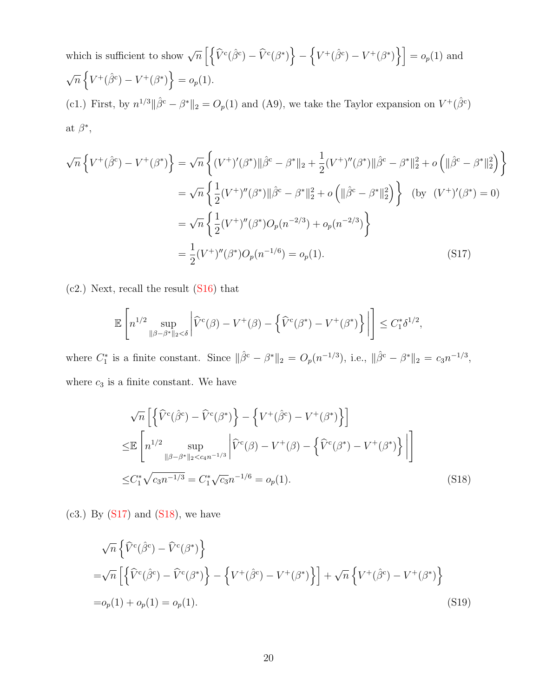which is sufficient to show  $\sqrt{n}\left[\left\{\widehat{V}^c(\hat{\beta}^c) - \widehat{V}^c(\beta^*)\right\}\right]$ −  $\left\{V^+(\hat{\beta}^c) - V^+(\beta^*)\right\}$  =  $o_p(1)$  and  $\sqrt{n}\left\{V^+(\hat{\beta}^c) - V^+(\beta^*)\right\} = o_p(1).$ (c1.) First, by  $n^{1/3} \|\hat{\beta}^c - \beta^*\|_2 = O_p(1)$  and (A9), we take the Taylor expansion on  $V^+(\hat{\beta}^c)$ at  $\beta^*,$ 

$$
\sqrt{n} \left\{ V^{+}(\hat{\beta}^{c}) - V^{+}(\beta^{*}) \right\} = \sqrt{n} \left\{ (V^{+})'(\beta^{*}) \|\hat{\beta}^{c} - \beta^{*}\|_{2} + \frac{1}{2} (V^{+})''(\beta^{*}) \|\hat{\beta}^{c} - \beta^{*}\|_{2}^{2} + o \left( \|\hat{\beta}^{c} - \beta^{*}\|_{2}^{2} \right) \right\}
$$
  
\n
$$
= \sqrt{n} \left\{ \frac{1}{2} (V^{+})''(\beta^{*}) \|\hat{\beta}^{c} - \beta^{*}\|_{2}^{2} + o \left( \|\hat{\beta}^{c} - \beta^{*}\|_{2}^{2} \right) \right\} \text{ (by } (V^{+})'(\beta^{*}) = 0)
$$
  
\n
$$
= \sqrt{n} \left\{ \frac{1}{2} (V^{+})''(\beta^{*}) O_{p}(n^{-2/3}) + o_{p}(n^{-2/3}) \right\}
$$
  
\n
$$
= \frac{1}{2} (V^{+})''(\beta^{*}) O_{p}(n^{-1/6}) = o_{p}(1).
$$
 (S17)

(c2.) Next, recall the result (S16) that

$$
\mathbb{E}\left[n^{1/2}\sup_{\|\beta-\beta^*\|_2<\delta}\left|\widehat{V}^c(\beta)-V^+(\beta)-\left\{\widehat{V}^c(\beta^*)-V^+(\beta^*)\right\}\right|\right]\leq C_1^*\delta^{1/2},
$$

where  $C_1^*$  is a finite constant. Since  $\|\hat{\beta}^c - \beta^*\|_2 = O_p(n^{-1/3}),$  i.e.,  $\|\hat{\beta}^c - \beta^*\|_2 = c_3 n^{-1/3},$ where  $c_3$  is a finite constant. We have

$$
\sqrt{n} \left[ \left\{ \hat{V}^{c}(\hat{\beta}^{c}) - \hat{V}^{c}(\beta^{*}) \right\} - \left\{ V^{+}(\hat{\beta}^{c}) - V^{+}(\beta^{*}) \right\} \right]
$$
  
\n
$$
\leq \mathbb{E} \left[ n^{1/2} \sup_{\|\beta - \beta^{*}\|_{2} < c_{4} n^{-1/3}} \left| \hat{V}^{c}(\beta) - V^{+}(\beta) - \left\{ \hat{V}^{c}(\beta^{*}) - V^{+}(\beta^{*}) \right\} \right| \right]
$$
  
\n
$$
\leq C_{1}^{*} \sqrt{c_{3} n^{-1/3}} = C_{1}^{*} \sqrt{c_{3} n^{-1/6}} = o_{p}(1).
$$
\n(S18)

 $(c3.)$  By  $(S17)$  and  $(S18)$ , we have

$$
\sqrt{n} \left\{ \widehat{V}^c(\widehat{\beta}^c) - \widehat{V}^c(\beta^*) \right\}
$$
  
=  $\sqrt{n} \left[ \left\{ \widehat{V}^c(\widehat{\beta}^c) - \widehat{V}^c(\beta^*) \right\} - \left\{ V^+(\widehat{\beta}^c) - V^+(\beta^*) \right\} \right] + \sqrt{n} \left\{ V^+(\widehat{\beta}^c) - V^+(\beta^*) \right\}$   
=  $o_p(1) + o_p(1) = o_p(1).$  (S19)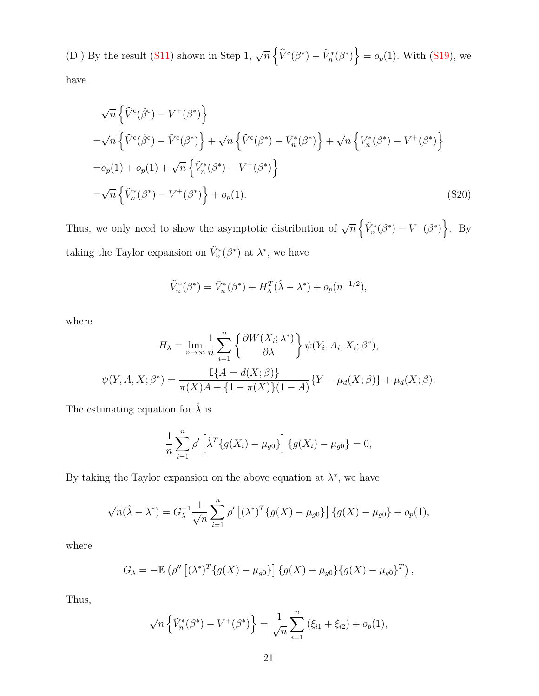(D.) By the result (S11) shown in Step 1,  $\sqrt{n} \left\{ \hat{V}^c(\beta^*) - \tilde{V}^*_{n}(\beta^*) \right\} = o_p(1)$ . With (S19), we have

$$
\sqrt{n} \left\{ \hat{V}^c(\hat{\beta}^c) - V^+(\beta^*) \right\}
$$
  
= $\sqrt{n} \left\{ \hat{V}^c(\hat{\beta}^c) - \hat{V}^c(\beta^*) \right\} + \sqrt{n} \left\{ \hat{V}^c(\beta^*) - \tilde{V}^*_n(\beta^*) \right\} + \sqrt{n} \left\{ \tilde{V}^*_n(\beta^*) - V^+(\beta^*) \right\}$   
= $o_p(1) + o_p(1) + \sqrt{n} \left\{ \tilde{V}^*_n(\beta^*) - V^+(\beta^*) \right\}$   
= $\sqrt{n} \left\{ \tilde{V}^*_n(\beta^*) - V^+(\beta^*) \right\} + o_p(1).$  (S20)

Thus, we only need to show the asymptotic distribution of  $\sqrt{n} \left\{ \tilde{V}_n^*(\beta^*) - V^+(\beta^*) \right\}$ . By taking the Taylor expansion on  $\tilde{V}_n^*(\beta^*)$  at  $\lambda^*$ , we have

$$
\tilde{V}_n^*(\beta^*) = \bar{V}_n^*(\beta^*) + H_\lambda^T(\hat{\lambda} - \lambda^*) + o_p(n^{-1/2}),
$$

where

$$
H_{\lambda} = \lim_{n \to \infty} \frac{1}{n} \sum_{i=1}^{n} \left\{ \frac{\partial W(X_i; \lambda^*)}{\partial \lambda} \right\} \psi(Y_i, A_i, X_i; \beta^*),
$$
  

$$
\psi(Y, A, X; \beta^*) = \frac{\mathbb{I}\{A = d(X; \beta)\}}{\pi(X)A + \{1 - \pi(X)\}(1 - A)} \{Y - \mu_d(X; \beta)\} + \mu_d(X; \beta).
$$

The estimating equation for  $\hat{\lambda}$  is

$$
\frac{1}{n}\sum_{i=1}^{n} \rho' \left[ \hat{\lambda}^T \{ g(X_i) - \mu_{g0} \} \right] \{ g(X_i) - \mu_{g0} \} = 0,
$$

By taking the Taylor expansion on the above equation at  $\lambda^*$ , we have

$$
\sqrt{n}(\hat{\lambda} - \lambda^*) = G_{\lambda}^{-1} \frac{1}{\sqrt{n}} \sum_{i=1}^{n} \rho' \left[ (\lambda^*)^T \{ g(X) - \mu_{g0} \} \right] \{ g(X) - \mu_{g0} \} + o_p(1),
$$

where

$$
G_{\lambda} = -\mathbb{E} \left( \rho'' \left[ (\lambda^*)^T \{ g(X) - \mu_{g0} \} \right] \{ g(X) - \mu_{g0} \} \{ g(X) - \mu_{g0} \}^T \right),
$$

Thus,

$$
\sqrt{n}\left\{\tilde{V}_n^*(\beta^*) - V^+(\beta^*)\right\} = \frac{1}{\sqrt{n}}\sum_{i=1}^n \left(\xi_{i1} + \xi_{i2}\right) + o_p(1),
$$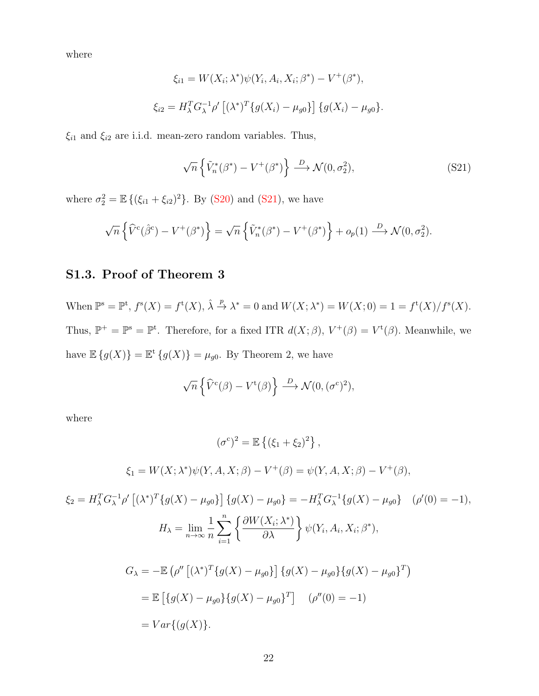where

$$
\xi_{i1} = W(X_i; \lambda^*) \psi(Y_i, A_i, X_i; \beta^*) - V^+(\beta^*),
$$
  

$$
\xi_{i2} = H_{\lambda}^T G_{\lambda}^{-1} \rho' [(\lambda^*)^T \{g(X_i) - \mu_{g0}\}] \{g(X_i) - \mu_{g0}\}.
$$

 $\xi_{i1}$  and  $\xi_{i2}$  are i.i.d. mean-zero random variables. Thus,

$$
\sqrt{n}\left\{\tilde{V}_n^*(\beta^*) - V^+(\beta^*)\right\} \stackrel{D}{\longrightarrow} \mathcal{N}(0, \sigma_2^2),\tag{S21}
$$

where  $\sigma_2^2 = \mathbb{E} \{ (\xi_{i1} + \xi_{i2})^2 \}$ . By (S20) and (S21), we have

$$
\sqrt{n}\left\{\widehat{V}^c(\widehat{\beta}^c) - V^+(\beta^*)\right\} = \sqrt{n}\left\{\widetilde{V}_n^*(\beta^*) - V^+(\beta^*)\right\} + o_p(1) \stackrel{D}{\longrightarrow} \mathcal{N}(0, \sigma_2^2).
$$

# S1.3. Proof of Theorem 3

When  $\mathbb{P}^s = \mathbb{P}^t$ ,  $f^s(X) = f^t(X)$ ,  $\hat{\lambda} \stackrel{p}{\rightarrow} \lambda^* = 0$  and  $W(X; \lambda^*) = W(X; 0) = 1 = f^t(X)/f^s(X)$ . Thus,  $\mathbb{P}^+=\mathbb{P}^s=\mathbb{P}^t$ . Therefore, for a fixed ITR  $d(X;\beta), V^+(\beta)=V^t(\beta)$ . Meanwhile, we have  $\mathbb{E}\left\{g(X)\right\} = \mathbb{E}^{\mathsf{t}}\left\{g(X)\right\} = \mu_{g0}$ . By Theorem 2, we have

$$
\sqrt{n}\left\{\widehat{V}^c(\beta) - V^{\mathfrak{t}}(\beta)\right\} \stackrel{D}{\longrightarrow} \mathcal{N}(0, (\sigma^c)^2),
$$

where

$$
(\sigma^c)^2 = \mathbb{E}\left\{ (\xi_1 + \xi_2)^2 \right\},
$$
  

$$
\xi_1 = W(X; \lambda^*)\psi(Y, A, X; \beta) - V^+(\beta) = \psi(Y, A, X; \beta) - V^+(\beta),
$$

$$
\xi_2 = H_{\lambda}^T G_{\lambda}^{-1} \rho' \left[ (\lambda^*)^T \{ g(X) - \mu_{g0} \} \right] \{ g(X) - \mu_{g0} \} = -H_{\lambda}^T G_{\lambda}^{-1} \{ g(X) - \mu_{g0} \} \quad (\rho'(0) = -1),
$$
  
\n
$$
H_{\lambda} = \lim_{n \to \infty} \frac{1}{n} \sum_{i=1}^n \left\{ \frac{\partial W(X_i; \lambda^*)}{\partial \lambda} \right\} \psi(Y_i, A_i, X_i; \beta^*),
$$
  
\n
$$
G_{\lambda} = -\mathbb{E} \left( \rho'' \left[ (\lambda^*)^T \{ g(X) - \mu_{g0} \} \right] \{ g(X) - \mu_{g0} \} \{ g(X) - \mu_{g0} \}^T \right)
$$
  
\n
$$
= \mathbb{E} \left[ \{ g(X) - \mu_{g0} \} \{ g(X) - \mu_{g0} \}^T \right] \quad (\rho''(0) = -1)
$$
  
\n
$$
= Var \{ (g(X)).
$$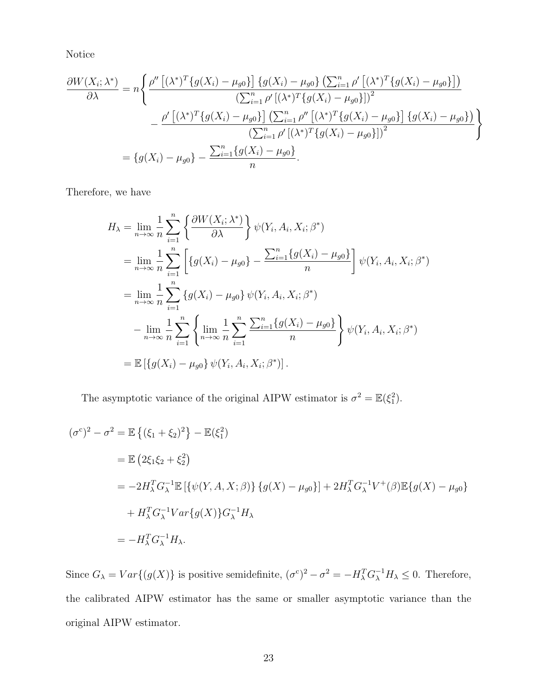Notice

$$
\frac{\partial W(X_i; \lambda^*)}{\partial \lambda} = n \Bigg\{ \frac{\rho'' \left[ (\lambda^*)^T \{ g(X_i) - \mu_{g0} \} \right] \{ g(X_i) - \mu_{g0} \} \left( \sum_{i=1}^n \rho' \left[ (\lambda^*)^T \{ g(X_i) - \mu_{g0} \} \right] \right)}{\left( \sum_{i=1}^n \rho' \left[ (\lambda^*)^T \{ g(X_i) - \mu_{g0} \} \right] \right)^2} - \frac{\rho' \left[ (\lambda^*)^T \{ g(X_i) - \mu_{g0} \} \right] \left( \sum_{i=1}^n \rho'' \left[ (\lambda^*)^T \{ g(X_i) - \mu_{g0} \} \right] \{ g(X_i) - \mu_{g0} \} \right)}{\left( \sum_{i=1}^n \rho' \left[ (\lambda^*)^T \{ g(X_i) - \mu_{g0} \} \right] \right)^2} \Bigg\}
$$
  
= 
$$
\{ g(X_i) - \mu_{g0} \} - \frac{\sum_{i=1}^n \{ g(X_i) - \mu_{g0} \}}{n}.
$$

Therefore, we have

$$
H_{\lambda} = \lim_{n \to \infty} \frac{1}{n} \sum_{i=1}^{n} \left\{ \frac{\partial W(X_{i}; \lambda^{*})}{\partial \lambda} \right\} \psi(Y_{i}, A_{i}, X_{i}; \beta^{*})
$$
  
\n
$$
= \lim_{n \to \infty} \frac{1}{n} \sum_{i=1}^{n} \left[ \{ g(X_{i}) - \mu_{g0} \} - \frac{\sum_{i=1}^{n} \{ g(X_{i}) - \mu_{g0} \}}{n} \right] \psi(Y_{i}, A_{i}, X_{i}; \beta^{*})
$$
  
\n
$$
= \lim_{n \to \infty} \frac{1}{n} \sum_{i=1}^{n} \{ g(X_{i}) - \mu_{g0} \} \psi(Y_{i}, A_{i}, X_{i}; \beta^{*})
$$
  
\n
$$
- \lim_{n \to \infty} \frac{1}{n} \sum_{i=1}^{n} \left\{ \lim_{n \to \infty} \frac{1}{n} \sum_{i=1}^{n} \frac{\sum_{i=1}^{n} \{ g(X_{i}) - \mu_{g0} \}}{n} \right\} \psi(Y_{i}, A_{i}, X_{i}; \beta^{*})
$$
  
\n
$$
= \mathbb{E} \left[ \{ g(X_{i}) - \mu_{g0} \} \psi(Y_{i}, A_{i}, X_{i}; \beta^{*}) \right].
$$

The asymptotic variance of the original AIPW estimator is  $\sigma^2 = \mathbb{E}(\xi_1^2)$ .

$$
(\sigma^c)^2 - \sigma^2 = \mathbb{E}\left\{ (\xi_1 + \xi_2)^2 \right\} - \mathbb{E}(\xi_1^2)
$$
  
=  $\mathbb{E}\left( 2\xi_1\xi_2 + \xi_2^2 \right)$   
=  $-2H_\lambda^T G_\lambda^{-1} \mathbb{E}\left[ \{\psi(Y, A, X; \beta)\} \{g(X) - \mu_{g0}\} \right] + 2H_\lambda^T G_\lambda^{-1} V^+(\beta) \mathbb{E}\{g(X) - \mu_{g0}\} + H_\lambda^T G_\lambda^{-1} Var\{g(X)\} G_\lambda^{-1} H_\lambda$   
=  $-H_\lambda^T G_\lambda^{-1} H_\lambda.$ 

Since  $G_{\lambda} = Var\{(g(X))\}$  is positive semidefinite,  $(\sigma^c)^2 - \sigma^2 = -H_{\lambda}^T G_{\lambda}^{-1} H_{\lambda} \leq 0$ . Therefore, the calibrated AIPW estimator has the same or smaller asymptotic variance than the original AIPW estimator.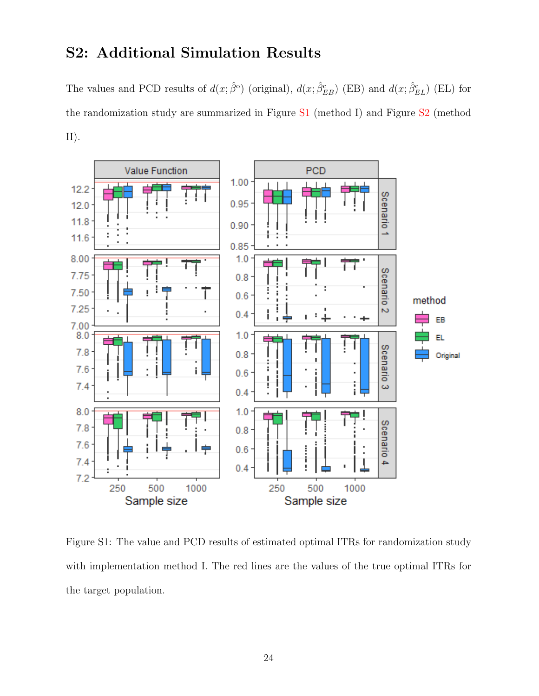# S2: Additional Simulation Results

The values and PCD results of  $d(x;\hat{\beta}^{\circ})$  (original),  $d(x;\hat{\beta}_{EB}^{\circ})$  (EB) and  $d(x;\hat{\beta}_{EL}^{\circ})$  (EL) for the randomization study are summarized in Figure S1 (method I) and Figure S2 (method II).



Figure S1: The value and PCD results of estimated optimal ITRs for randomization study with implementation method I. The red lines are the values of the true optimal ITRs for the target population.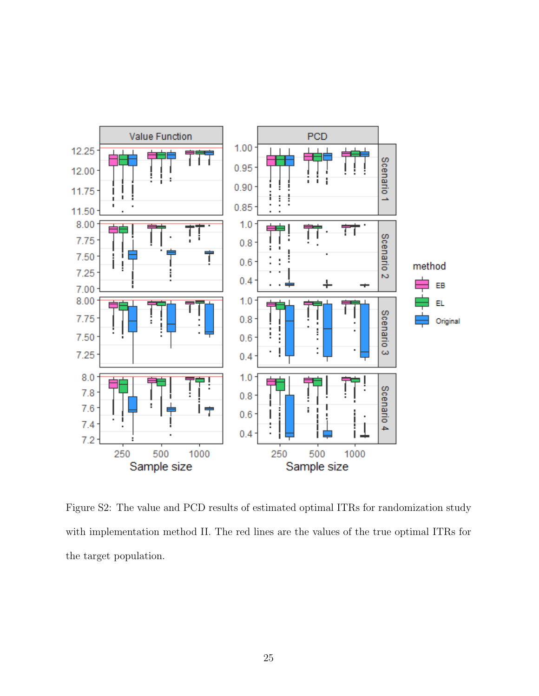

Figure S2: The value and PCD results of estimated optimal ITRs for randomization study with implementation method II. The red lines are the values of the true optimal ITRs for the target population.